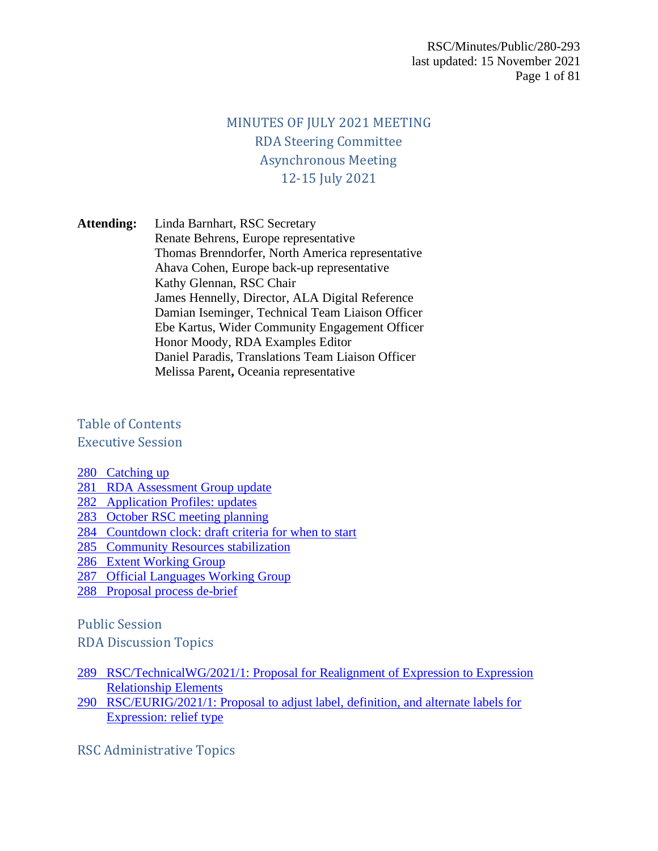### MINUTES OF JULY 2021 MEETING RDA Steering Committee Asynchronous Meeting 12-15 July 2021

**Attending:** Linda Barnhart, RSC Secretary Renate Behrens, Europe representative Thomas Brenndorfer, North America representative Ahava Cohen, Europe back-up representative Kathy Glennan, RSC Chair James Hennelly, Director, ALA Digital Reference Damian Iseminger, Technical Team Liaison Officer Ebe Kartus, Wider Community Engagement Officer Honor Moody, RDA Examples Editor Daniel Paradis, Translations Team Liaison Officer Melissa Parent**,** Oceania representative

Table of Contents

Executive Session

[280 Catching up](#page-1-0)

- [281 RDA Assessment Group update](#page-1-1)
- [282 Application Profiles: updates](#page-1-2)
- [283 October RSC meeting planning](#page-1-3)
- [284 Countdown clock: draft criteria for when to start](#page-1-4)
- [285 Community Resources stabilization](#page-1-5)
- [286 Extent Working Group](#page-1-6)
- [287 Official Languages Working Group](#page-1-7)
- [288 Proposal process de-brief](#page-1-8)

Public Session

RDA Discussion Topics

- [289 RSC/TechnicalWG/2021/1: Proposal for Realignment of Expression to Expression](#page-2-0)  [Relationship Elements](#page-2-0)
- [290 RSC/EURIG/2021/1: Proposal to adjust label, definition, and alternate labels for](#page-3-0)  [Expression: relief type](#page-3-0)
- RSC Administrative Topics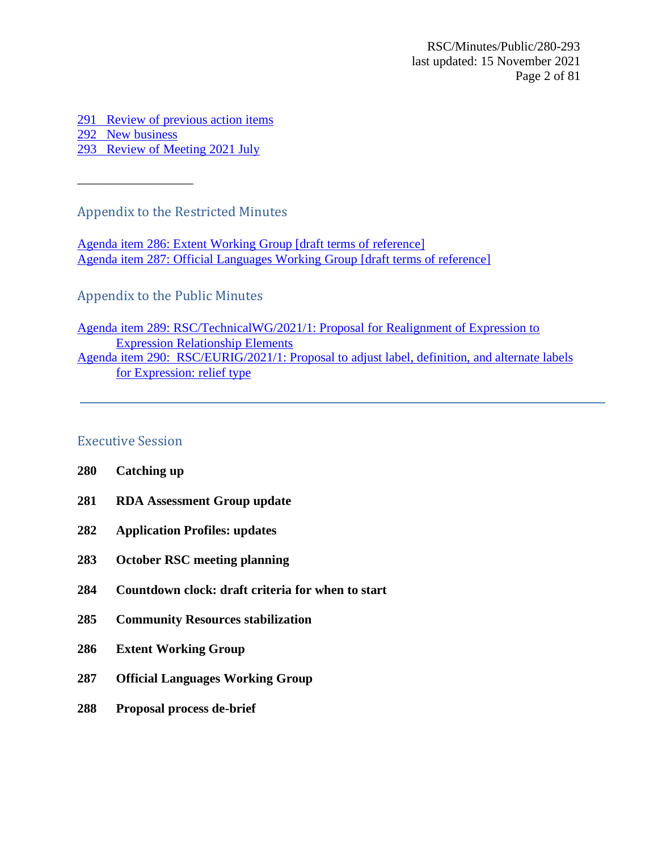[291 Review of previous action items](#page-3-1) [292 New](#page-3-2) business [293 Review of Meeting 2021 July](#page-3-3)

\_\_\_\_\_\_\_\_\_\_\_\_\_\_\_\_\_\_

Appendix to the Restricted Minutes

[Agenda item 286: Extent Working Group](#page-4-0) [draft terms of reference] Agenda item 287: [Official Languages Working Group](#page-4-1) [draft terms of reference]

Appendix to the Public Minutes

Agenda item 289: [RSC/TechnicalWG/2021/1: Proposal for Realignment of Expression to](#page-4-2)  [Expression Relationship Elements](#page-4-2) [Agenda item 290: RSC/EURIG/2021/1: Proposal to adjust label, definition, and alternate labels](#page-77-0)  [for Expression: relief type](#page-77-0)

### Executive Session

- <span id="page-1-0"></span>**280 Catching up**
- <span id="page-1-1"></span>**281 RDA Assessment Group update**
- <span id="page-1-2"></span>**282 Application Profiles: updates**
- <span id="page-1-3"></span>**283 October RSC meeting planning**
- <span id="page-1-4"></span>**284 Countdown clock: draft criteria for when to start**
- <span id="page-1-5"></span>**285 Community Resources stabilization**
- <span id="page-1-6"></span>**286 Extent Working Group**
- <span id="page-1-7"></span>**287 Official Languages Working Group**
- <span id="page-1-8"></span>**288 Proposal process de-brief**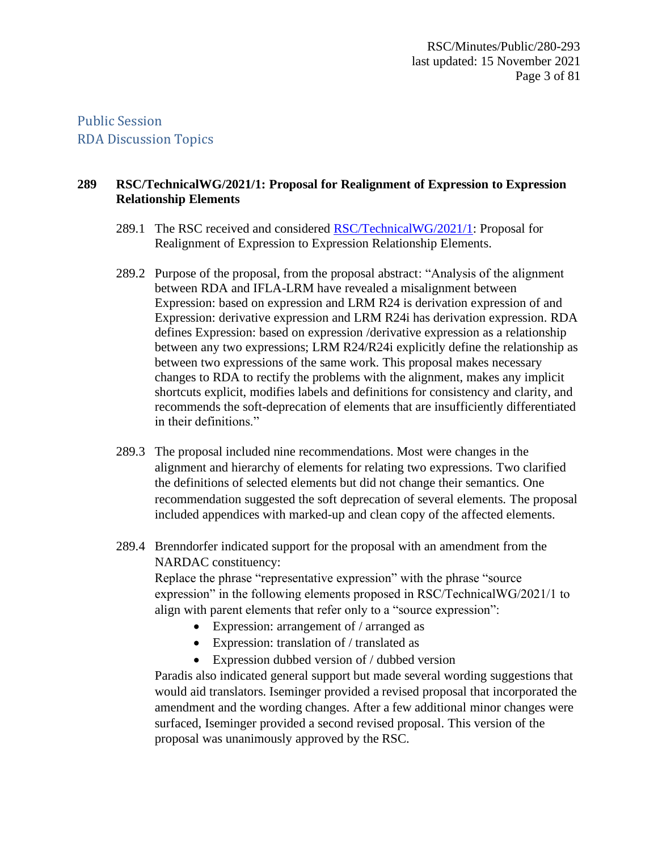Public Session RDA Discussion Topics

### <span id="page-2-0"></span>**289 RSC/TechnicalWG/2021/1: Proposal for Realignment of Expression to Expression Relationship Elements**

- 289.1 The RSC received and considered [RSC/TechnicalWG/2021/1:](#page-4-2) Proposal for Realignment of Expression to Expression Relationship Elements.
- 289.2 Purpose of the proposal, from the proposal abstract: "Analysis of the alignment between RDA and IFLA-LRM have revealed a misalignment between Expression: based on expression and LRM R24 is derivation expression of and Expression: derivative expression and LRM R24i has derivation expression. RDA defines Expression: based on expression /derivative expression as a relationship between any two expressions; LRM R24/R24i explicitly define the relationship as between two expressions of the same work. This proposal makes necessary changes to RDA to rectify the problems with the alignment, makes any implicit shortcuts explicit, modifies labels and definitions for consistency and clarity, and recommends the soft-deprecation of elements that are insufficiently differentiated in their definitions."
- 289.3 The proposal included nine recommendations. Most were changes in the alignment and hierarchy of elements for relating two expressions. Two clarified the definitions of selected elements but did not change their semantics. One recommendation suggested the soft deprecation of several elements. The proposal included appendices with marked-up and clean copy of the affected elements.
- 289.4 Brenndorfer indicated support for the proposal with an amendment from the NARDAC constituency:

Replace the phrase "representative expression" with the phrase "source expression" in the following elements proposed in RSC/TechnicalWG/2021/1 to align with parent elements that refer only to a "source expression":

- Expression: arrangement of / arranged as
- Expression: translation of / translated as
- Expression dubbed version of / dubbed version

Paradis also indicated general support but made several wording suggestions that would aid translators. Iseminger provided a revised proposal that incorporated the amendment and the wording changes. After a few additional minor changes were surfaced, Iseminger provided a second revised proposal. This version of the proposal was unanimously approved by the RSC.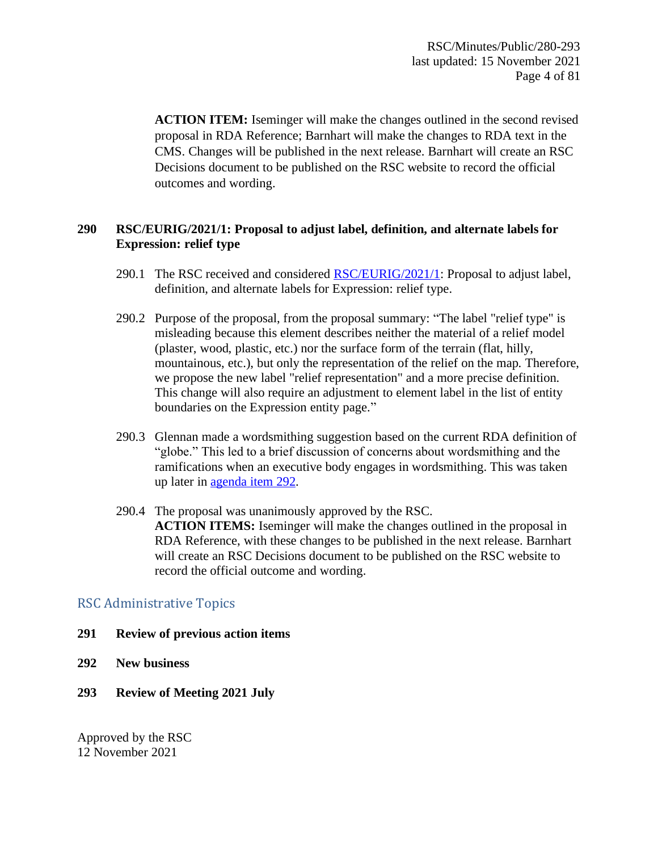**ACTION ITEM:** Iseminger will make the changes outlined in the second revised proposal in RDA Reference; Barnhart will make the changes to RDA text in the CMS. Changes will be published in the next release. Barnhart will create an RSC Decisions document to be published on the RSC website to record the official outcomes and wording.

### <span id="page-3-0"></span>**290 RSC/EURIG/2021/1: Proposal to adjust label, definition, and alternate labels for Expression: relief type**

- 290.1 The RSC received and considered [RSC/EURIG/2021/1:](#page-77-0) Proposal to adjust label, definition, and alternate labels for Expression: relief type.
- 290.2 Purpose of the proposal, from the proposal summary: "The label "relief type" is misleading because this element describes neither the material of a relief model (plaster, wood, plastic, etc.) nor the surface form of the terrain (flat, hilly, mountainous, etc.), but only the representation of the relief on the map. Therefore, we propose the new label "relief representation" and a more precise definition. This change will also require an adjustment to element label in the list of entity boundaries on the Expression entity page."
- 290.3 Glennan made a wordsmithing suggestion based on the current RDA definition of "globe." This led to a brief discussion of concerns about wordsmithing and the ramifications when an executive body engages in wordsmithing. This was taken up later in [agenda item 292.](#page-3-2)
- 290.4 The proposal was unanimously approved by the RSC. **ACTION ITEMS:** Iseminger will make the changes outlined in the proposal in RDA Reference, with these changes to be published in the next release. Barnhart will create an RSC Decisions document to be published on the RSC website to record the official outcome and wording.

### RSC Administrative Topics

- <span id="page-3-1"></span>**291 Review of previous action items**
- <span id="page-3-2"></span>**292 New business**
- <span id="page-3-3"></span>**293 Review of Meeting 2021 July**

Approved by the RSC 12 November 2021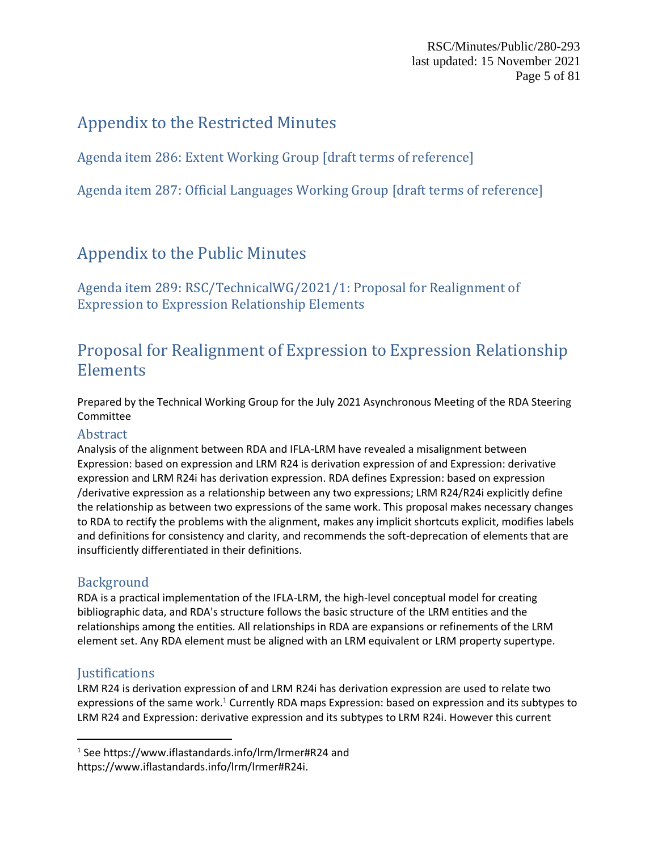RSC/Minutes/Public/280-293 last updated: 15 November 2021 Page 5 of 81

## Appendix to the Restricted Minutes

<span id="page-4-0"></span>Agenda item 286: Extent Working Group [draft terms of reference]

<span id="page-4-1"></span>Agenda item 287: Official Languages Working Group [draft terms of reference]

## Appendix to the Public Minutes

<span id="page-4-2"></span>Agenda item 289: RSC/TechnicalWG/2021/1: Proposal for Realignment of Expression to Expression Relationship Elements

## Proposal for Realignment of Expression to Expression Relationship Elements

Prepared by the Technical Working Group for the July 2021 Asynchronous Meeting of the RDA Steering Committee

### Abstract

Analysis of the alignment between RDA and IFLA-LRM have revealed a misalignment between Expression: [based on expression](https://access.rdatoolkit.org/Content/ContentById/8ab75894-be28-41fe-bb70-be6f21c3f293) and LRM R24 [is derivation expression of](https://www.iflastandards.info/lrm/lrmer#R24) and Expression[: derivative](https://access.rdatoolkit.org/Content/Index?externalId=en-US_ala-adc49fa3-2615-35fa-a8c1-f74b8ed69a26)  [expression](https://access.rdatoolkit.org/Content/Index?externalId=en-US_ala-adc49fa3-2615-35fa-a8c1-f74b8ed69a26) and LRM R24i [has derivation expression.](https://www.iflastandards.info/lrm/lrmer#R24i) RDA defines Expression: [based on expression](https://access.rdatoolkit.org/Content/ContentById/8ab75894-be28-41fe-bb70-be6f21c3f293) [/derivative expression](https://access.rdatoolkit.org/Content/Index?externalId=en-US_ala-adc49fa3-2615-35fa-a8c1-f74b8ed69a26) as a relationship between any two expressions; LRM R24/R24i explicitly define the relationship as between two expressions of the same work. This proposal makes necessary changes to RDA to rectify the problems with the alignment, makes any implicit shortcuts explicit, modifies labels and definitions for consistency and clarity, and recommends the soft-deprecation of elements that are insufficiently differentiated in their definitions.

### **Background**

RDA is a practical implementation of the IFLA-LRM, the high-level conceptual model for creating bibliographic data, and RDA's structure follows the basic structure of the LRM entities and the relationships among the entities. All relationships in RDA are expansions or refinements of the LRM element set. Any RDA element must be aligned with an LRM equivalent or LRM property supertype.

### **Justifications**

LRM R24 [is derivation expression of](https://www.iflastandards.info/lrm/lrmer#R24) and LRM R24i [has derivation expression](https://www.iflastandards.info/lrm/lrmer#R24i) are used to relate two expressions of the same work.<sup>1</sup> Currently RDA maps Expression: [based on expression](https://access.rdatoolkit.org/Content/ContentById/8ab75894-be28-41fe-bb70-be6f21c3f293) and its subtypes to LRM R24 and Expression: [derivative expression](https://access.rdatoolkit.org/Content/Index?externalId=en-US_ala-adc49fa3-2615-35fa-a8c1-f74b8ed69a26) and its subtypes to LRM R24i. However this current

<sup>1</sup> See<https://www.iflastandards.info/lrm/lrmer#R24> and [https://www.iflastandards.info/lrm/lrmer#R24i.](https://www.iflastandards.info/lrm/lrmer#R24i)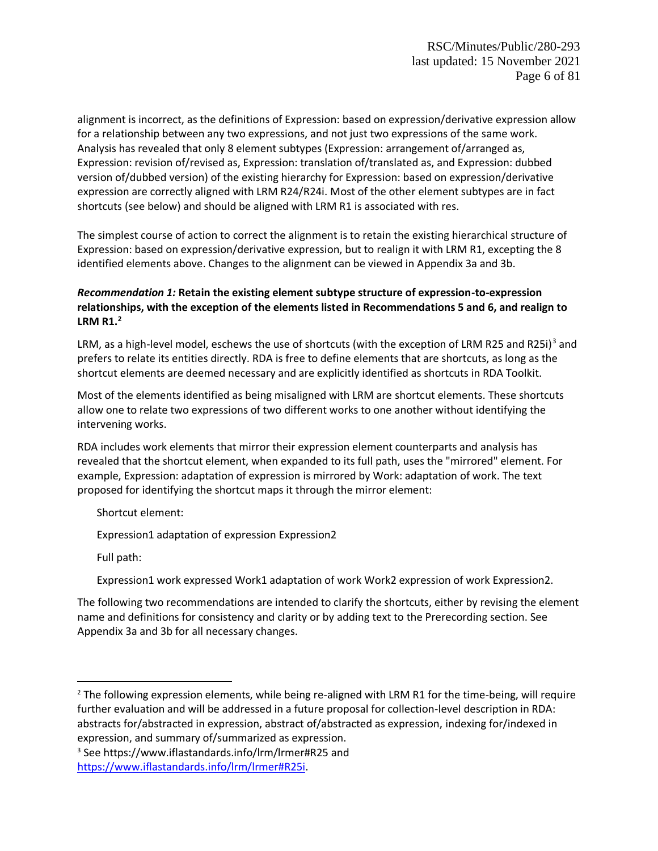<span id="page-5-1"></span>alignment is incorrect, as the definitions of Expression: [based on expression](https://access.rdatoolkit.org/Content/ContentById/8ab75894-be28-41fe-bb70-be6f21c3f293)[/derivative expression](https://access.rdatoolkit.org/Content/Index?externalId=en-US_ala-adc49fa3-2615-35fa-a8c1-f74b8ed69a26) allow for a relationship between any two expressions, and not just two expressions of the same work. Analysis has revealed that only 8 element subtypes (Expression: [arrangement of](https://access.rdatoolkit.org/Content/Index?externalId=en-US_ala-69f0655d-48ab-3e1a-a56a-772a92c48aff)[/arranged as,](https://access.rdatoolkit.org/Content/Index?externalId=en-US_ala-0440ad98-a881-3885-a7bb-d23a66e06c85) Expression: [revision of](https://access.rdatoolkit.org/Content/Index?externalId=en-US_ala-d06a170d-e9c7-33cf-831e-a391ea0a8efc)[/revised as,](https://access.rdatoolkit.org/Content/Index?externalId=en-US_ala-8b0514e0-49dc-3b85-bf61-d6719a17e400) Expression[: translation of/](https://access.rdatoolkit.org/Content/Index?externalId=en-US_ala-4fba5f0f-ee39-3849-9cd0-a4b432e3201b)[translated as,](https://access.rdatoolkit.org/Content/Index?externalId=en-US_ala-5bb93b2d-4c5a-3c4d-8fa5-06c9060317b3) and Expression[: dubbed](https://access.rdatoolkit.org/Content/Index?externalId=en-US_ala-b92a47a4-5530-3651-ad5b-3e10721ecadd)  [version of](https://access.rdatoolkit.org/Content/Index?externalId=en-US_ala-b92a47a4-5530-3651-ad5b-3e10721ecadd)[/dubbed version\)](https://access.rdatoolkit.org/Content/Index?externalId=en-US_ala-a63445f7-556f-3899-ba78-68c97ba616f6) of the existing hierarchy for Expression: [based on expression](https://access.rdatoolkit.org/Content/ContentById/8ab75894-be28-41fe-bb70-be6f21c3f293)[/derivative](https://access.rdatoolkit.org/Content/Index?externalId=en-US_ala-adc49fa3-2615-35fa-a8c1-f74b8ed69a26)  [expression](https://access.rdatoolkit.org/Content/Index?externalId=en-US_ala-adc49fa3-2615-35fa-a8c1-f74b8ed69a26) are correctly aligned with LRM R24/R24i. Most of the other element subtypes are in fact shortcuts (see [below\)](#page-5-0) and should be aligned with LRM R1 [is associated with res.](https://www.iflastandards.info/lrm/lrmer#R1)

The simplest course of action to correct the alignment is to retain the existing hierarchical structure of Expression: [based on expression/](https://access.rdatoolkit.org/Content/ContentById/8ab75894-be28-41fe-bb70-be6f21c3f293)[derivative expression,](https://access.rdatoolkit.org/Content/Index?externalId=en-US_ala-adc49fa3-2615-35fa-a8c1-f74b8ed69a26) but to realign it with LRM R1, excepting the 8 identified elements above. Changes to the alignment can be viewed in Appendix [3a](#page-14-0) an[d 3b.](#page-47-0)

### *Recommendation 1:* **Retain the existing element subtype structure of expression-to-expression relationships, with the exception of the elements listed in Recommendations 5 and 6, and realign to LRM R1.<sup>2</sup>**

<span id="page-5-0"></span>LRM, as a high-level model, eschews the use of shortcuts (with the exception of LRM R25 and R25i)<sup>3</sup> and prefers to relate its entities directly. RDA is free to define elements that are shortcuts, as long as the shortcut elements are deemed necessary and are explicitly identified as shortcuts in RDA Toolkit.

Most of the elements identified as being misaligned with LRM are shortcut elements. These shortcuts allow one to relate two expressions of two different works to one another without identifying the intervening works.

RDA includes work elements that mirror their expression element counterparts and analysis has revealed that the shortcut element, when expanded to its full path, uses the "mirrored" element. For example, Expression[: adaptation of expression](https://access.rdatoolkit.org/Content/Index?externalId=en-US_ala-ad1fcd50-7a30-338a-83cf-a9e27843e99a) is mirrored by Work: [adaptation of work.](https://access.rdatoolkit.org/Content/ContentById/1e7fa1db-2065-4cd3-b57a-a5d453b663fd?highlight=adaptation&highlight=of&highlight=work) The text proposed for identifying the shortcut maps it through the mirror element:

Shortcut element:

Expression1 adaptation of expression Expression2

Full path:

Expression1 work expressed Work1 adaptation of work Work2 expression of work Expression2.

The following two recommendations are intended to clarify the shortcuts, either by revising the element name and definitions for consistency and clarity or by adding text to the Prerecording section. See Appendi[x 3a](#page-14-0) and [3b](#page-47-0) for all necessary changes.

<sup>&</sup>lt;sup>2</sup> The following expression elements, while being re-aligned with LRM R1 for the time-being, will require further evaluation and will be addressed in a future proposal for collection-level description in RDA: abstracts for/abstracted in expression, abstract of/abstracted as expression, indexing for/indexed in expression, and summary of/summarized as expression.

<sup>3</sup> See<https://www.iflastandards.info/lrm/lrmer#R25> and [https://www.iflastandards.info/lrm/lrmer#R25i.](https://www.iflastandards.info/lrm/lrmer#R25i)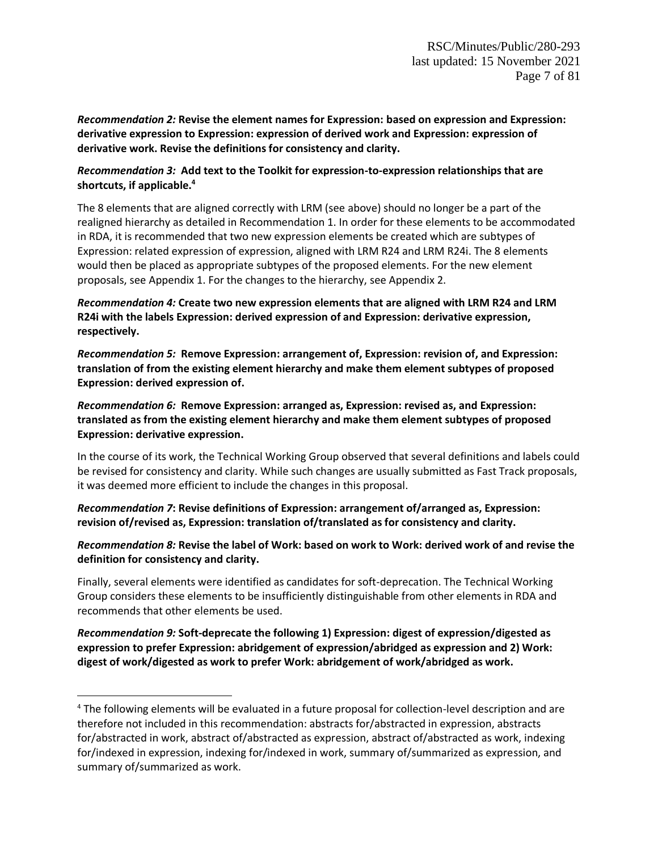*Recommendation 2:* **Revise the element names for Expression: based on expression and Expression: derivative expression to Expression: expression of derived work and Expression: expression of derivative work. Revise the definitions for consistency and clarity.**

#### *Recommendation 3:* **Add text to the Toolkit for expression-to-expression relationships that are shortcuts, if applicable.<sup>4</sup>**

The 8 elements that are aligned correctly with LRM (see [above\)](#page-5-1) should no longer be a part of the realigned hierarchy as detailed in Recommendation 1. In order for these elements to be accommodated in RDA, it is recommended that two new expression elements be created which are subtypes of Expression: related expression of expression, aligned with LRM R24 and LRM R24i. The 8 elements would then be placed as appropriate subtypes of the proposed elements. For the new element proposals, see Appendix [1.](#page-8-0) For the changes to the hierarchy, see Appendi[x 2.](#page-11-0)

*Recommendation 4:* **Create two new expression elements that are aligned with LRM R24 and LRM R24i with the labels Expression: derived expression of and Expression: derivative expression, respectively.**

*Recommendation 5:* **Remove Expression: arrangement of, Expression: revision of, and Expression: translation of from the existing element hierarchy and make them element subtypes of proposed Expression: derived expression of.**

*Recommendation 6:* **Remove Expression: arranged as, Expression: revised as, and Expression: translated as from the existing element hierarchy and make them element subtypes of proposed Expression: derivative expression.**

In the course of its work, the Technical Working Group observed that several definitions and labels could be revised for consistency and clarity. While such changes are usually submitted as Fast Track proposals, it was deemed more efficient to include the changes in this proposal.

*Recommendation 7***: Revise definitions of Expression: arrangement of/arranged as, Expression: revision of/revised as, Expression: translation of/translated as for consistency and clarity.**

*Recommendation 8:* **Revise the label of Work: based on work to Work: derived work of and revise the definition for consistency and clarity.**

Finally, several elements were identified as candidates for soft-deprecation. The Technical Working Group considers these elements to be insufficiently distinguishable from other elements in RDA and recommends that other elements be used.

*Recommendation 9:* **Soft-deprecate the following 1) Expression: digest of expression/digested as expression to prefer Expression: abridgement of expression/abridged as expression and 2) Work: digest of work/digested as work to prefer Work: abridgement of work/abridged as work.**

<sup>4</sup> The following elements will be evaluated in a future proposal for collection-level description and are therefore not included in this recommendation: abstracts for/abstracted in expression, abstracts for/abstracted in work, abstract of/abstracted as expression, abstract of/abstracted as work, indexing for/indexed in expression, indexing for/indexed in work, summary of/summarized as expression, and summary of/summarized as work.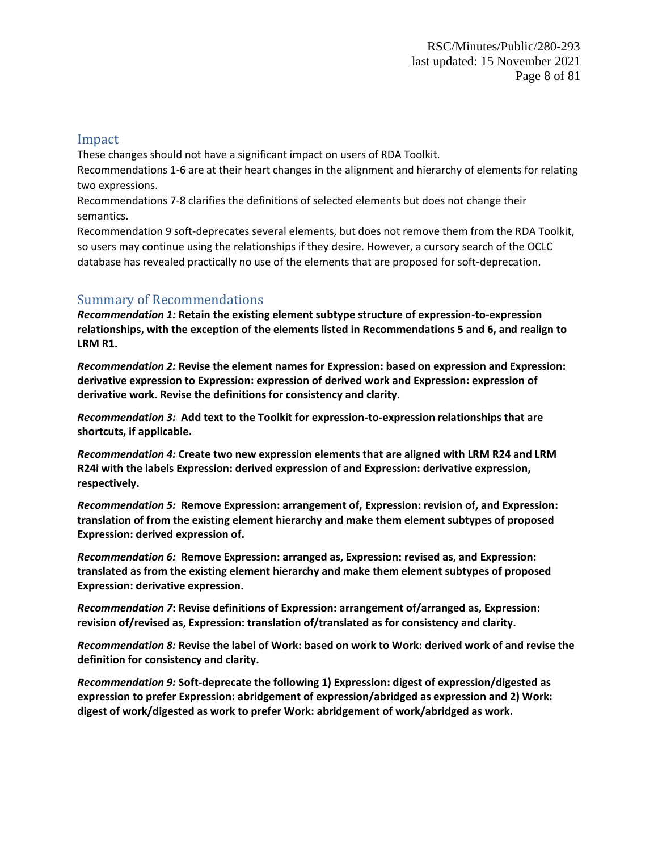#### Impact

These changes should not have a significant impact on users of RDA Toolkit. Recommendations 1-6 are at their heart changes in the alignment and hierarchy of elements for relating two expressions.

Recommendations 7-8 clarifies the definitions of selected elements but does not change their semantics.

Recommendation 9 soft-deprecates several elements, but does not remove them from the RDA Toolkit, so users may continue using the relationships if they desire. However, a cursory search of the OCLC database has revealed practically no use of the elements that are proposed for soft-deprecation.

### Summary of Recommendations

*Recommendation 1:* **Retain the existing element subtype structure of expression-to-expression relationships, with the exception of the elements listed in Recommendations 5 and 6, and realign to LRM R1.**

*Recommendation 2:* **Revise the element names for Expression: based on expression and Expression: derivative expression to Expression: expression of derived work and Expression: expression of derivative work. Revise the definitions for consistency and clarity.**

*Recommendation 3:* **Add text to the Toolkit for expression-to-expression relationships that are shortcuts, if applicable.**

*Recommendation 4:* **Create two new expression elements that are aligned with LRM R24 and LRM R24i with the labels Expression: derived expression of and Expression: derivative expression, respectively.**

*Recommendation 5:* **Remove Expression: arrangement of, Expression: revision of, and Expression: translation of from the existing element hierarchy and make them element subtypes of proposed Expression: derived expression of.**

*Recommendation 6:* **Remove Expression: arranged as, Expression: revised as, and Expression: translated as from the existing element hierarchy and make them element subtypes of proposed Expression: derivative expression.**

*Recommendation 7***: Revise definitions of Expression: arrangement of/arranged as, Expression: revision of/revised as, Expression: translation of/translated as for consistency and clarity.**

*Recommendation 8:* **Revise the label of Work: based on work to Work: derived work of and revise the definition for consistency and clarity.**

*Recommendation 9:* **Soft-deprecate the following 1) Expression: digest of expression/digested as expression to prefer Expression: abridgement of expression/abridged as expression and 2) Work: digest of work/digested as work to prefer Work: abridgement of work/abridged as work.**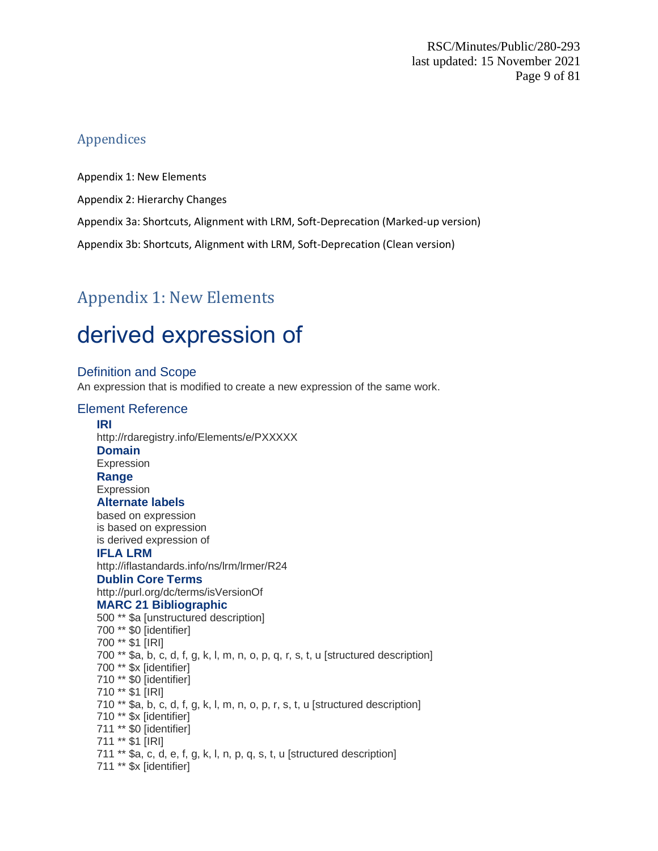### Appendices

[Appendix 1: New Elements](#page-8-0)

[Appendix 2: Hierarchy Changes](#page-11-0)

[Appendix 3a: Shortcuts, Alignment with LRM, Soft-Deprecation \(Marked-up version\)](#page-14-0)

[Appendix 3b: Shortcuts, Alignment with LRM, Soft-Deprecation \(Clean version\)](#page-47-0)

## <span id="page-8-0"></span>Appendix 1: New Elements

# derived expression of

### Definition and Scope

An expression that is modified to create a new expression of the same work.

#### Element Reference **IRI** http://rdaregistry.info/Elements/e/PXXXXX **Domain** Expression **Range** Expression **Alternate labels**

based on expression is based on expression is derived expression of

#### **IFLA LRM**

http://iflastandards.info/ns/lrm/lrmer/R24 **Dublin Core Terms**

http://purl.org/dc/terms/isVersionOf

#### **MARC 21 Bibliographic**

500 \*\* \$a [unstructured description] 700 \*\* \$0 [identifier] 700 \*\* \$1 [IRI] 700 \*\* \$a, b, c, d, f, g, k, l, m, n, o, p, q, r, s, t, u [structured description] 700 \*\* \$x [identifier] 710 \*\* \$0 [identifier] 710 \*\* \$1 [IRI] 710 \*\* \$a, b, c, d, f, g, k, l, m, n, o, p, r, s, t, u [structured description] 710 \*\* \$x [identifier] 711 \*\* \$0 [identifier] 711 \*\* \$1 [IRI] 711 \*\* \$a, c, d, e, f, g, k, l, n, p, q, s, t, u [structured description] 711 \*\* \$x [identifier]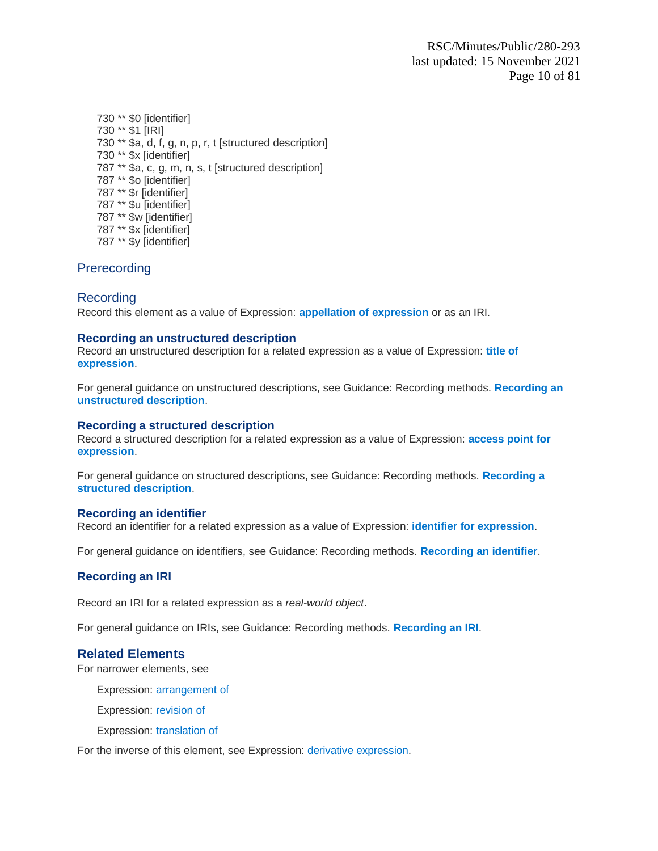730 \*\* \$0 [identifier] 730 \*\* \$1 [IRI] 730 \*\* \$a, d, f, g, n, p, r, t [structured description] 730 \*\* \$x [identifier] 787 \*\* \$a, c, g, m, n, s, t [structured description] 787 \*\* \$o [identifier] 787 \*\* \$r [identifier] 787 \*\* \$u [identifier] 787 \*\* \$w [identifier] 787 \*\* \$x [identifier] 787 \*\* \$y [identifier]

### **Prerecording**

### Recording

Record this element as a value of Expression: **appellation of expression** or as an IRI.

#### **Recording an unstructured description**

Record an unstructured description for a related expression as a value of Expression: **title of expression**.

For general guidance on unstructured descriptions, see Guidance: Recording methods. **Recording an unstructured description**.

#### **Recording a structured description**

Record a structured description for a related expression as a value of Expression: **access point for expression**.

For general guidance on structured descriptions, see Guidance: Recording methods. **Recording a structured description**.

#### **Recording an identifier**

Record an identifier for a related expression as a value of Expression: **identifier for expression**.

For general guidance on identifiers, see Guidance: Recording methods. **Recording an identifier**.

#### **Recording an IRI**

Record an IRI for a related expression as a *real-world object*.

For general guidance on IRIs, see Guidance: Recording methods. **Recording an IRI**.

#### **Related Elements**

For narrower elements, see

Expression: arrangement of

Expression: revision of

Expression: translation of

For the inverse of this element, see Expression: [derivative expression.](https://access.rdatoolkit.org/Content/Index?externalId=en-US_ala-adc49fa3-2615-35fa-a8c1-f74b8ed69a26)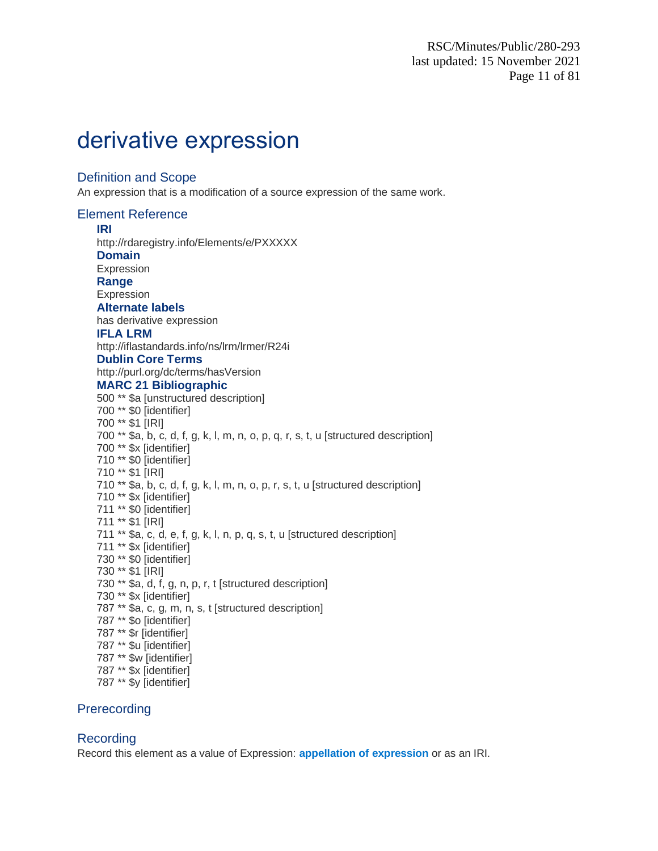# derivative expression

#### Definition and Scope

An expression that is a modification of a source expression of the same work.

Element Reference **IRI** http://rdaregistry.info/Elements/e/PXXXXX **Domain** Expression **Range** Expression **Alternate labels** has derivative expression **IFLA LRM** http://iflastandards.info/ns/lrm/lrmer/R24i **Dublin Core Terms** http://purl.org/dc/terms/hasVersion **MARC 21 Bibliographic** 500 \*\* \$a [unstructured description] 700 \*\* \$0 [identifier] 700 \*\* \$1 [IRI] 700 \*\* \$a, b, c, d, f, g, k, l, m, n, o, p, q, r, s, t, u [structured description] 700 \*\* \$x [identifier] 710 \*\* \$0 [identifier] 710 \*\* \$1 [IRI] 710 \*\* \$a, b, c, d, f, g, k, l, m, n, o, p, r, s, t, u [structured description] 710 \*\* \$x [identifier] 711 \*\* \$0 [identifier] 711 \*\* \$1 [IRI] 711 \*\* \$a, c, d, e, f, g, k, l, n, p, q, s, t, u [structured description] 711 \*\* \$x [identifier] 730 \*\* \$0 [identifier] 730 \*\* \$1 [IRI] 730 \*\* \$a, d, f, g, n, p, r, t [structured description] 730 \*\* \$x [identifier] 787 \*\* \$a, c, g, m, n, s, t [structured description] 787 \*\* \$o [identifier] 787 \*\* \$r [identifier] 787 \*\* \$u [identifier] 787 \*\* \$w [identifier] 787 \*\* \$x [identifier] 787 \*\* \$y [identifier]

### Prerecording

### Recording

Record this element as a value of Expression: **appellation of expression** or as an IRI.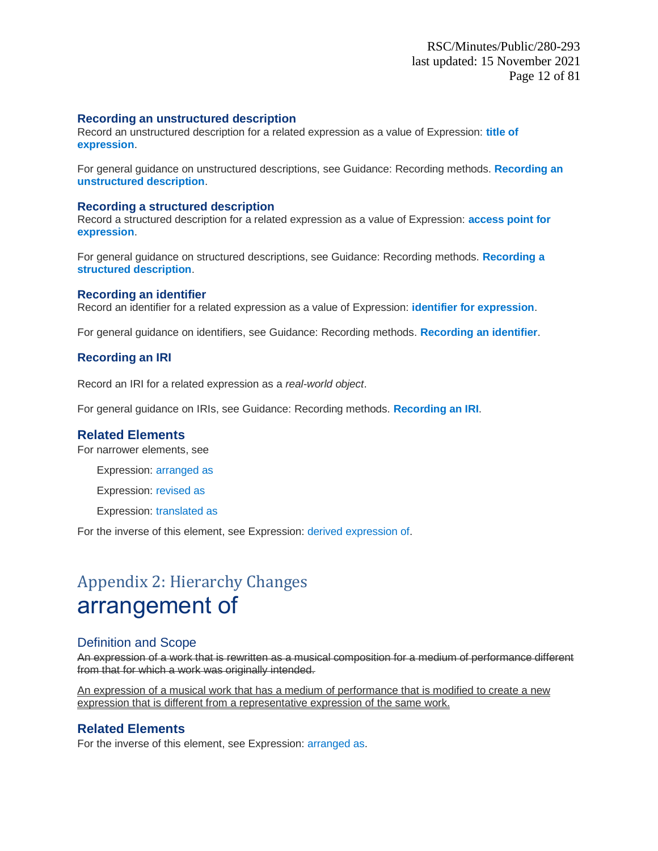#### **Recording an unstructured description**

Record an unstructured description for a related expression as a value of Expression: **title of expression**.

For general guidance on unstructured descriptions, see Guidance: Recording methods. **Recording an unstructured description**.

#### **Recording a structured description**

Record a structured description for a related expression as a value of Expression: **access point for expression**.

For general guidance on structured descriptions, see Guidance: Recording methods. **Recording a structured description**.

#### **Recording an identifier**

Record an identifier for a related expression as a value of Expression: **identifier for expression**.

For general guidance on identifiers, see Guidance: Recording methods. **Recording an identifier**.

#### **Recording an IRI**

Record an IRI for a related expression as a *real-world object*.

For general guidance on IRIs, see Guidance: Recording methods. **Recording an IRI**.

#### **Related Elements**

For narrower elements, see

Expression: arranged as

Expression: revised as

Expression: translated as

For the inverse of this element, see Expression: derived expression of.

## <span id="page-11-0"></span>Appendix 2: Hierarchy Changes arrangement of

#### Definition and Scope

An expression of a work that is rewritten as a musical composition for a medium of performance different from that for which a work was originally intended.

An expression of a musical work that has a medium of performance that is modified to create a new expression that is different from a representative expression of the same work.

#### **Related Elements**

For the inverse of this element, see Expression: arranged as.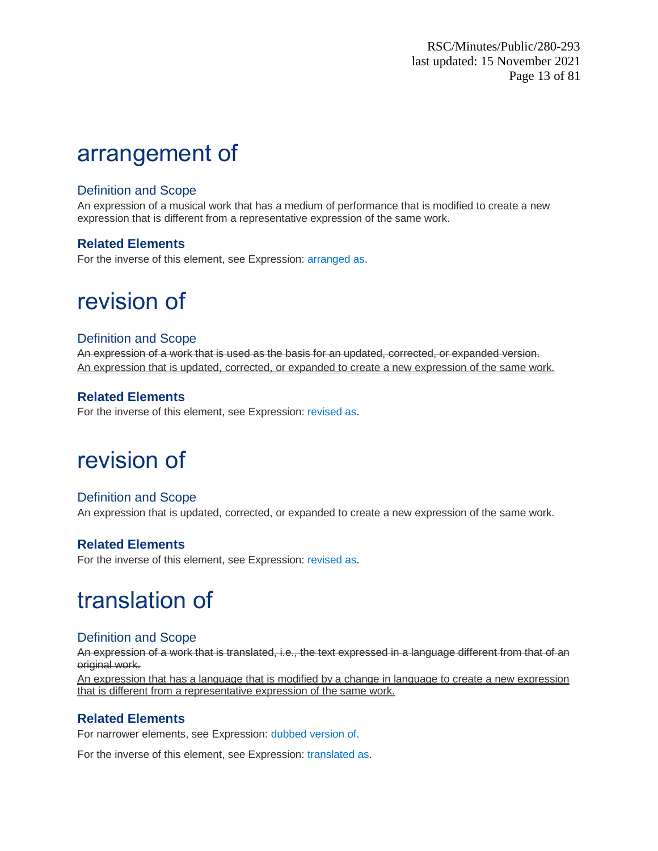## arrangement of

### Definition and Scope

An expression of a musical work that has a medium of performance that is modified to create a new expression that is different from a representative expression of the same work.

### **Related Elements**

For the inverse of this element, see Expression: arranged as.

# revision of

### Definition and Scope

An expression of a work that is used as the basis for an updated, corrected, or expanded version. An expression that is updated, corrected, or expanded to create a new expression of the same work.

### **Related Elements**

For the inverse of this element, see Expression: revised as.

# revision of

### Definition and Scope

An expression that is updated, corrected, or expanded to create a new expression of the same work.

### **Related Elements**

For the inverse of this element, see Expression: revised as.

# translation of

### Definition and Scope

An expression of a work that is translated, i.e., the text expressed in a language different from that of an original work.

An expression that has a language that is modified by a change in language to create a new expression that is different from a representative expression of the same work.

### **Related Elements**

For narrower elements, see Expression: dubbed version of.

For the inverse of this element, see Expression: translated as.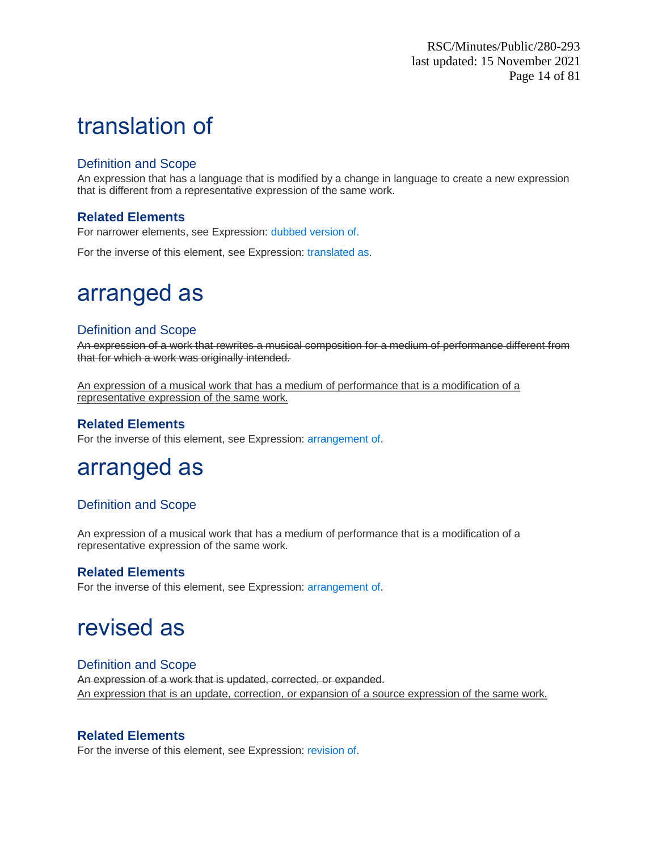# translation of

### Definition and Scope

An expression that has a language that is modified by a change in language to create a new expression that is different from a representative expression of the same work.

### **Related Elements**

For narrower elements, see Expression: dubbed version of.

For the inverse of this element, see Expression: translated as.

## arranged as

### Definition and Scope

An expression of a work that rewrites a musical composition for a medium of performance different from that for which a work was originally intended.

An expression of a musical work that has a medium of performance that is a modification of a representative expression of the same work.

### **Related Elements**

For the inverse of this element, see Expression: arrangement of.

## arranged as

### Definition and Scope

An expression of a musical work that has a medium of performance that is a modification of a representative expression of the same work.

### **Related Elements**

For the inverse of this element, see Expression: arrangement of.

## revised as

### Definition and Scope

An expression of a work that is updated, corrected, or expanded. An expression that is an update, correction, or expansion of a source expression of the same work.

### **Related Elements**

For the inverse of this element, see Expression: revision of.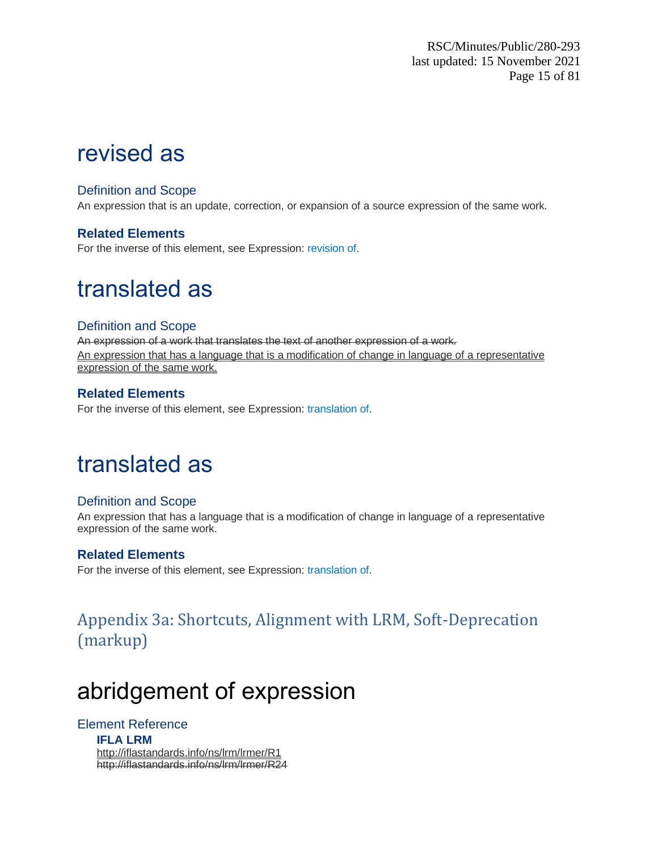# revised as

### Definition and Scope

An expression that is an update, correction, or expansion of a source expression of the same work.

### **Related Elements**

For the inverse of this element, see Expression: revision of.

# translated as

### Definition and Scope

An expression of a work that translates the text of another expression of a work. An expression that has a language that is a modification of change in language of a representative expression of the same work.

### **Related Elements**

For the inverse of this element, see Expression: translation of.

## translated as

### Definition and Scope

An expression that has a language that is a modification of change in language of a representative expression of the same work.

### **Related Elements**

For the inverse of this element, see Expression: translation of.

## <span id="page-14-0"></span>Appendix 3a: Shortcuts, Alignment with LRM, Soft-Deprecation (markup)

# abridgement of expression

### Element Reference

**IFLA LRM** http://iflastandards.info/ns/lrm/lrmer/R1 http://iflastandards.info/ns/lrm/lrmer/R24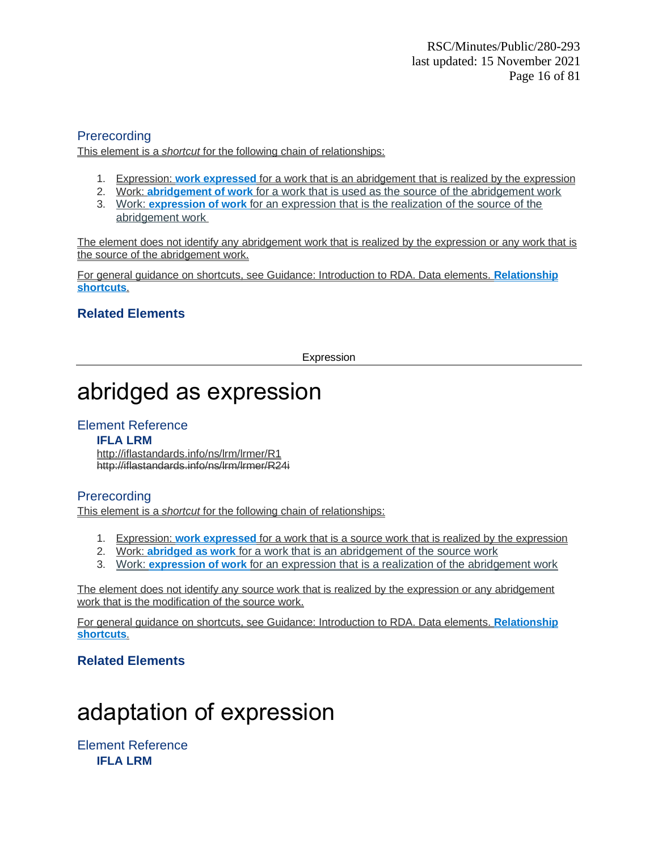### **Prerecording**

This element is a *shortcut* for the following chain of relationships:

- 1. Expression: **work expressed** for a work that is an abridgement that is realized by the expression
- 2. Work: **abridgement of work** for a work that is used as the source of the abridgement work
- 3. Work: **expression of work** for an expression that is the realization of the source of the abridgement work

The element does not identify any abridgement work that is realized by the expression or any work that is the source of the abridgement work.

For general guidance on shortcuts, see Guidance: Introduction to RDA. Data elements. **Relationship shortcuts**.

### **Related Elements**

Expression

# abridged as expression

### Element Reference

#### **IFLA LRM**

http://iflastandards.info/ns/lrm/lrmer/R1 http://iflastandards.info/ns/lrm/lrmer/R24i

### **Prerecording**

This element is a *shortcut* for the following chain of relationships:

- 1. Expression: **work expressed** for a work that is a source work that is realized by the expression
- 2. Work: **abridged as work** for a work that is an abridgement of the source work
- 3. Work: **expression of work** for an expression that is a realization of the abridgement work

The element does not identify any source work that is realized by the expression or any abridgement work that is the modification of the source work.

For general guidance on shortcuts, see Guidance: Introduction to RDA. Data elements. **Relationship shortcuts**.

### **Related Elements**

# adaptation of expression

Element Reference **IFLA LRM**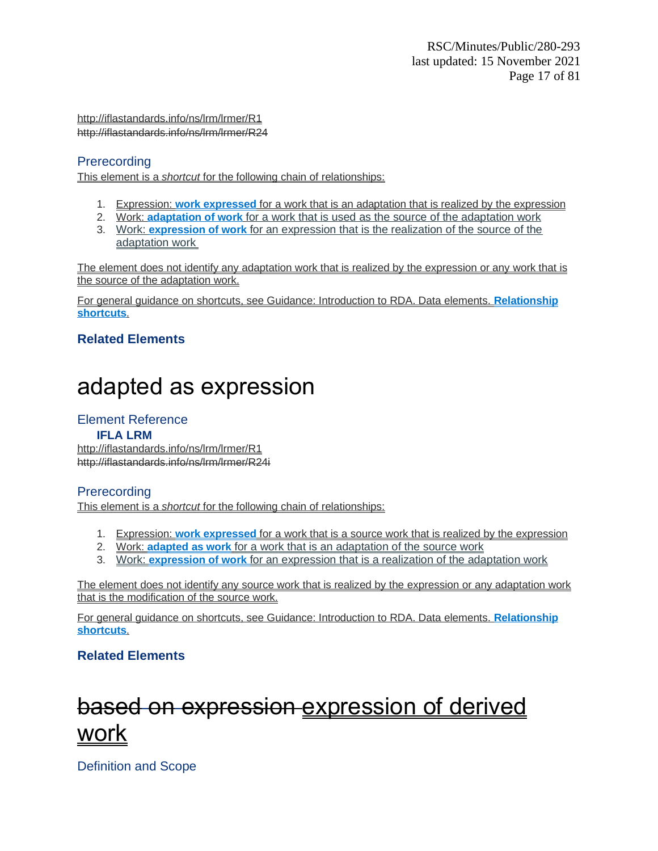http://iflastandards.info/ns/lrm/lrmer/R1 http://iflastandards.info/ns/lrm/lrmer/R24

### **Prerecording**

This element is a *shortcut* for the following chain of relationships:

- 1. Expression: **work expressed** for a work that is an adaptation that is realized by the expression
- 2. Work: **adaptation of work** for a work that is used as the source of the adaptation work
- 3. Work: **expression of work** for an expression that is the realization of the source of the adaptation work

The element does not identify any adaptation work that is realized by the expression or any work that is the source of the adaptation work.

For general guidance on shortcuts, see Guidance: Introduction to RDA. Data elements. **Relationship shortcuts**.

### **Related Elements**

# adapted as expression

### Element Reference

### **IFLA LRM**

http://iflastandards.info/ns/lrm/lrmer/R1 http://iflastandards.info/ns/lrm/lrmer/R24i

### **Prerecording**

This element is a *shortcut* for the following chain of relationships:

- 1. Expression: **work expressed** for a work that is a source work that is realized by the expression
- 2. Work: **adapted as work** for a work that is an adaptation of the source work
- 3. Work: **expression of work** for an expression that is a realization of the adaptation work

The element does not identify any source work that is realized by the expression or any adaptation work that is the modification of the source work.

For general guidance on shortcuts, see Guidance: Introduction to RDA. Data elements. **Relationship shortcuts**.

### **Related Elements**

# based on expression expression of derived work

Definition and Scope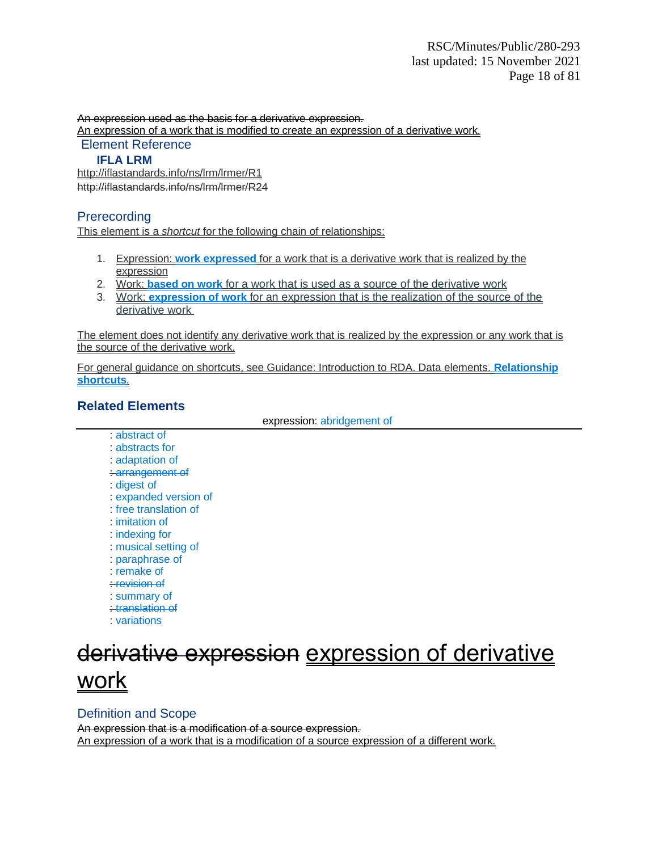An expression used as the basis for a derivative expression.

An expression of a work that is modified to create an expression of a derivative work. Element Reference

#### **IFLA LRM**

http://iflastandards.info/ns/lrm/lrmer/R1 http://iflastandards.info/ns/lrm/lrmer/R24

### **Prerecording**

This element is a *shortcut* for the following chain of relationships:

- 1. Expression: **work expressed** for a work that is a derivative work that is realized by the expression
- 2. Work: **based on work** for a work that is used as a source of the derivative work
- 3. Work: **expression of work** for an expression that is the realization of the source of the derivative work

The element does not identify any derivative work that is realized by the expression or any work that is the source of the derivative work.

For general guidance on shortcuts, see Guidance: Introduction to RDA. Data elements. **Relationship shortcuts**.

### **Related Elements**

expression: abridgement of

- : abstract of
- : abstracts for
- : adaptation of
- : arrangement of
- : digest of
- : expanded version of
- : free translation of
- : imitation of
- : indexing for
- : musical setting of
- : paraphrase of
- : remake of
- : revision of
- : summary of
- : translation of
- : variations

# derivative expression expression of derivative work

### Definition and Scope

An expression that is a modification of a source expression. An expression of a work that is a modification of a source expression of a different work.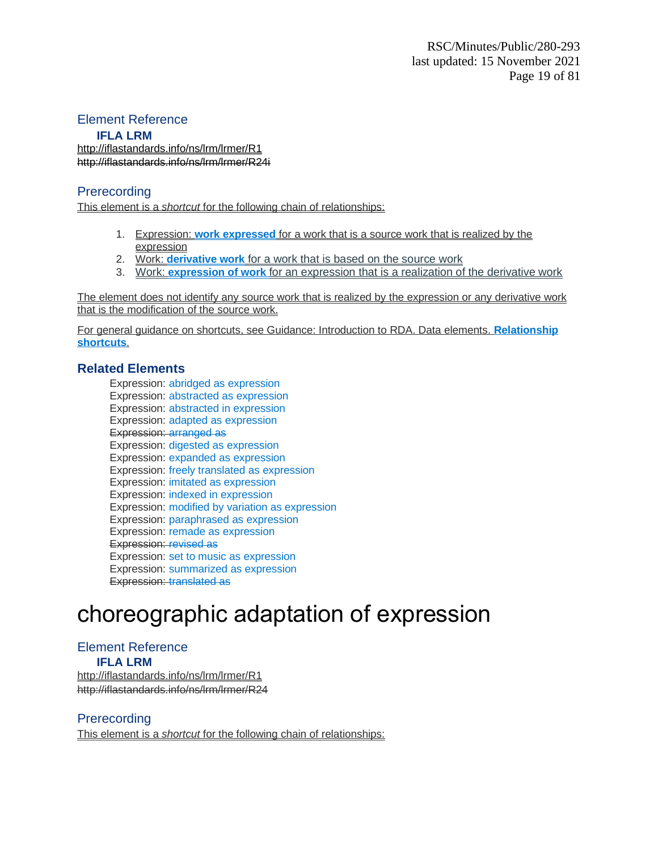### Element Reference

#### **IFLA LRM**

<http://iflastandards.info/ns/lrm/lrmer/R1> [http://iflastandards.info/ns/lrm/lrmer/R24i](http://iflastandards.info/ns/lrm/lrmer/R1)

### **Prerecording**

This element is a *shortcut* for the following chain of relationships:

- 1. Expression: **work expressed** for a work that is a source work that is realized by the expression
- 2. Work: **derivative work** for a work that is based on the source work
- 3. Work: **expression of work** for an expression that is a realization of the derivative work

The element does not identify any source work that is realized by the expression or any derivative work that is the modification of the source work.

For general guidance on shortcuts, see Guidance: Introduction to RDA. Data elements. **Relationship shortcuts**.

### **Related Elements**

Expression: abridged as expression Expression: abstracted as expression Expression: abstracted in expression Expression: adapted as expression Expression: arranged as Expression: digested as expression Expression: expanded as expression Expression: freely translated as expression Expression: imitated as expression Expression: indexed in expression Expression: modified by variation as expression Expression: paraphrased as expression Expression: remade as expression Expression: revised as Expression: set to music as expression Expression: summarized as expression Expression: translated as

# choreographic adaptation of expression

## Element Reference

**IFLA LRM** http://iflastandards.info/ns/lrm/lrmer/R1 http://iflastandards.info/ns/lrm/lrmer/R24

### Prerecording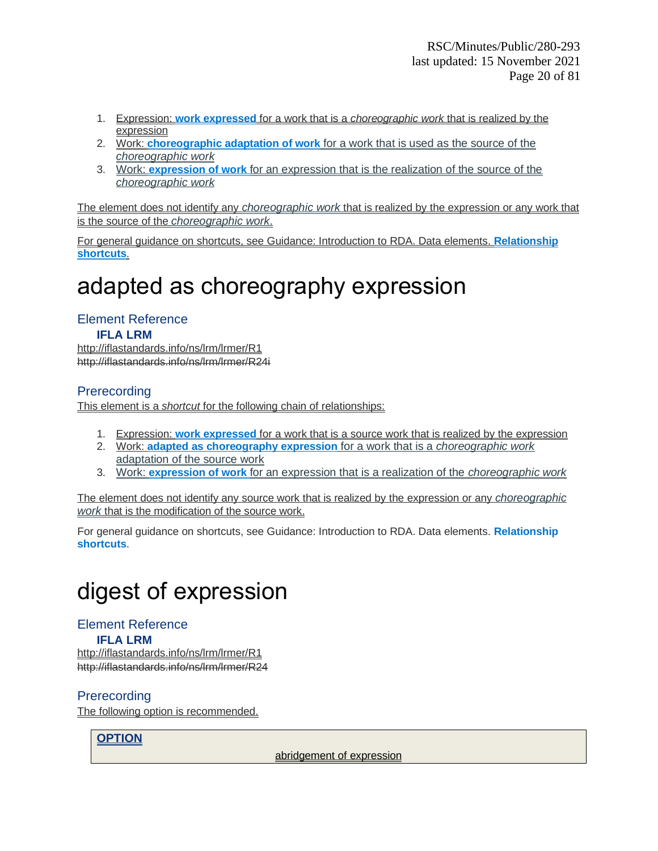- 1. Expression: **work expressed** for a work that is a *choreographic work* that is realized by the expression
- 2. Work: **choreographic adaptation of work** for a work that is used as the source of the *choreographic work*
- 3. Work: **expression of work** for an expression that is the realization of the source of the *choreographic work*

The element does not identify any *choreographic work* that is realized by the expression or any work that is the source of the *choreographic work*.

For general guidance on shortcuts, see Guidance: Introduction to RDA. Data elements. **Relationship shortcuts**.

# adapted as choreography expression

### Element Reference

#### **IFLA LRM**

http://iflastandards.info/ns/lrm/lrmer/R1 http://iflastandards.info/ns/lrm/lrmer/R24i

### **Prerecording**

This element is a *shortcut* for the following chain of relationships:

- 1. Expression: **work expressed** for a work that is a source work that is realized by the expression
- 2. Work: **adapted as choreography expression** for a work that is a *choreographic work* adaptation of the source work
- 3. Work: **expression of work** for an expression that is a realization of the *choreographic work*

The element does not identify any source work that is realized by the expression or any *choreographic work* that is the modification of the source work.

For general guidance on shortcuts, see Guidance: Introduction to RDA. Data elements. **Relationship shortcuts**.

# digest of expression

### Element Reference

### **IFLA LRM**

http://iflastandards.info/ns/lrm/lrmer/R1 http://iflastandards.info/ns/lrm/lrmer/R24

### **Prerecording**

The following option is recommended.

### **OPTION**

abridgement of expression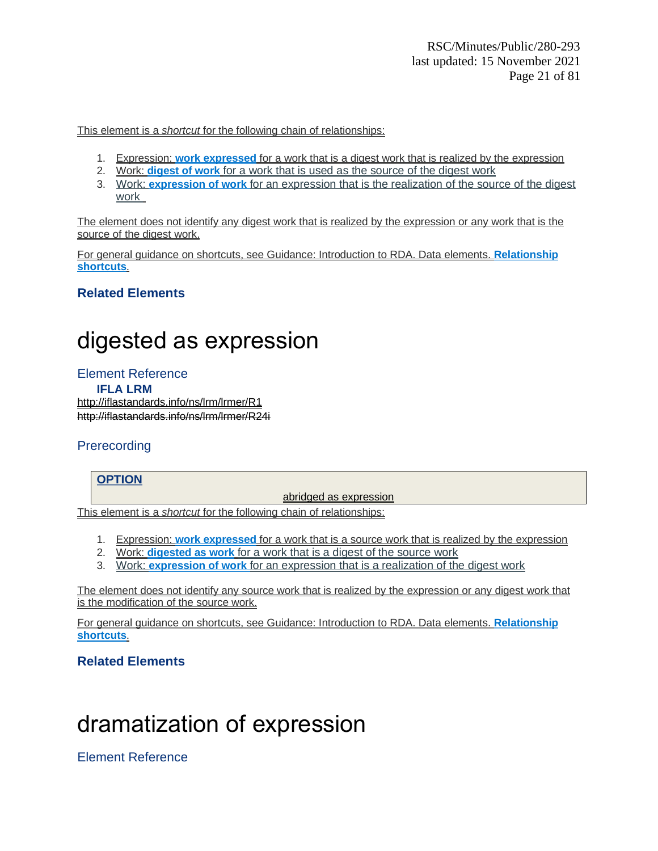This element is a *shortcut* for the following chain of relationships:

- 1. Expression: **work expressed** for a work that is a digest work that is realized by the expression
- 2. Work: **digest of work** for a work that is used as the source of the digest work
- 3. Work: **expression of work** for an expression that is the realization of the source of the digest work

The element does not identify any digest work that is realized by the expression or any work that is the source of the digest work.

For general guidance on shortcuts, see Guidance: Introduction to RDA. Data elements. **Relationship shortcuts**.

### **Related Elements**

# digested as expression

Element Reference **IFLA LRM** <http://iflastandards.info/ns/lrm/lrmer/R1> [http://iflastandards.info/ns/lrm/lrmer/R24i](http://iflastandards.info/ns/lrm/lrmer/R1)

### **Prerecording**

### **OPTION**

abridged as expression

This element is a *shortcut* for the following chain of relationships:

- 1. Expression: **work expressed** for a work that is a source work that is realized by the expression
- 2. Work: **digested as work** for a work that is a digest of the source work
- 3. Work: **expression of work** for an expression that is a realization of the digest work

The element does not identify any source work that is realized by the expression or any digest work that is the modification of the source work.

For general guidance on shortcuts, see Guidance: Introduction to RDA. Data elements. **Relationship shortcuts**.

### **Related Elements**

# dramatization of expression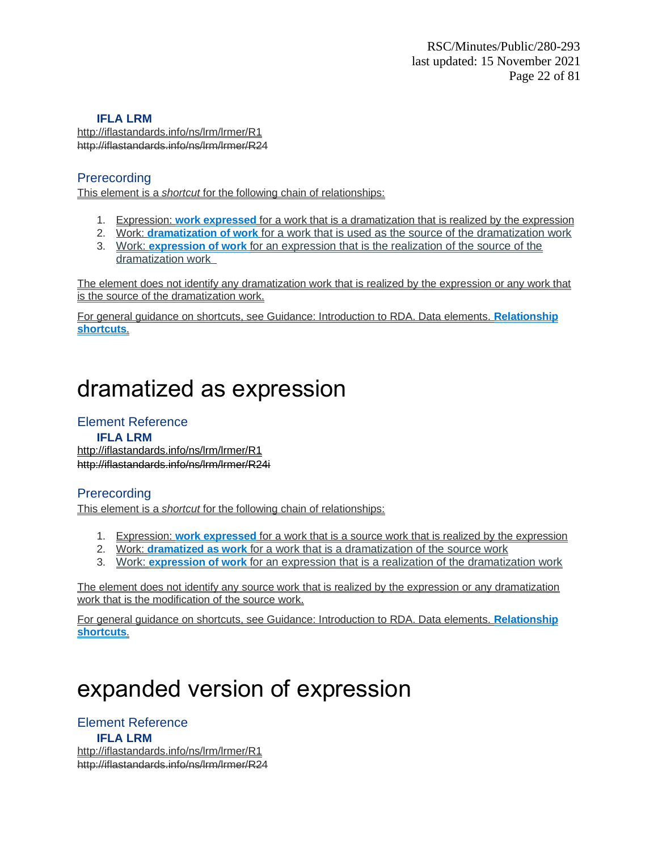http://iflastandards.info/ns/lrm/lrmer/R1 http://iflastandards.info/ns/lrm/lrmer/R24

### **Prerecording**

This element is a *shortcut* for the following chain of relationships:

- 1. Expression: **work expressed** for a work that is a dramatization that is realized by the expression
- 2. Work: **dramatization of work** for a work that is used as the source of the dramatization work
- 3. Work: **expression of work** for an expression that is the realization of the source of the dramatization work

The element does not identify any dramatization work that is realized by the expression or any work that is the source of the dramatization work.

For general guidance on shortcuts, see Guidance: Introduction to RDA. Data elements. **Relationship shortcuts**.

# dramatized as expression

### Element Reference

**IFLA LRM** <http://iflastandards.info/ns/lrm/lrmer/R1> [http://iflastandards.info/ns/lrm/lrmer/R24i](http://iflastandards.info/ns/lrm/lrmer/R1)

### **Prerecording**

This element is a *shortcut* for the following chain of relationships:

- 1. Expression: **work expressed** for a work that is a source work that is realized by the expression
- 2. Work: **dramatized as work** for a work that is a dramatization of the source work
- 3. Work: **expression of work** for an expression that is a realization of the dramatization work

The element does not identify any source work that is realized by the expression or any dramatization work that is the modification of the source work.

For general guidance on shortcuts, see Guidance: Introduction to RDA. Data elements. **Relationship shortcuts**.

# expanded version of expression

Element Reference **IFLA LRM** http://iflastandards.info/ns/lrm/lrmer/R1 http://iflastandards.info/ns/lrm/lrmer/R24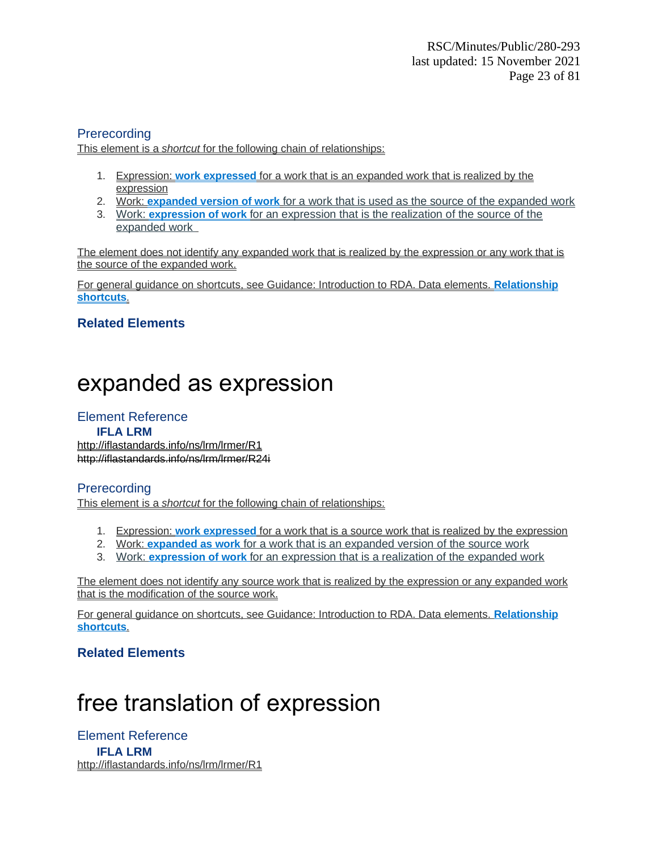### **Prerecording**

This element is a *shortcut* for the following chain of relationships:

- 1. Expression: **work expressed** for a work that is an expanded work that is realized by the expression
- 2. Work: **expanded version of work** for a work that is used as the source of the expanded work
- 3. Work: **expression of work** for an expression that is the realization of the source of the expanded work

The element does not identify any expanded work that is realized by the expression or any work that is the source of the expanded work.

For general guidance on shortcuts, see Guidance: Introduction to RDA. Data elements. **Relationship shortcuts**.

### **Related Elements**

# expanded as expression

### Element Reference

#### **IFLA LRM**

<http://iflastandards.info/ns/lrm/lrmer/R1> [http://iflastandards.info/ns/lrm/lrmer/R24i](http://iflastandards.info/ns/lrm/lrmer/R1)

### **Prerecording**

This element is a *shortcut* for the following chain of relationships:

- 1. Expression: **work expressed** for a work that is a source work that is realized by the expression
- 2. Work: **expanded as work** for a work that is an expanded version of the source work
- 3. Work: **expression of work** for an expression that is a realization of the expanded work

The element does not identify any source work that is realized by the expression or any expanded work that is the modification of the source work.

For general guidance on shortcuts, see Guidance: Introduction to RDA. Data elements. **Relationship shortcuts**.

### **Related Elements**

# free translation of expression

Element Reference **IFLA LRM** http://iflastandards.info/ns/lrm/lrmer/R1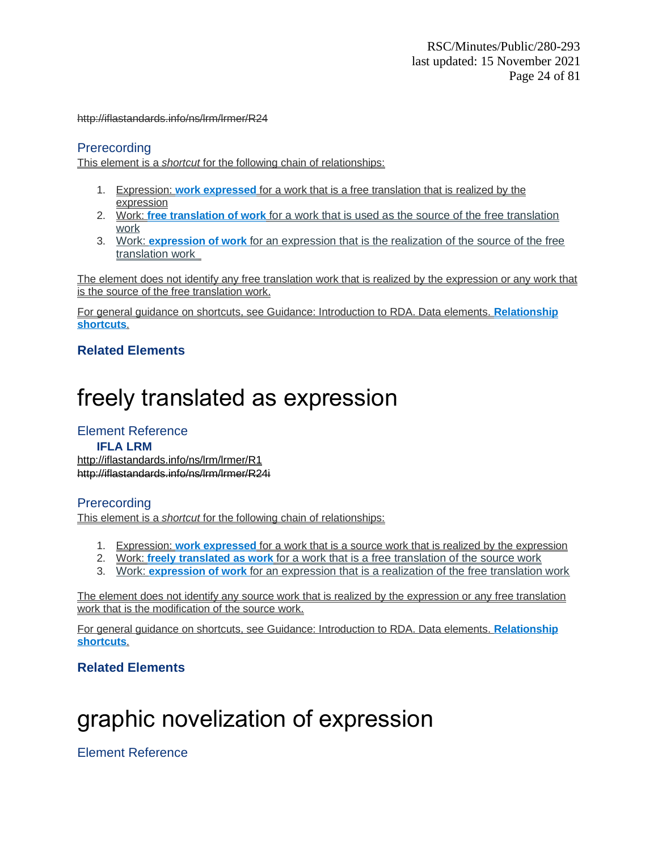http://iflastandards.info/ns/lrm/lrmer/R24

### **Prerecording**

This element is a *shortcut* for the following chain of relationships:

- 1. Expression: **work expressed** for a work that is a free translation that is realized by the expression
- 2. Work: **free translation of work** for a work that is used as the source of the free translation work
- 3. Work: **expression of work** for an expression that is the realization of the source of the free translation work

The element does not identify any free translation work that is realized by the expression or any work that is the source of the free translation work.

For general guidance on shortcuts, see Guidance: Introduction to RDA. Data elements. **Relationship shortcuts**.

### **Related Elements**

# freely translated as expression

### Element Reference

#### **IFLA LRM**

<http://iflastandards.info/ns/lrm/lrmer/R1> [http://iflastandards.info/ns/lrm/lrmer/R24i](http://iflastandards.info/ns/lrm/lrmer/R1)

### **Prerecording**

This element is a *shortcut* for the following chain of relationships:

- 1. Expression: **work expressed** for a work that is a source work that is realized by the expression
- 2. Work: **freely translated as work** for a work that is a free translation of the source work
- 3. Work: **expression of work** for an expression that is a realization of the free translation work

The element does not identify any source work that is realized by the expression or any free translation work that is the modification of the source work.

For general guidance on shortcuts, see Guidance: Introduction to RDA. Data elements. **Relationship shortcuts**.

### **Related Elements**

# graphic novelization of expression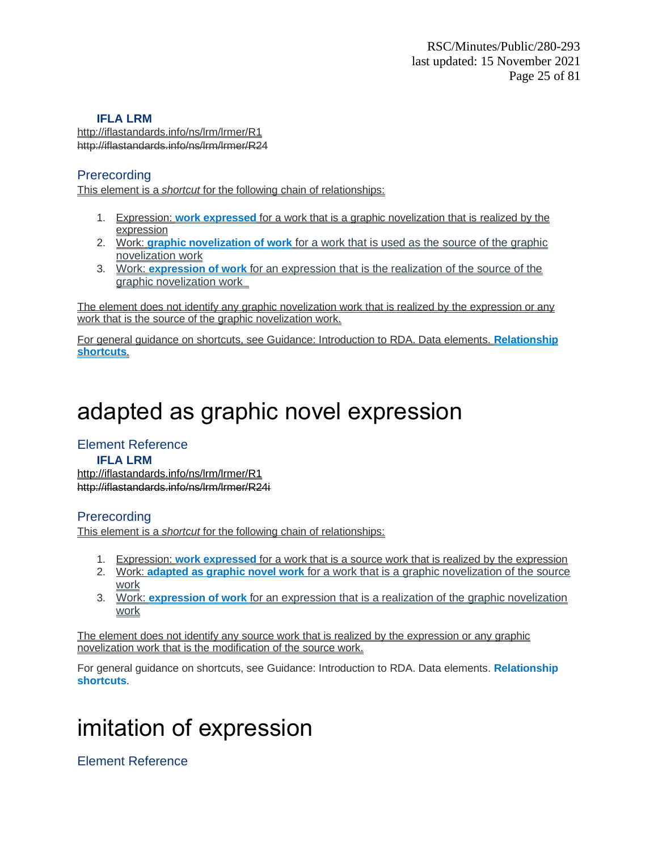http://iflastandards.info/ns/lrm/lrmer/R1 http://iflastandards.info/ns/lrm/lrmer/R24

### **Prerecording**

This element is a *shortcut* for the following chain of relationships:

- 1. Expression: **work expressed** for a work that is a graphic novelization that is realized by the expression
- 2. Work: **graphic novelization of work** for a work that is used as the source of the graphic novelization work
- 3. Work: **expression of work** for an expression that is the realization of the source of the graphic novelization work

The element does not identify any graphic novelization work that is realized by the expression or any work that is the source of the graphic novelization work.

For general guidance on shortcuts, see Guidance: Introduction to RDA. Data elements. **Relationship shortcuts**.

# adapted as graphic novel expression

### Element Reference

### **IFLA LRM**

<http://iflastandards.info/ns/lrm/lrmer/R1> [http://iflastandards.info/ns/lrm/lrmer/R24i](http://iflastandards.info/ns/lrm/lrmer/R1)

### Prerecording

This element is a *shortcut* for the following chain of relationships:

- 1. Expression: **work expressed** for a work that is a source work that is realized by the expression
- 2. Work: **adapted as graphic novel work** for a work that is a graphic novelization of the source work
- 3. Work: **expression of work** for an expression that is a realization of the graphic novelization work

The element does not identify any source work that is realized by the expression or any graphic novelization work that is the modification of the source work.

For general guidance on shortcuts, see Guidance: Introduction to RDA. Data elements. **Relationship shortcuts**.

# imitation of expression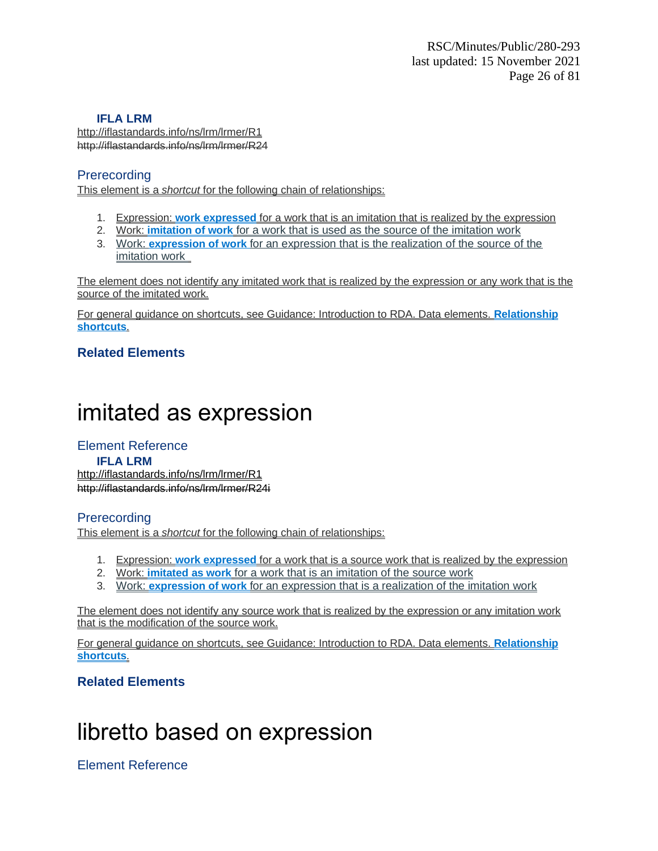http://iflastandards.info/ns/lrm/lrmer/R1 http://iflastandards.info/ns/lrm/lrmer/R24

### **Prerecording**

This element is a *shortcut* for the following chain of relationships:

- 1. Expression: **work expressed** for a work that is an imitation that is realized by the expression
- 2. Work: **imitation of work** for a work that is used as the source of the imitation work
- 3. Work: **expression of work** for an expression that is the realization of the source of the imitation work

The element does not identify any imitated work that is realized by the expression or any work that is the source of the imitated work.

For general guidance on shortcuts, see Guidance: Introduction to RDA. Data elements. **Relationship shortcuts**.

### **Related Elements**

# imitated as expression

#### Element Reference **IFLA LRM** <http://iflastandards.info/ns/lrm/lrmer/R1> [http://iflastandards.info/ns/lrm/lrmer/R24i](http://iflastandards.info/ns/lrm/lrmer/R1)

### **Prerecording**

This element is a *shortcut* for the following chain of relationships:

- 1. Expression: **work expressed** for a work that is a source work that is realized by the expression
- 2. Work: **imitated as work** for a work that is an imitation of the source work
- 3. Work: **expression of work** for an expression that is a realization of the imitation work

The element does not identify any source work that is realized by the expression or any imitation work that is the modification of the source work.

For general guidance on shortcuts, see Guidance: Introduction to RDA. Data elements. **Relationship shortcuts**.

### **Related Elements**

# libretto based on expression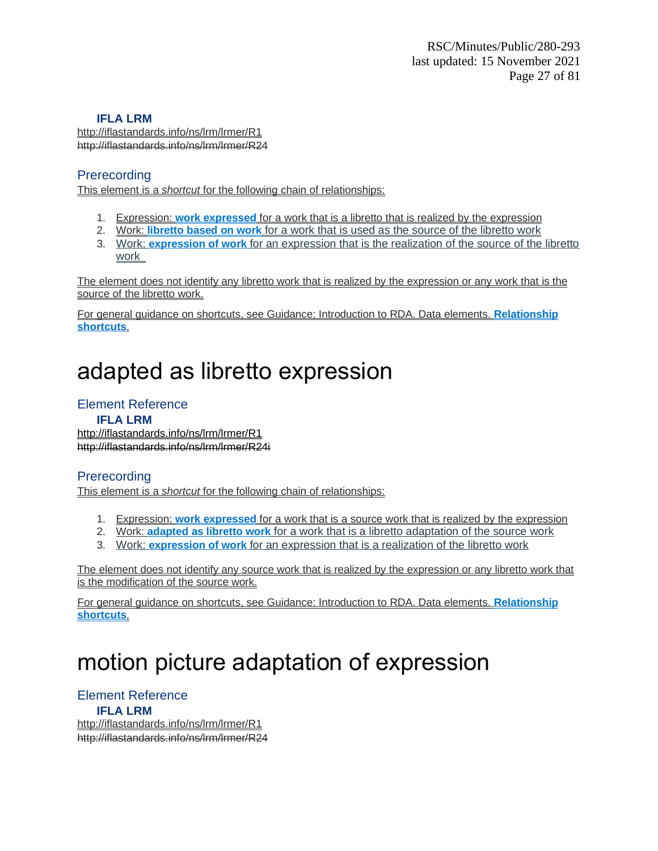http://iflastandards.info/ns/lrm/lrmer/R1 http://iflastandards.info/ns/lrm/lrmer/R24

### **Prerecording**

This element is a *shortcut* for the following chain of relationships:

- 1. Expression: **work expressed** for a work that is a libretto that is realized by the expression
- 2. Work: **libretto based on work** for a work that is used as the source of the libretto work
- 3. Work: **expression of work** for an expression that is the realization of the source of the libretto work

The element does not identify any libretto work that is realized by the expression or any work that is the source of the libretto work.

For general guidance on shortcuts, see Guidance: Introduction to RDA. Data elements. **Relationship shortcuts**.

# adapted as libretto expression

### Element Reference

**IFLA LRM** <http://iflastandards.info/ns/lrm/lrmer/R1> [http://iflastandards.info/ns/lrm/lrmer/R24i](http://iflastandards.info/ns/lrm/lrmer/R1)

### Prerecording

This element is a *shortcut* for the following chain of relationships:

- 1. Expression: **work expressed** for a work that is a source work that is realized by the expression
- 2. Work: **adapted as libretto work** for a work that is a libretto adaptation of the source work
- 3. Work: **expression of work** for an expression that is a realization of the libretto work

The element does not identify any source work that is realized by the expression or any libretto work that is the modification of the source work.

For general guidance on shortcuts, see Guidance: Introduction to RDA. Data elements. **Relationship shortcuts**.

# motion picture adaptation of expression

Element Reference **IFLA LRM** http://iflastandards.info/ns/lrm/lrmer/R1 http://iflastandards.info/ns/lrm/lrmer/R24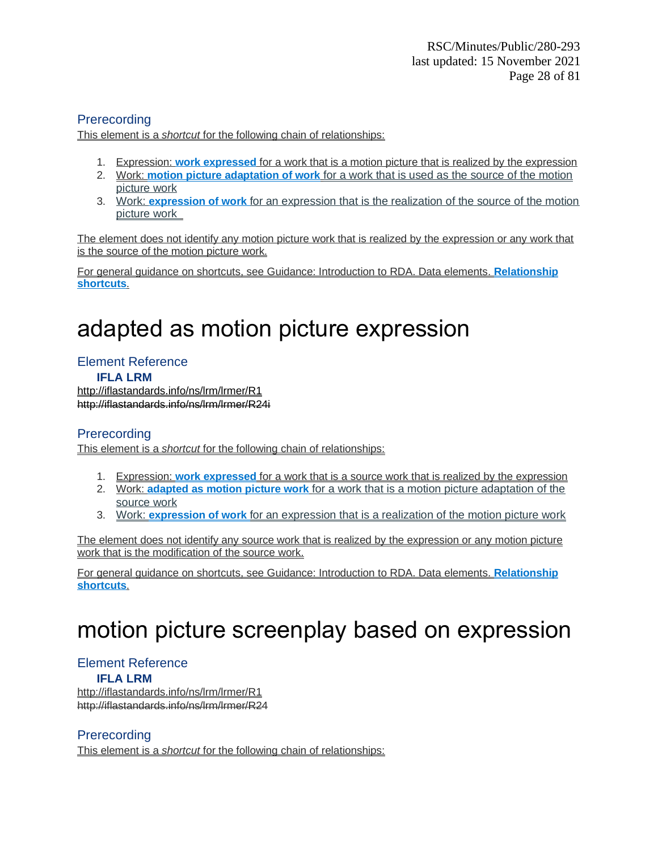### **Prerecording**

This element is a *shortcut* for the following chain of relationships:

- 1. Expression: **work expressed** for a work that is a motion picture that is realized by the expression
- 2. Work: **motion picture adaptation of work** for a work that is used as the source of the motion picture work
- 3. Work: **expression of work** for an expression that is the realization of the source of the motion picture work

The element does not identify any motion picture work that is realized by the expression or any work that is the source of the motion picture work.

For general guidance on shortcuts, see Guidance: Introduction to RDA. Data elements. **Relationship shortcuts**.

# adapted as motion picture expression

## Element Reference

**IFLA LRM** <http://iflastandards.info/ns/lrm/lrmer/R1> [http://iflastandards.info/ns/lrm/lrmer/R24i](http://iflastandards.info/ns/lrm/lrmer/R1)

### **Prerecording**

This element is a *shortcut* for the following chain of relationships:

- 1. Expression: **work expressed** for a work that is a source work that is realized by the expression
- 2. Work: **adapted as motion picture work** for a work that is a motion picture adaptation of the source work
- 3. Work: **expression of work** for an expression that is a realization of the motion picture work

The element does not identify any source work that is realized by the expression or any motion picture work that is the modification of the source work.

For general guidance on shortcuts, see Guidance: Introduction to RDA. Data elements. **Relationship shortcuts**.

# motion picture screenplay based on expression

### Element Reference

### **IFLA LRM**

http://iflastandards.info/ns/lrm/lrmer/R1 http://iflastandards.info/ns/lrm/lrmer/R24

### **Prerecording**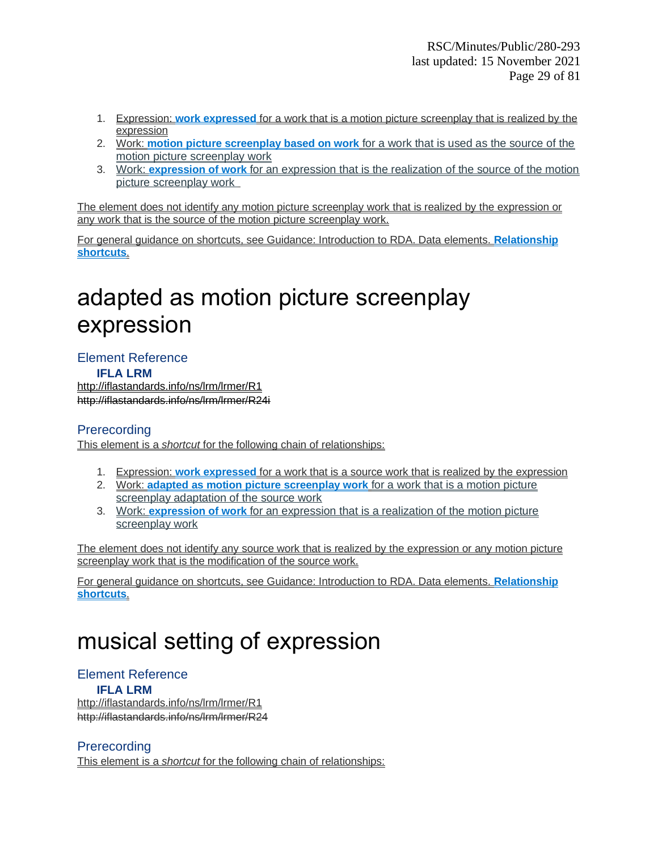- 1. Expression: **work expressed** for a work that is a motion picture screenplay that is realized by the expression
- 2. Work: **motion picture screenplay based on work** for a work that is used as the source of the motion picture screenplay work
- 3. Work: **expression of work** for an expression that is the realization of the source of the motion picture screenplay work

The element does not identify any motion picture screenplay work that is realized by the expression or any work that is the source of the motion picture screenplay work.

For general guidance on shortcuts, see Guidance: Introduction to RDA. Data elements. **Relationship shortcuts**.

# adapted as motion picture screenplay expression

Element Reference **IFLA LRM**

<http://iflastandards.info/ns/lrm/lrmer/R1> [http://iflastandards.info/ns/lrm/lrmer/R24i](http://iflastandards.info/ns/lrm/lrmer/R1)

### Prerecording

This element is a *shortcut* for the following chain of relationships:

- 1. Expression: **work expressed** for a work that is a source work that is realized by the expression
- 2. Work: **adapted as motion picture screenplay work** for a work that is a motion picture screenplay adaptation of the source work
- 3. Work: **expression of work** for an expression that is a realization of the motion picture screenplay work

The element does not identify any source work that is realized by the expression or any motion picture screenplay work that is the modification of the source work.

For general guidance on shortcuts, see Guidance: Introduction to RDA. Data elements. **Relationship shortcuts**.

# musical setting of expression

### Element Reference

#### **IFLA LRM**

http://iflastandards.info/ns/lrm/lrmer/R1 http://iflastandards.info/ns/lrm/lrmer/R24

### **Prerecording**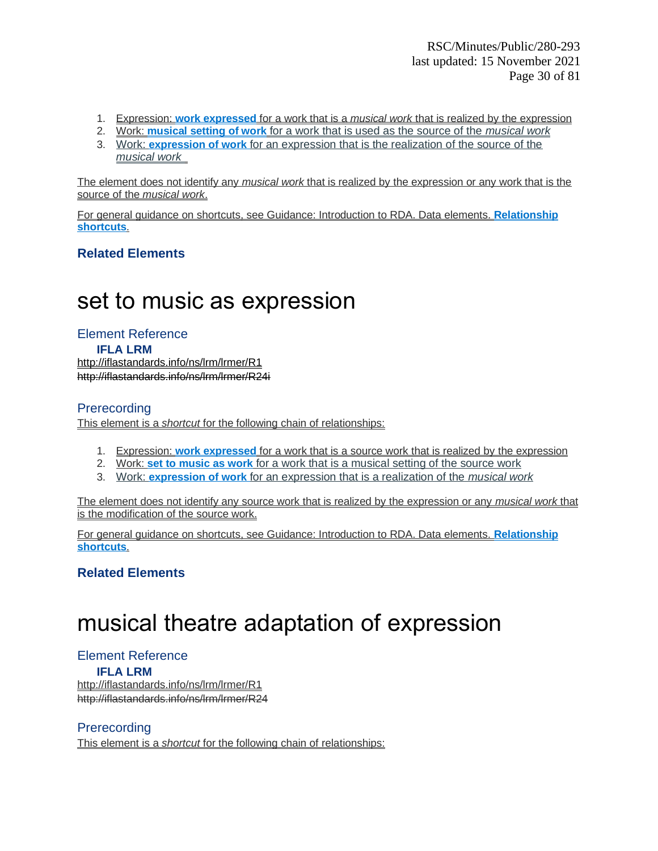- 1. Expression: **work expressed** for a work that is a *musical work* that is realized by the expression
- 2. Work: **musical setting of work** for a work that is used as the source of the *musical work*
- 3. Work: **expression of work** for an expression that is the realization of the source of the *musical work*

The element does not identify any *musical work* that is realized by the expression or any work that is the source of the *musical work*.

For general guidance on shortcuts, see Guidance: Introduction to RDA. Data elements. **Relationship shortcuts**.

### **Related Elements**

## set to music as expression

Element Reference **IFLA LRM** <http://iflastandards.info/ns/lrm/lrmer/R1> [http://iflastandards.info/ns/lrm/lrmer/R24i](http://iflastandards.info/ns/lrm/lrmer/R1)

### **Prerecording**

This element is a *shortcut* for the following chain of relationships:

- 1. Expression: **work expressed** for a work that is a source work that is realized by the expression
- 2. Work: **set to music as work** for a work that is a musical setting of the source work
- 3. Work: **expression of work** for an expression that is a realization of the *musical work*

The element does not identify any source work that is realized by the expression or any *musical work* that is the modification of the source work.

For general guidance on shortcuts, see Guidance: Introduction to RDA. Data elements. **Relationship shortcuts**.

### **Related Elements**

# musical theatre adaptation of expression

### Element Reference

#### **IFLA LRM**

http://iflastandards.info/ns/lrm/lrmer/R1 http://iflastandards.info/ns/lrm/lrmer/R24

### **Prerecording**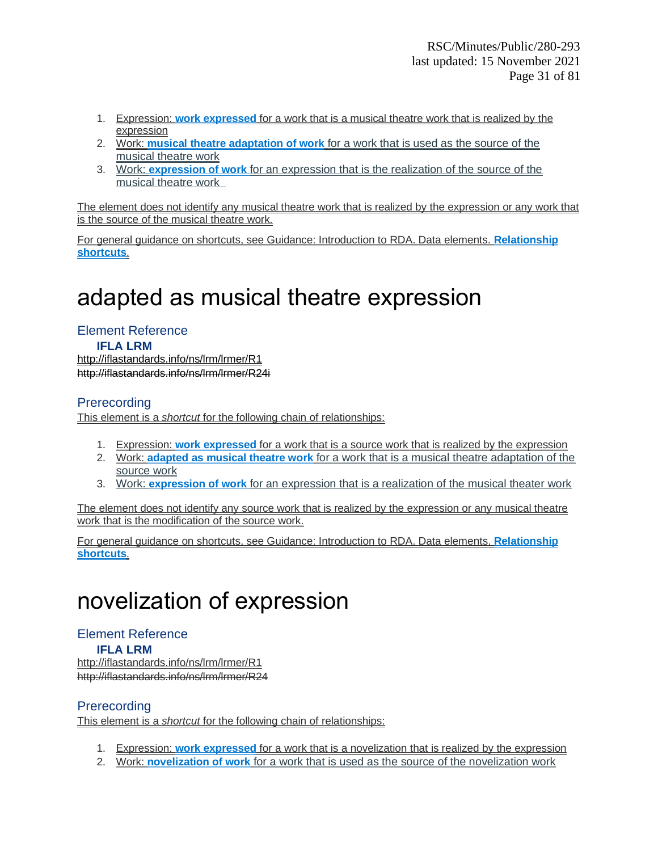- 1. Expression: **work expressed** for a work that is a musical theatre work that is realized by the expression
- 2. Work: **musical theatre adaptation of work** for a work that is used as the source of the musical theatre work
- 3. Work: **expression of work** for an expression that is the realization of the source of the musical theatre work

The element does not identify any musical theatre work that is realized by the expression or any work that is the source of the musical theatre work.

For general guidance on shortcuts, see Guidance: Introduction to RDA. Data elements. **Relationship shortcuts**.

# adapted as musical theatre expression

Element Reference **IFLA LRM** <http://iflastandards.info/ns/lrm/lrmer/R1> [http://iflastandards.info/ns/lrm/lrmer/R24i](http://iflastandards.info/ns/lrm/lrmer/R1)

### **Prerecording**

This element is a *shortcut* for the following chain of relationships:

- 1. Expression: **work expressed** for a work that is a source work that is realized by the expression
- 2. Work: **adapted as musical theatre work** for a work that is a musical theatre adaptation of the source work
- 3. Work: **expression of work** for an expression that is a realization of the musical theater work

The element does not identify any source work that is realized by the expression or any musical theatre work that is the modification of the source work.

For general guidance on shortcuts, see Guidance: Introduction to RDA. Data elements. **Relationship shortcuts**.

# novelization of expression

#### Element Reference **IFLA LRM** http://iflastandards.info/ns/lrm/lrmer/R1 http://iflastandards.info/ns/lrm/lrmer/R24

### **Prerecording**

- 1. Expression: **work expressed** for a work that is a novelization that is realized by the expression
- 2. Work: **novelization of work** for a work that is used as the source of the novelization work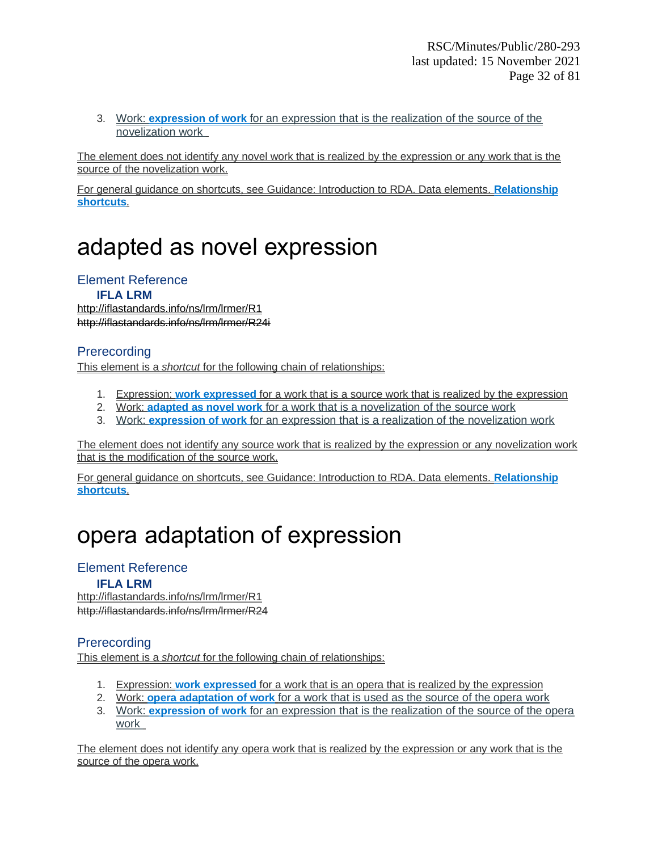3. Work: **expression of work** for an expression that is the realization of the source of the novelization work

The element does not identify any novel work that is realized by the expression or any work that is the source of the novelization work.

For general guidance on shortcuts, see Guidance: Introduction to RDA. Data elements. **Relationship shortcuts**.

# adapted as novel expression

### Element Reference

**IFLA LRM** <http://iflastandards.info/ns/lrm/lrmer/R1> [http://iflastandards.info/ns/lrm/lrmer/R24i](http://iflastandards.info/ns/lrm/lrmer/R1)

### **Prerecording**

This element is a *shortcut* for the following chain of relationships:

- 1. Expression: **work expressed** for a work that is a source work that is realized by the expression
- 2. Work: **adapted as novel work** for a work that is a novelization of the source work
- 3. Work: **expression of work** for an expression that is a realization of the novelization work

The element does not identify any source work that is realized by the expression or any novelization work that is the modification of the source work.

For general guidance on shortcuts, see Guidance: Introduction to RDA. Data elements. **Relationship shortcuts**.

# opera adaptation of expression

### Element Reference

### **IFLA LRM**

http://iflastandards.info/ns/lrm/lrmer/R1 http://iflastandards.info/ns/lrm/lrmer/R24

### **Prerecording**

This element is a *shortcut* for the following chain of relationships:

- 1. Expression: **work expressed** for a work that is an opera that is realized by the expression
- 2. Work: **opera adaptation of work** for a work that is used as the source of the opera work
- 3. Work: **expression of work** for an expression that is the realization of the source of the opera work

The element does not identify any opera work that is realized by the expression or any work that is the source of the opera work.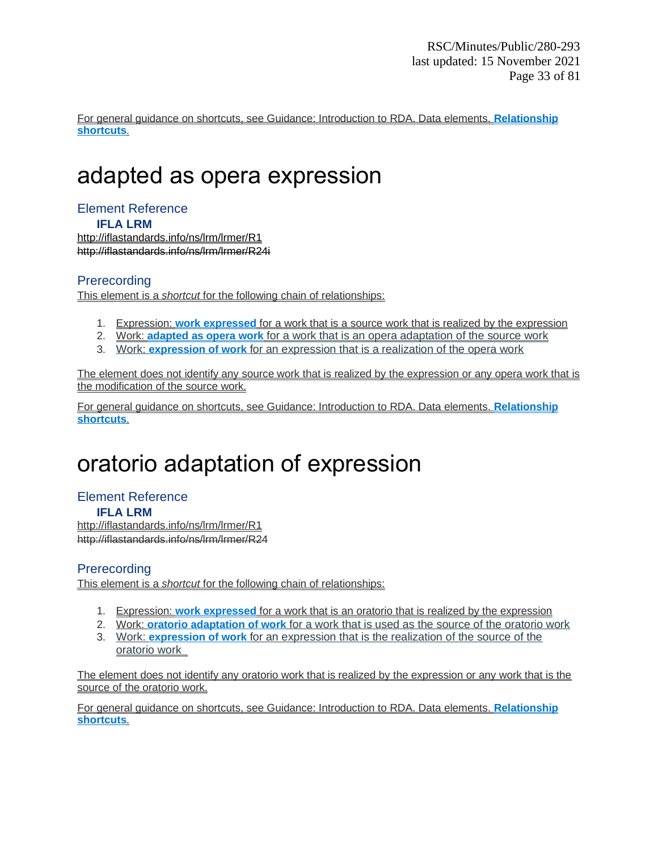For general guidance on shortcuts, see Guidance: Introduction to RDA. Data elements. **Relationship shortcuts**.

# adapted as opera expression

### Element Reference

**IFLA LRM**

<http://iflastandards.info/ns/lrm/lrmer/R1> [http://iflastandards.info/ns/lrm/lrmer/R24i](http://iflastandards.info/ns/lrm/lrmer/R1)

### **Prerecording**

This element is a *shortcut* for the following chain of relationships:

- 1. Expression: **work expressed** for a work that is a source work that is realized by the expression
- 2. Work: **adapted as opera work** for a work that is an opera adaptation of the source work
- 3. Work: **expression of work** for an expression that is a realization of the opera work

The element does not identify any source work that is realized by the expression or any opera work that is the modification of the source work.

For general guidance on shortcuts, see Guidance: Introduction to RDA. Data elements. **Relationship shortcuts**.

# oratorio adaptation of expression

#### Element Reference **IFLA LRM**

http://iflastandards.info/ns/lrm/lrmer/R1 http://iflastandards.info/ns/lrm/lrmer/R24

### **Prerecording**

This element is a *shortcut* for the following chain of relationships:

- 1. Expression: **work expressed** for a work that is an oratorio that is realized by the expression
- 2. Work: **oratorio adaptation of work** for a work that is used as the source of the oratorio work
- 3. Work: **expression of work** for an expression that is the realization of the source of the oratorio work

The element does not identify any oratorio work that is realized by the expression or any work that is the source of the oratorio work.

For general guidance on shortcuts, see Guidance: Introduction to RDA. Data elements. **Relationship shortcuts**.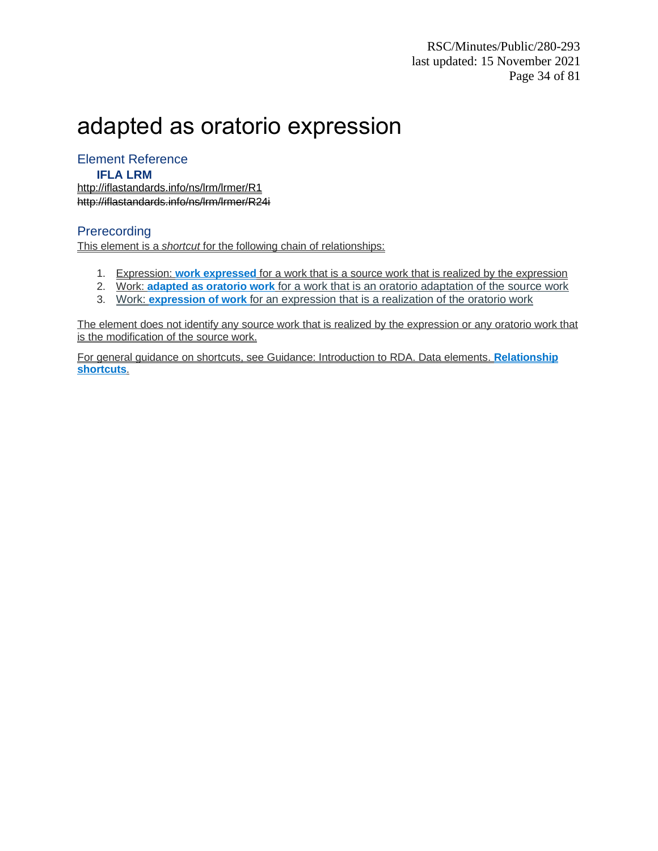# adapted as oratorio expression

### Element Reference

#### **IFLA LRM**

<http://iflastandards.info/ns/lrm/lrmer/R1> [http://iflastandards.info/ns/lrm/lrmer/R24i](http://iflastandards.info/ns/lrm/lrmer/R1)

### **Prerecording**

This element is a *shortcut* for the following chain of relationships:

- 1. Expression: **work expressed** for a work that is a source work that is realized by the expression
- 2. Work: **adapted as oratorio work** for a work that is an oratorio adaptation of the source work
- 3. Work: **expression of work** for an expression that is a realization of the oratorio work

The element does not identify any source work that is realized by the expression or any oratorio work that is the modification of the source work.

For general guidance on shortcuts, see Guidance: Introduction to RDA. Data elements. **Relationship shortcuts**.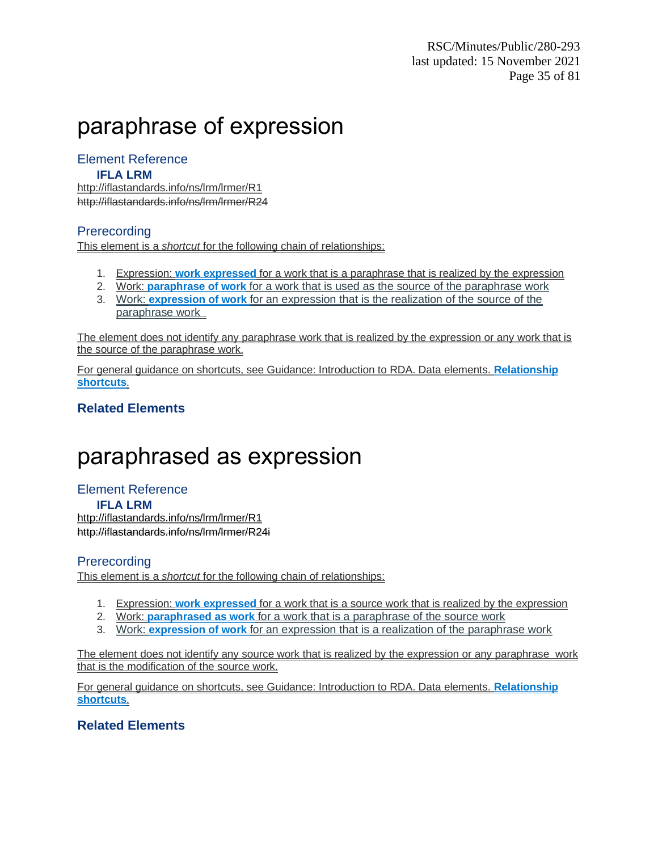# paraphrase of expression

### Element Reference

### **IFLA LRM**

http://iflastandards.info/ns/lrm/lrmer/R1 http://iflastandards.info/ns/lrm/lrmer/R24

### **Prerecording**

This element is a *shortcut* for the following chain of relationships:

- 1. Expression: **work expressed** for a work that is a paraphrase that is realized by the expression
- 2. Work: **paraphrase of work** for a work that is used as the source of the paraphrase work
- 3. Work: **expression of work** for an expression that is the realization of the source of the paraphrase work

The element does not identify any paraphrase work that is realized by the expression or any work that is the source of the paraphrase work.

For general guidance on shortcuts, see Guidance: Introduction to RDA. Data elements. **Relationship shortcuts**.

### **Related Elements**

# paraphrased as expression

Element Reference **IFLA LRM** <http://iflastandards.info/ns/lrm/lrmer/R1> [http://iflastandards.info/ns/lrm/lrmer/R24i](http://iflastandards.info/ns/lrm/lrmer/R1)

### **Prerecording**

This element is a *shortcut* for the following chain of relationships:

- 1. Expression: **work expressed** for a work that is a source work that is realized by the expression
- 2. Work: **paraphrased as work** for a work that is a paraphrase of the source work
- 3. Work: **expression of work** for an expression that is a realization of the paraphrase work

The element does not identify any source work that is realized by the expression or any paraphrase work that is the modification of the source work.

For general guidance on shortcuts, see Guidance: Introduction to RDA. Data elements. **Relationship shortcuts**.

### **Related Elements**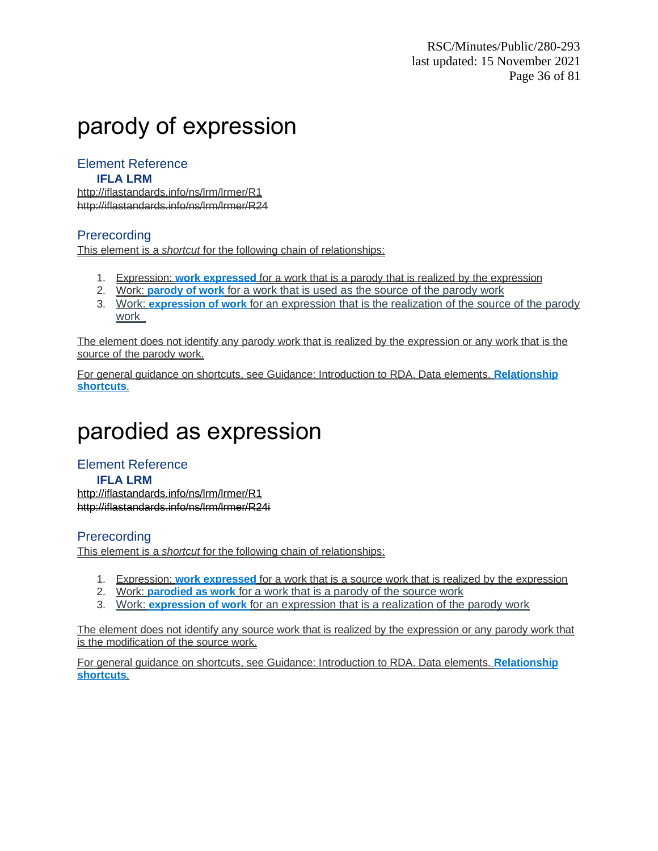# parody of expression

### Element Reference

### **IFLA LRM**

http://iflastandards.info/ns/lrm/lrmer/R1 http://iflastandards.info/ns/lrm/lrmer/R24

### **Prerecording**

This element is a *shortcut* for the following chain of relationships:

- 1. Expression: **work expressed** for a work that is a parody that is realized by the expression
- 2. Work: **parody of work** for a work that is used as the source of the parody work
- 3. Work: **expression of work** for an expression that is the realization of the source of the parody work

The element does not identify any parody work that is realized by the expression or any work that is the source of the parody work.

For general guidance on shortcuts, see Guidance: Introduction to RDA. Data elements. **Relationship shortcuts**.

## parodied as expression

Element Reference **IFLA LRM** <http://iflastandards.info/ns/lrm/lrmer/R1> [http://iflastandards.info/ns/lrm/lrmer/R24i](http://iflastandards.info/ns/lrm/lrmer/R1)

### **Prerecording**

This element is a *shortcut* for the following chain of relationships:

- 1. Expression: **work expressed** for a work that is a source work that is realized by the expression
- 2. Work: **parodied as work** for a work that is a parody of the source work
- 3. Work: **expression of work** for an expression that is a realization of the parody work

The element does not identify any source work that is realized by the expression or any parody work that is the modification of the source work.

For general guidance on shortcuts, see Guidance: Introduction to RDA. Data elements. **Relationship shortcuts**.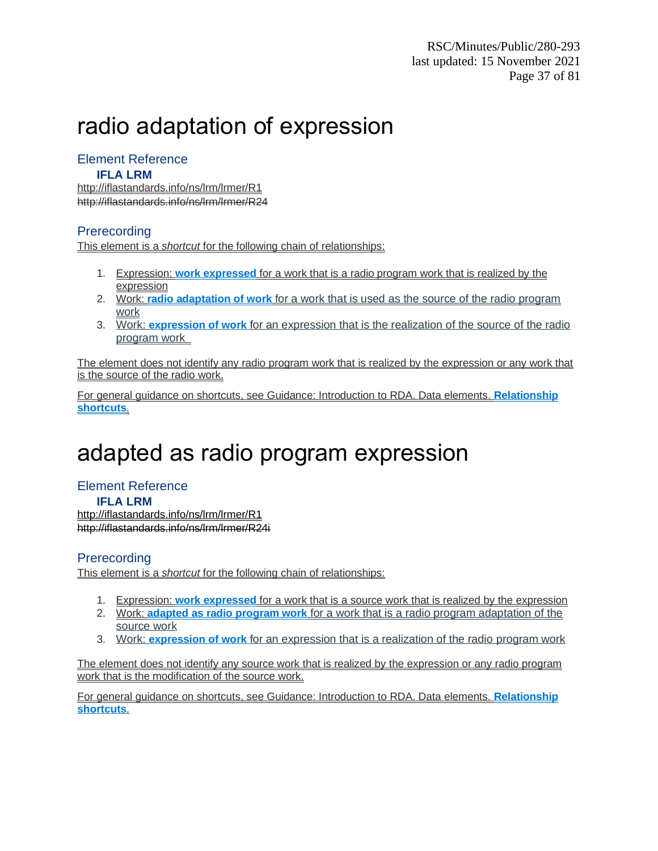# radio adaptation of expression

## Element Reference

#### **IFLA LRM**

http://iflastandards.info/ns/lrm/lrmer/R1 http://iflastandards.info/ns/lrm/lrmer/R24

### **Prerecording**

This element is a *shortcut* for the following chain of relationships:

- 1. Expression: **work expressed** for a work that is a radio program work that is realized by the expression
- 2. Work: **radio adaptation of work** for a work that is used as the source of the radio program work
- 3. Work: **expression of work** for an expression that is the realization of the source of the radio program work

The element does not identify any radio program work that is realized by the expression or any work that is the source of the radio work.

For general guidance on shortcuts, see Guidance: Introduction to RDA. Data elements. **Relationship shortcuts**.

# adapted as radio program expression

### Element Reference **IFLA LRM**

<http://iflastandards.info/ns/lrm/lrmer/R1> [http://iflastandards.info/ns/lrm/lrmer/R24i](http://iflastandards.info/ns/lrm/lrmer/R1)

### **Prerecording**

This element is a *shortcut* for the following chain of relationships:

- 1. Expression: **work expressed** for a work that is a source work that is realized by the expression
- 2. Work: **adapted as radio program work** for a work that is a radio program adaptation of the source work
- 3. Work: **expression of work** for an expression that is a realization of the radio program work

The element does not identify any source work that is realized by the expression or any radio program work that is the modification of the source work.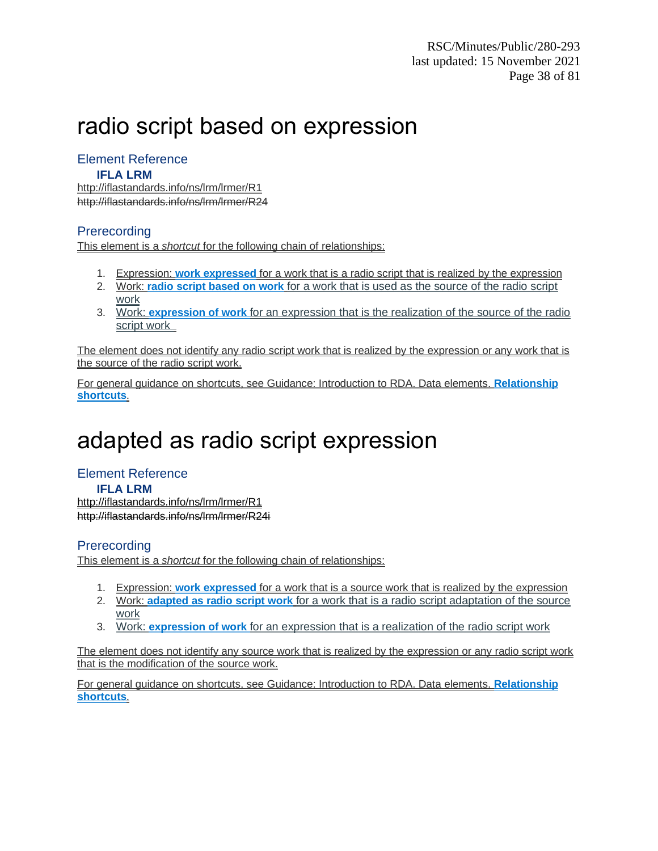# radio script based on expression

## Element Reference

#### **IFLA LRM**

http://iflastandards.info/ns/lrm/lrmer/R1 http://iflastandards.info/ns/lrm/lrmer/R24

### **Prerecording**

This element is a *shortcut* for the following chain of relationships:

- 1. Expression: **work expressed** for a work that is a radio script that is realized by the expression
- 2. Work: **radio script based on work** for a work that is used as the source of the radio script work
- 3. Work: **expression of work** for an expression that is the realization of the source of the radio script work

The element does not identify any radio script work that is realized by the expression or any work that is the source of the radio script work.

For general guidance on shortcuts, see Guidance: Introduction to RDA. Data elements. **Relationship shortcuts**.

# adapted as radio script expression

Element Reference **IFLA LRM** <http://iflastandards.info/ns/lrm/lrmer/R1> [http://iflastandards.info/ns/lrm/lrmer/R24i](http://iflastandards.info/ns/lrm/lrmer/R1)

### **Prerecording**

This element is a *shortcut* for the following chain of relationships:

- 1. Expression: **work expressed** for a work that is a source work that is realized by the expression
- 2. Work: **adapted as radio script work** for a work that is a radio script adaptation of the source work
- 3. Work: **expression of work** for an expression that is a realization of the radio script work

The element does not identify any source work that is realized by the expression or any radio script work that is the modification of the source work.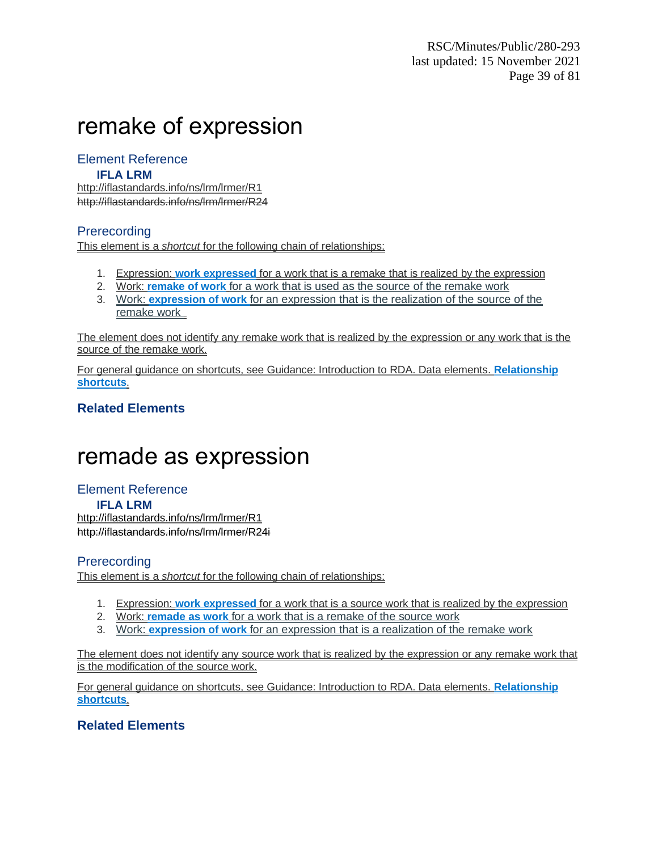# remake of expression

### Element Reference

#### **IFLA LRM**

http://iflastandards.info/ns/lrm/lrmer/R1 http://iflastandards.info/ns/lrm/lrmer/R24

### **Prerecording**

This element is a *shortcut* for the following chain of relationships:

- 1. Expression: **work expressed** for a work that is a remake that is realized by the expression
- 2. Work: **remake of work** for a work that is used as the source of the remake work
- 3. Work: **expression of work** for an expression that is the realization of the source of the remake work

The element does not identify any remake work that is realized by the expression or any work that is the source of the remake work.

For general guidance on shortcuts, see Guidance: Introduction to RDA. Data elements. **Relationship shortcuts**.

### **Related Elements**

# remade as expression

Element Reference **IFLA LRM** <http://iflastandards.info/ns/lrm/lrmer/R1> [http://iflastandards.info/ns/lrm/lrmer/R24i](http://iflastandards.info/ns/lrm/lrmer/R1)

### **Prerecording**

This element is a *shortcut* for the following chain of relationships:

- 1. Expression: **work expressed** for a work that is a source work that is realized by the expression
- 2. Work: **remade as work** for a work that is a remake of the source work
- 3. Work: **expression of work** for an expression that is a realization of the remake work

The element does not identify any source work that is realized by the expression or any remake work that is the modification of the source work.

For general guidance on shortcuts, see Guidance: Introduction to RDA. Data elements. **Relationship shortcuts**.

### **Related Elements**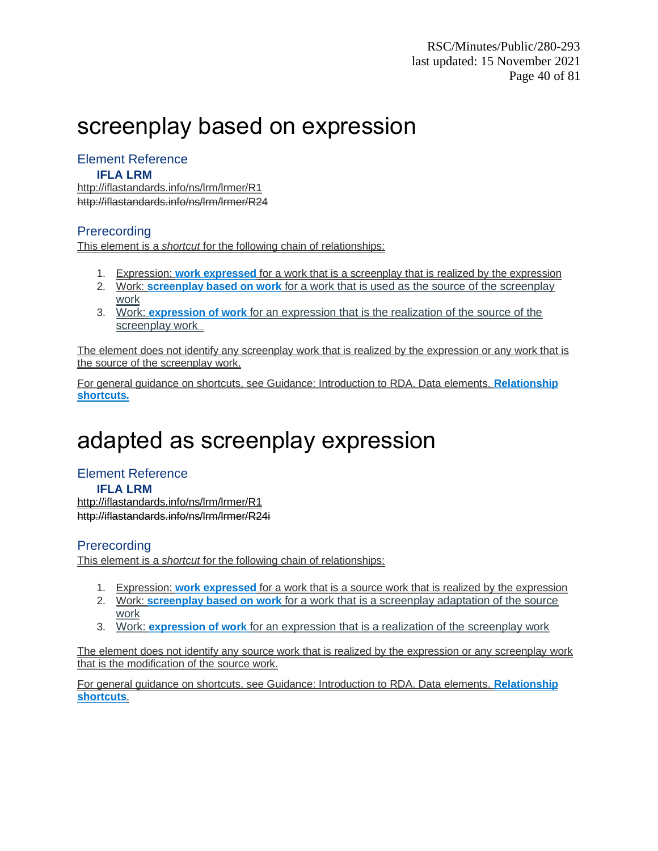# screenplay based on expression

### Element Reference

#### **IFLA LRM**

http://iflastandards.info/ns/lrm/lrmer/R1 http://iflastandards.info/ns/lrm/lrmer/R24

### **Prerecording**

This element is a *shortcut* for the following chain of relationships:

- 1. Expression: **work expressed** for a work that is a screenplay that is realized by the expression
- 2. Work: **screenplay based on work** for a work that is used as the source of the screenplay work
- 3. Work: **expression of work** for an expression that is the realization of the source of the screenplay work

The element does not identify any screenplay work that is realized by the expression or any work that is the source of the screenplay work.

For general guidance on shortcuts, see Guidance: Introduction to RDA. Data elements. **Relationship shortcuts.**

# adapted as screenplay expression

Element Reference **IFLA LRM** <http://iflastandards.info/ns/lrm/lrmer/R1> [http://iflastandards.info/ns/lrm/lrmer/R24i](http://iflastandards.info/ns/lrm/lrmer/R1)

### **Prerecording**

This element is a *shortcut* for the following chain of relationships:

- 1. Expression: **work expressed** for a work that is a source work that is realized by the expression
- 2. Work: **screenplay based on work** for a work that is a screenplay adaptation of the source work
- 3. Work: **expression of work** for an expression that is a realization of the screenplay work

The element does not identify any source work that is realized by the expression or any screenplay work that is the modification of the source work.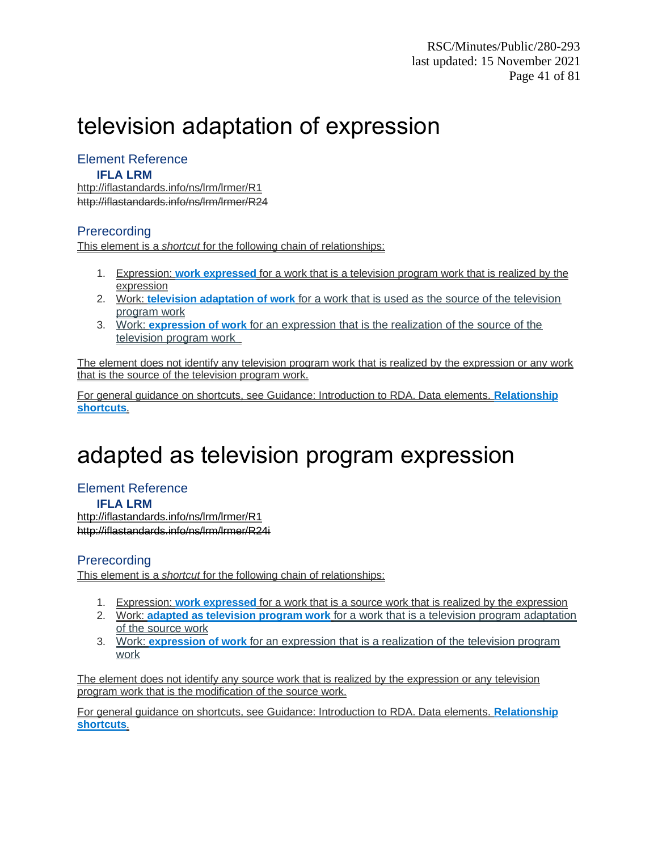# television adaptation of expression

## Element Reference

#### **IFLA LRM**

http://iflastandards.info/ns/lrm/lrmer/R1 http://iflastandards.info/ns/lrm/lrmer/R24

### **Prerecording**

This element is a *shortcut* for the following chain of relationships:

- 1. Expression: **work expressed** for a work that is a television program work that is realized by the expression
- 2. Work: **television adaptation of work** for a work that is used as the source of the television program work
- 3. Work: **expression of work** for an expression that is the realization of the source of the television program work

The element does not identify any television program work that is realized by the expression or any work that is the source of the television program work.

For general guidance on shortcuts, see Guidance: Introduction to RDA. Data elements. **Relationship shortcuts**.

# adapted as television program expression

## Element Reference

**IFLA LRM**

<http://iflastandards.info/ns/lrm/lrmer/R1> [http://iflastandards.info/ns/lrm/lrmer/R24i](http://iflastandards.info/ns/lrm/lrmer/R1)

### **Prerecording**

This element is a *shortcut* for the following chain of relationships:

- 1. Expression: **work expressed** for a work that is a source work that is realized by the expression
- 2. Work: **adapted as television program work** for a work that is a television program adaptation of the source work
- 3. Work: **expression of work** for an expression that is a realization of the television program work

The element does not identify any source work that is realized by the expression or any television program work that is the modification of the source work.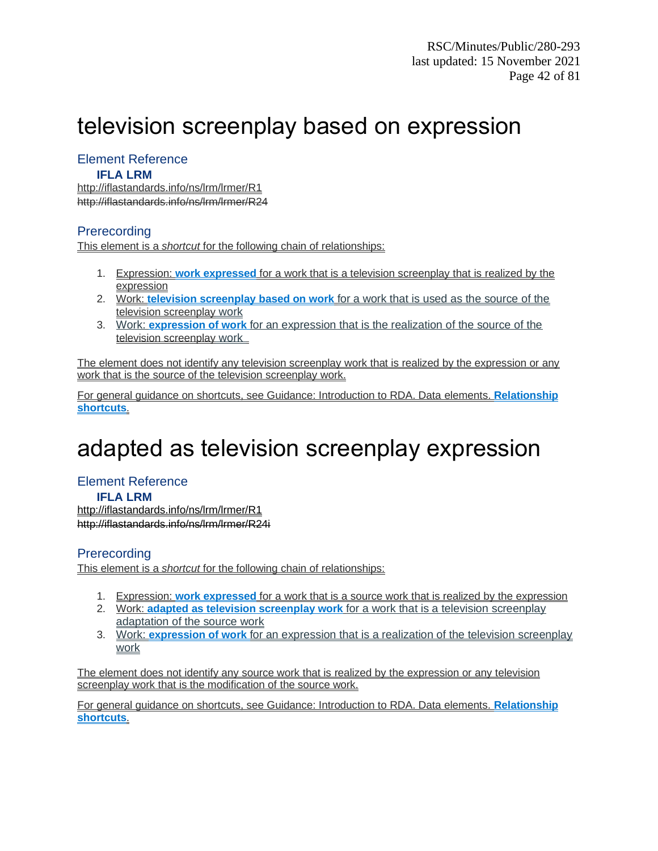# television screenplay based on expression

### Element Reference

#### **IFLA LRM**

http://iflastandards.info/ns/lrm/lrmer/R1 http://iflastandards.info/ns/lrm/lrmer/R24

### **Prerecording**

This element is a *shortcut* for the following chain of relationships:

- 1. Expression: **work expressed** for a work that is a television screenplay that is realized by the expression
- 2. Work: **television screenplay based on work** for a work that is used as the source of the television screenplay work
- 3. Work: **expression of work** for an expression that is the realization of the source of the television screenplay work

The element does not identify any television screenplay work that is realized by the expression or any work that is the source of the television screenplay work.

For general guidance on shortcuts, see Guidance: Introduction to RDA. Data elements. **Relationship shortcuts**.

# adapted as television screenplay expression

#### Element Reference **IFLA LRM**

<http://iflastandards.info/ns/lrm/lrmer/R1> [http://iflastandards.info/ns/lrm/lrmer/R24i](http://iflastandards.info/ns/lrm/lrmer/R1)

### **Prerecording**

This element is a *shortcut* for the following chain of relationships:

- 1. Expression: **work expressed** for a work that is a source work that is realized by the expression
- 2. Work: **adapted as television screenplay work** for a work that is a television screenplay adaptation of the source work
- 3. Work: **expression of work** for an expression that is a realization of the television screenplay work

The element does not identify any source work that is realized by the expression or any television screenplay work that is the modification of the source work.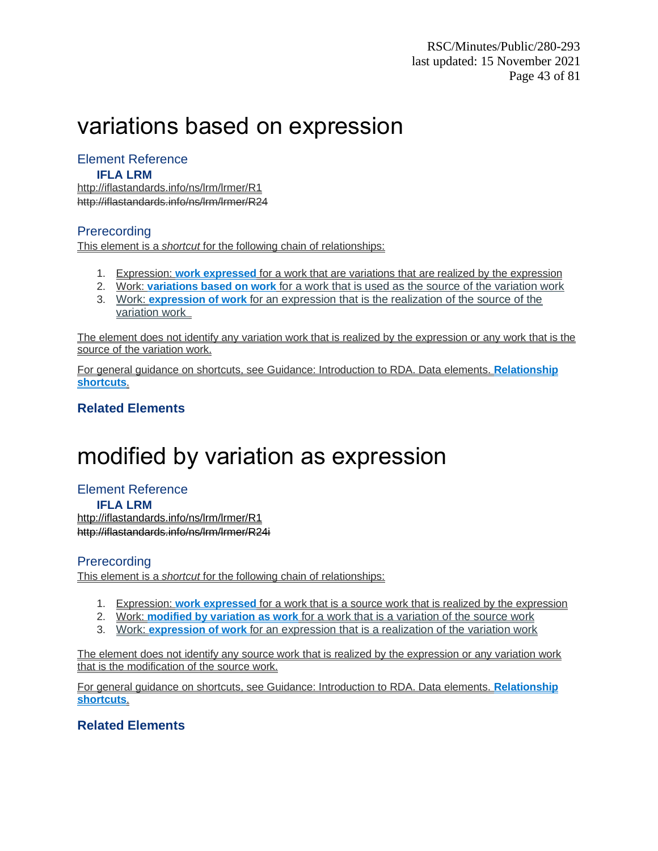# variations based on expression

### Element Reference

#### **IFLA LRM**

http://iflastandards.info/ns/lrm/lrmer/R1 http://iflastandards.info/ns/lrm/lrmer/R24

### **Prerecording**

This element is a *shortcut* for the following chain of relationships:

- 1. Expression: **work expressed** for a work that are variations that are realized by the expression
- 2. Work: **variations based on work** for a work that is used as the source of the variation work
- 3. Work: **expression of work** for an expression that is the realization of the source of the variation work

The element does not identify any variation work that is realized by the expression or any work that is the source of the variation work.

For general guidance on shortcuts, see Guidance: Introduction to RDA. Data elements. **Relationship shortcuts**.

### **Related Elements**

# modified by variation as expression

Element Reference **IFLA LRM** <http://iflastandards.info/ns/lrm/lrmer/R1> [http://iflastandards.info/ns/lrm/lrmer/R24i](http://iflastandards.info/ns/lrm/lrmer/R1)

### **Prerecording**

This element is a *shortcut* for the following chain of relationships:

- 1. Expression: **work expressed** for a work that is a source work that is realized by the expression
- 2. Work: **modified by variation as work** for a work that is a variation of the source work
- 3. Work: **expression of work** for an expression that is a realization of the variation work

The element does not identify any source work that is realized by the expression or any variation work that is the modification of the source work.

For general guidance on shortcuts, see Guidance: Introduction to RDA. Data elements. **Relationship shortcuts**.

### **Related Elements**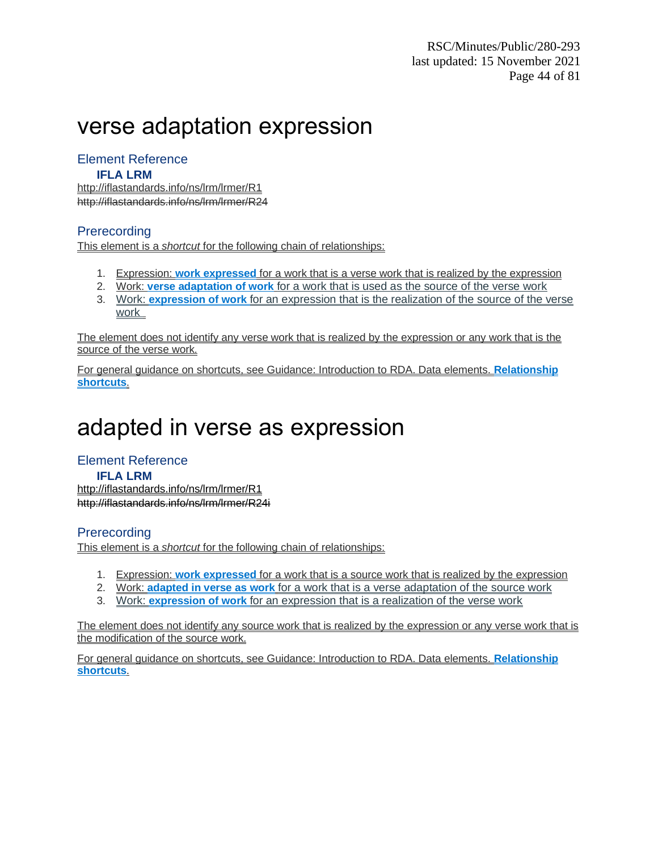# verse adaptation expression

### Element Reference

#### **IFLA LRM**

http://iflastandards.info/ns/lrm/lrmer/R1 http://iflastandards.info/ns/lrm/lrmer/R24

### **Prerecording**

This element is a *shortcut* for the following chain of relationships:

- 1. Expression: **work expressed** for a work that is a verse work that is realized by the expression
- 2. Work: **verse adaptation of work** for a work that is used as the source of the verse work
- 3. Work: **expression of work** for an expression that is the realization of the source of the verse work

The element does not identify any verse work that is realized by the expression or any work that is the source of the verse work.

For general guidance on shortcuts, see Guidance: Introduction to RDA. Data elements. **Relationship shortcuts**.

# adapted in verse as expression

## Element Reference

## **IFLA LRM**

<http://iflastandards.info/ns/lrm/lrmer/R1> [http://iflastandards.info/ns/lrm/lrmer/R24i](http://iflastandards.info/ns/lrm/lrmer/R1)

### **Prerecording**

This element is a *shortcut* for the following chain of relationships:

- 1. Expression: **work expressed** for a work that is a source work that is realized by the expression
- 2. Work: **adapted in verse as work** for a work that is a verse adaptation of the source work
- 3. Work: **expression of work** for an expression that is a realization of the verse work

The element does not identify any source work that is realized by the expression or any verse work that is the modification of the source work.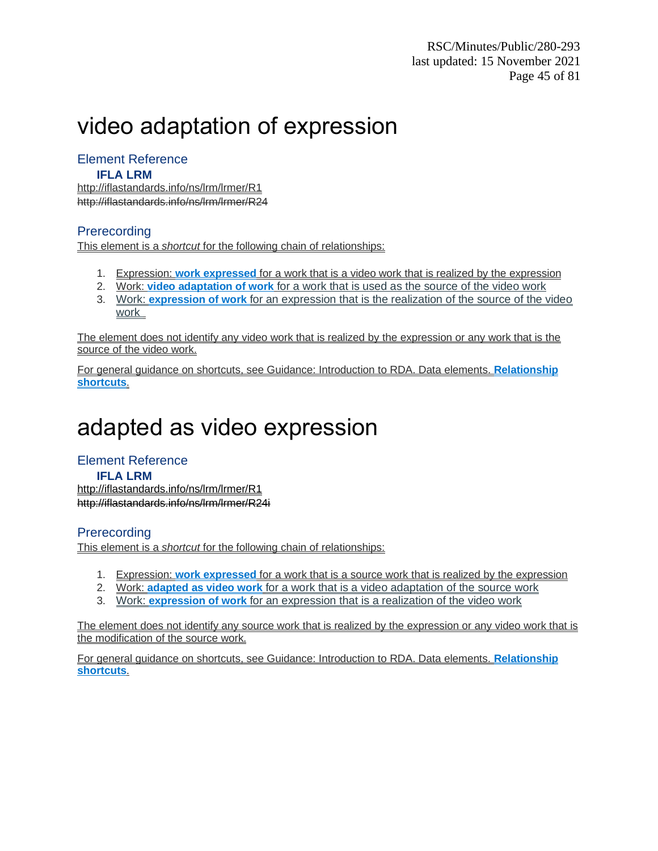# video adaptation of expression

## Element Reference

#### **IFLA LRM**

http://iflastandards.info/ns/lrm/lrmer/R1 http://iflastandards.info/ns/lrm/lrmer/R24

### **Prerecording**

This element is a *shortcut* for the following chain of relationships:

- 1. Expression: **work expressed** for a work that is a video work that is realized by the expression
- 2. Work: **video adaptation of work** for a work that is used as the source of the video work
- 3. Work: **expression of work** for an expression that is the realization of the source of the video work

The element does not identify any video work that is realized by the expression or any work that is the source of the video work.

For general guidance on shortcuts, see Guidance: Introduction to RDA. Data elements. **Relationship shortcuts**.

# adapted as video expression

### Element Reference

## **IFLA LRM**

<http://iflastandards.info/ns/lrm/lrmer/R1> [http://iflastandards.info/ns/lrm/lrmer/R24i](http://iflastandards.info/ns/lrm/lrmer/R1)

### **Prerecording**

This element is a *shortcut* for the following chain of relationships:

- 1. Expression: **work expressed** for a work that is a source work that is realized by the expression
- 2. Work: **adapted as video work** for a work that is a video adaptation of the source work
- 3. Work: **expression of work** for an expression that is a realization of the video work

The element does not identify any source work that is realized by the expression or any video work that is the modification of the source work.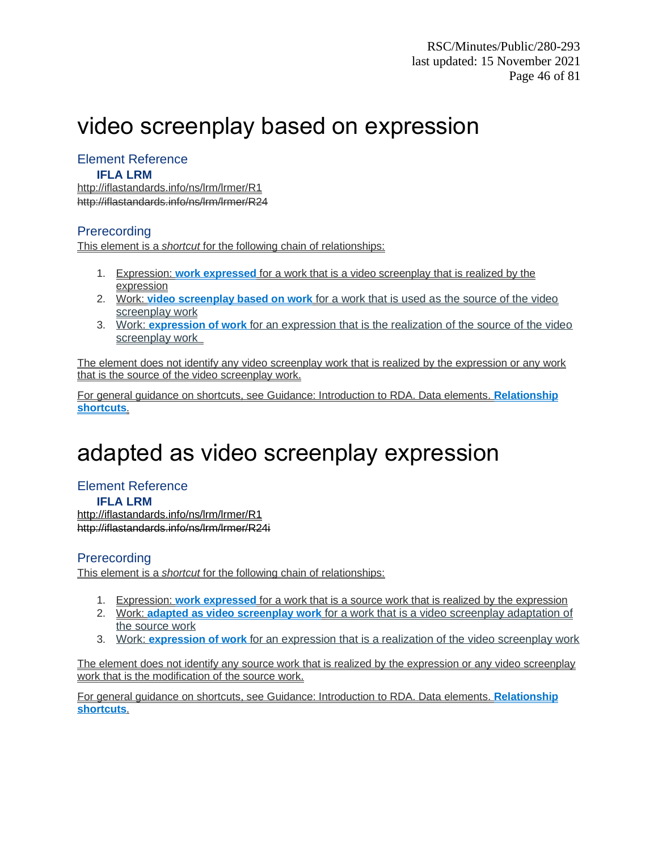# video screenplay based on expression

## Element Reference

#### **IFLA LRM**

http://iflastandards.info/ns/lrm/lrmer/R1 http://iflastandards.info/ns/lrm/lrmer/R24

### **Prerecording**

This element is a *shortcut* for the following chain of relationships:

- 1. Expression: **work expressed** for a work that is a video screenplay that is realized by the expression
- 2. Work: **video screenplay based on work** for a work that is used as the source of the video screenplay work
- 3. Work: **expression of work** for an expression that is the realization of the source of the video screenplay work

The element does not identify any video screenplay work that is realized by the expression or any work that is the source of the video screenplay work.

For general guidance on shortcuts, see Guidance: Introduction to RDA. Data elements. **Relationship shortcuts**.

# adapted as video screenplay expression

## Element Reference **IFLA LRM**

<http://iflastandards.info/ns/lrm/lrmer/R1> [http://iflastandards.info/ns/lrm/lrmer/R24i](http://iflastandards.info/ns/lrm/lrmer/R1)

### **Prerecording**

This element is a *shortcut* for the following chain of relationships:

- 1. Expression: **work expressed** for a work that is a source work that is realized by the expression
- 2. Work: **adapted as video screenplay work** for a work that is a video screenplay adaptation of the source work
- 3. Work: **expression of work** for an expression that is a realization of the video screenplay work

The element does not identify any source work that is realized by the expression or any video screenplay work that is the modification of the source work.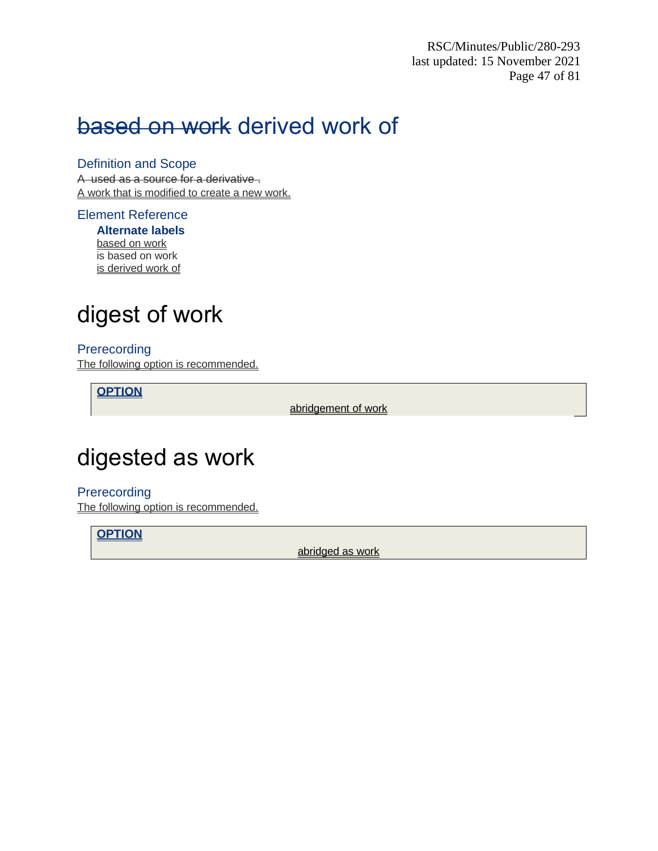RSC/Minutes/Public/280-293 last updated: 15 November 2021 Page 47 of 81

# based on work derived work of

Definition and Scope

A used as a source for a derivative . A work that is modified to create a new work.

### Element Reference

**Alternate labels** based on work is based on work is derived work of

# digest of work

#### Prerecording The following option is recommended.

**OPTION**

abridgement of work

# digested as work

Prerecording The following option is recommended.

**OPTION**

abridged as work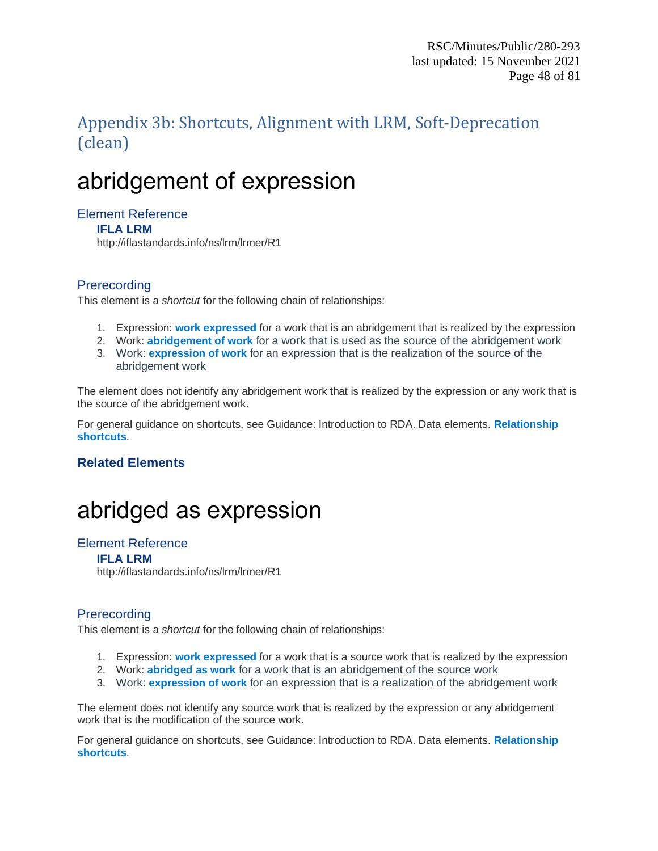## Appendix 3b: Shortcuts, Alignment with LRM, Soft-Deprecation (clean)

# abridgement of expression

### Element Reference

#### **IFLA LRM**

http://iflastandards.info/ns/lrm/lrmer/R1

### **Prerecording**

This element is a *shortcut* for the following chain of relationships:

- 1. Expression: **work expressed** for a work that is an abridgement that is realized by the expression
- 2. Work: **abridgement of work** for a work that is used as the source of the abridgement work
- 3. Work: **expression of work** for an expression that is the realization of the source of the abridgement work

The element does not identify any abridgement work that is realized by the expression or any work that is the source of the abridgement work.

For general guidance on shortcuts, see Guidance: Introduction to RDA. Data elements. **Relationship shortcuts**.

### **Related Elements**

# abridged as expression

#### Element Reference

#### **IFLA LRM**

http://iflastandards.info/ns/lrm/lrmer/R1

### **Prerecording**

This element is a *shortcut* for the following chain of relationships:

- 1. Expression: **work expressed** for a work that is a source work that is realized by the expression
- 2. Work: **abridged as work** for a work that is an abridgement of the source work
- 3. Work: **expression of work** for an expression that is a realization of the abridgement work

The element does not identify any source work that is realized by the expression or any abridgement work that is the modification of the source work.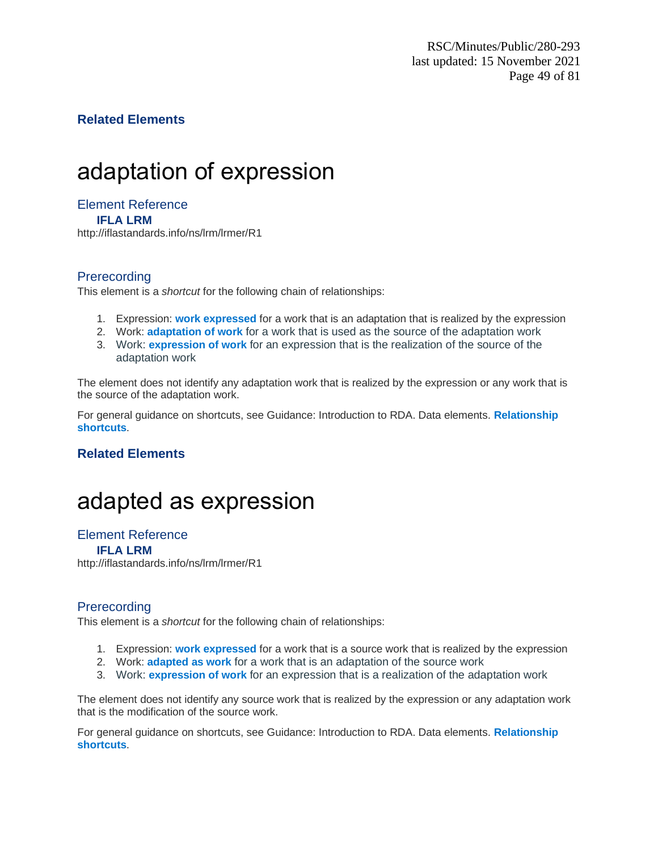### **Related Elements**

# adaptation of expression

#### Element Reference **IFLA LRM**

http://iflastandards.info/ns/lrm/lrmer/R1

### **Prerecording**

This element is a *shortcut* for the following chain of relationships:

- 1. Expression: **work expressed** for a work that is an adaptation that is realized by the expression
- 2. Work: **adaptation of work** for a work that is used as the source of the adaptation work
- 3. Work: **expression of work** for an expression that is the realization of the source of the adaptation work

The element does not identify any adaptation work that is realized by the expression or any work that is the source of the adaptation work.

For general guidance on shortcuts, see Guidance: Introduction to RDA. Data elements. **Relationship shortcuts**.

### **Related Elements**

## adapted as expression

#### Element Reference

**IFLA LRM**

http://iflastandards.info/ns/lrm/lrmer/R1

### **Prerecording**

This element is a *shortcut* for the following chain of relationships:

- 1. Expression: **work expressed** for a work that is a source work that is realized by the expression
- 2. Work: **adapted as work** for a work that is an adaptation of the source work
- 3. Work: **expression of work** for an expression that is a realization of the adaptation work

The element does not identify any source work that is realized by the expression or any adaptation work that is the modification of the source work.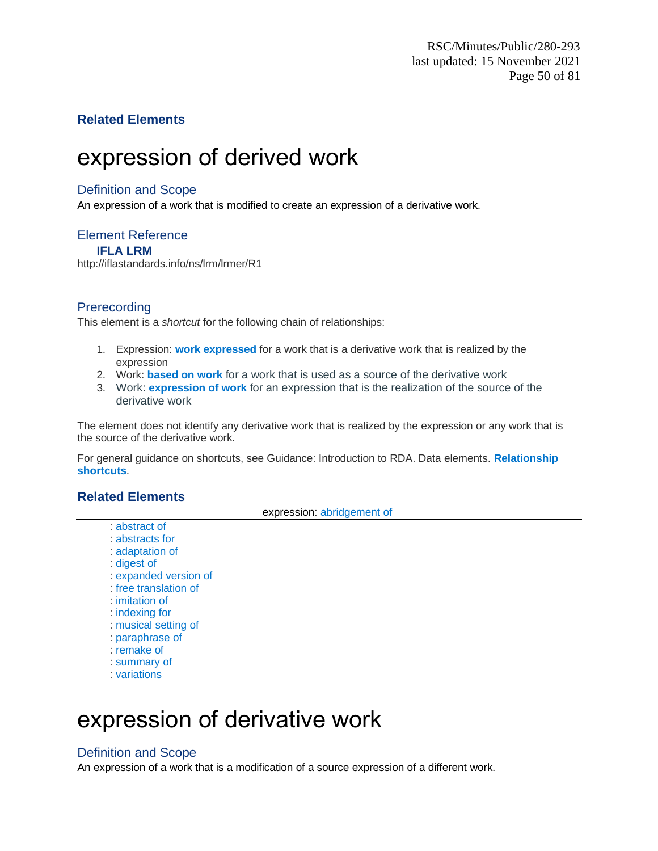### **Related Elements**

# expression of derived work

#### Definition and Scope

An expression of a work that is modified to create an expression of a derivative work.

### Element Reference

**IFLA LRM**

http://iflastandards.info/ns/lrm/lrmer/R1

### **Prerecording**

This element is a *shortcut* for the following chain of relationships:

- 1. Expression: **work expressed** for a work that is a derivative work that is realized by the expression
- 2. Work: **based on work** for a work that is used as a source of the derivative work
- 3. Work: **expression of work** for an expression that is the realization of the source of the derivative work

The element does not identify any derivative work that is realized by the expression or any work that is the source of the derivative work.

For general guidance on shortcuts, see Guidance: Introduction to RDA. Data elements. **Relationship shortcuts**.

#### **Related Elements**

expression: abridgement of

- : abstract of : abstracts for : adaptation of : digest of
- : expanded version of
- : free translation of
- : imitation of
- : indexing for
- : musical setting of
- : paraphrase of
- : remake of
- : summary of
- : variations

# expression of derivative work

### Definition and Scope

An expression of a work that is a modification of a source expression of a different work.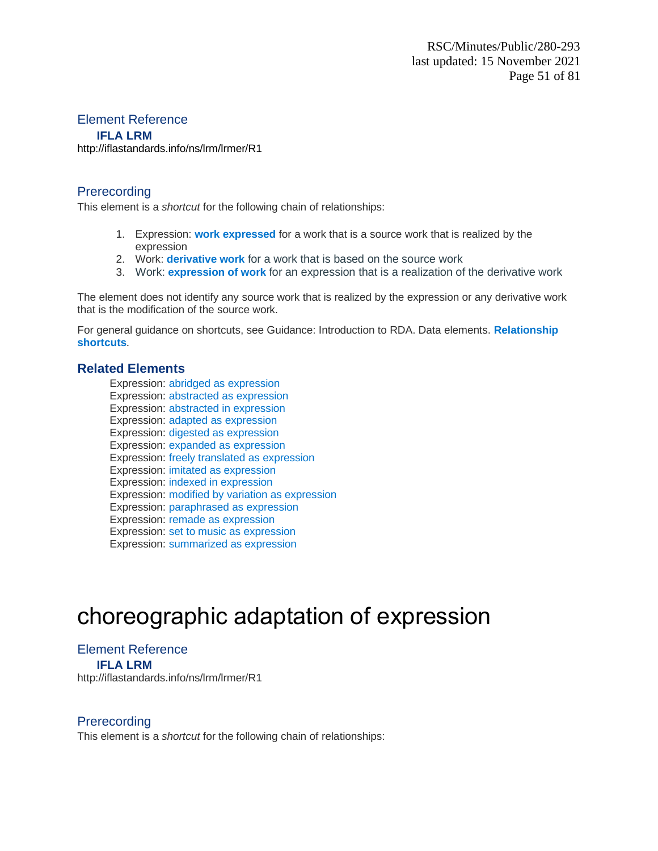#### Element Reference **IFLA LRM**

<http://iflastandards.info/ns/lrm/lrmer/R1>

#### **Prerecording**

This element is a *shortcut* for the following chain of relationships:

- 1. Expression: **work expressed** for a work that is a source work that is realized by the expression
- 2. Work: **derivative work** for a work that is based on the source work
- 3. Work: **expression of work** for an expression that is a realization of the derivative work

The element does not identify any source work that is realized by the expression or any derivative work that is the modification of the source work.

For general guidance on shortcuts, see Guidance: Introduction to RDA. Data elements. **Relationship shortcuts**.

#### **Related Elements**

Expression: abridged as expression Expression: abstracted as expression Expression: abstracted in expression Expression: adapted as expression Expression: digested as expression Expression: expanded as expression Expression: freely translated as expression Expression: imitated as expression Expression: indexed in expression Expression: modified by variation as expression Expression: paraphrased as expression Expression: remade as expression Expression: set to music as expression Expression: summarized as expression

# choreographic adaptation of expression

#### Element Reference **IFLA LRM**

http://iflastandards.info/ns/lrm/lrmer/R1

### **Prerecording**

This element is a *shortcut* for the following chain of relationships: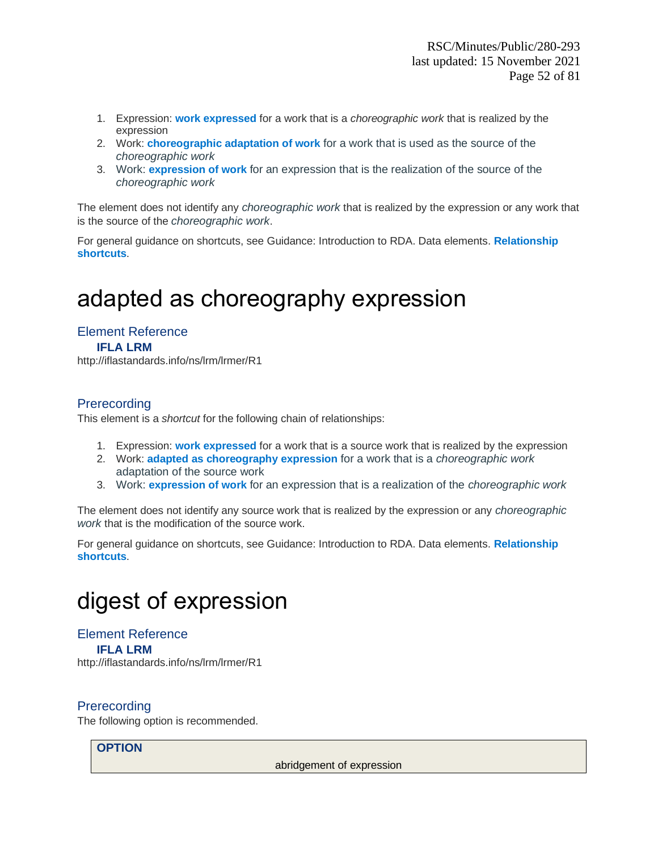- 1. Expression: **work expressed** for a work that is a *choreographic work* that is realized by the expression
- 2. Work: **choreographic adaptation of work** for a work that is used as the source of the *choreographic work*
- 3. Work: **expression of work** for an expression that is the realization of the source of the *choreographic work*

The element does not identify any *choreographic work* that is realized by the expression or any work that is the source of the *choreographic work*.

For general guidance on shortcuts, see Guidance: Introduction to RDA. Data elements. **Relationship shortcuts**.

# adapted as choreography expression

Element Reference **IFLA LRM** http://iflastandards.info/ns/lrm/lrmer/R1

### **Prerecording**

This element is a *shortcut* for the following chain of relationships:

- 1. Expression: **work expressed** for a work that is a source work that is realized by the expression
- 2. Work: **adapted as choreography expression** for a work that is a *choreographic work* adaptation of the source work
- 3. Work: **expression of work** for an expression that is a realization of the *choreographic work*

The element does not identify any source work that is realized by the expression or any *choreographic work* that is the modification of the source work.

For general guidance on shortcuts, see Guidance: Introduction to RDA. Data elements. **Relationship shortcuts**.

# digest of expression

Element Reference **IFLA LRM** http://iflastandards.info/ns/lrm/lrmer/R1

#### **Prerecording**

The following option is recommended.

#### **OPTION**

abridgement of expression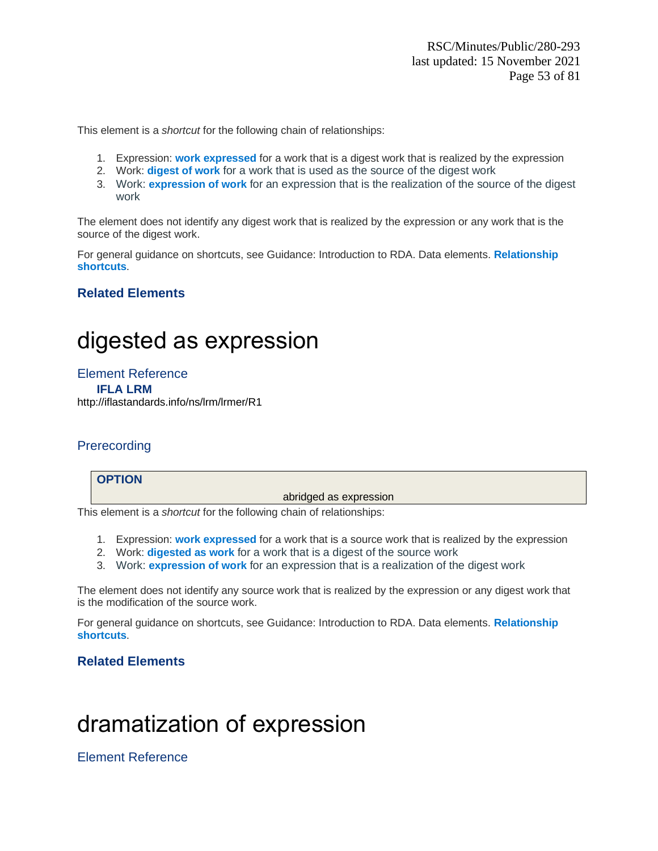- 1. Expression: **work expressed** for a work that is a digest work that is realized by the expression
- 2. Work: **digest of work** for a work that is used as the source of the digest work
- 3. Work: **expression of work** for an expression that is the realization of the source of the digest work

The element does not identify any digest work that is realized by the expression or any work that is the source of the digest work.

For general guidance on shortcuts, see Guidance: Introduction to RDA. Data elements. **Relationship shortcuts**.

### **Related Elements**

# digested as expression

Element Reference **IFLA LRM** <http://iflastandards.info/ns/lrm/lrmer/R1>

### **Prerecording**

**OPTION**

abridged as expression

This element is a *shortcut* for the following chain of relationships:

- 1. Expression: **work expressed** for a work that is a source work that is realized by the expression
- 2. Work: **digested as work** for a work that is a digest of the source work
- 3. Work: **expression of work** for an expression that is a realization of the digest work

The element does not identify any source work that is realized by the expression or any digest work that is the modification of the source work.

For general guidance on shortcuts, see Guidance: Introduction to RDA. Data elements. **Relationship shortcuts**.

### **Related Elements**

# dramatization of expression

Element Reference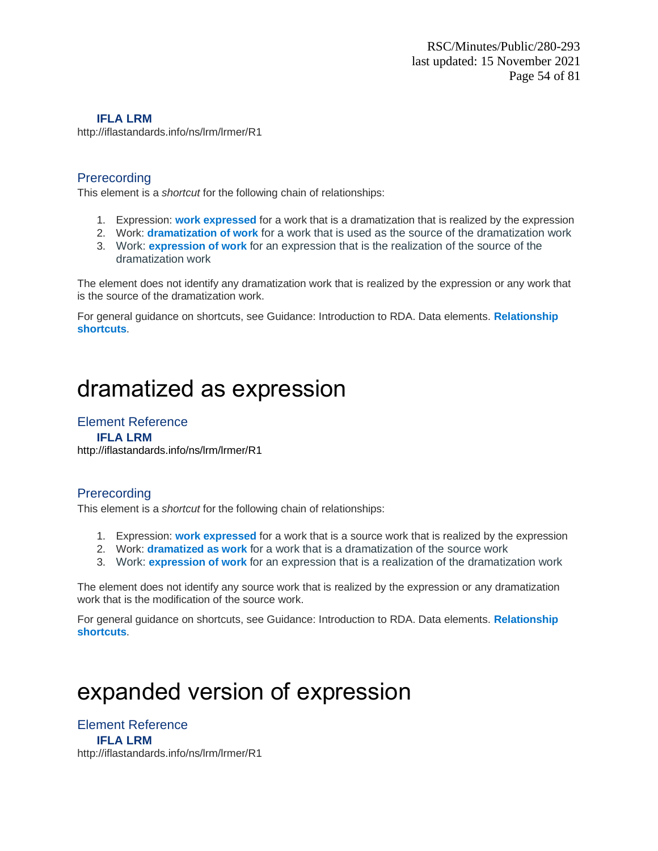#### **IFLA LRM**

http://iflastandards.info/ns/lrm/lrmer/R1

#### **Prerecording**

This element is a *shortcut* for the following chain of relationships:

- 1. Expression: **work expressed** for a work that is a dramatization that is realized by the expression
- 2. Work: **dramatization of work** for a work that is used as the source of the dramatization work
- 3. Work: **expression of work** for an expression that is the realization of the source of the dramatization work

The element does not identify any dramatization work that is realized by the expression or any work that is the source of the dramatization work.

For general guidance on shortcuts, see Guidance: Introduction to RDA. Data elements. **Relationship shortcuts**.

# dramatized as expression

## Element Reference

**IFLA LRM** <http://iflastandards.info/ns/lrm/lrmer/R1>

### **Prerecording**

This element is a *shortcut* for the following chain of relationships:

- 1. Expression: **work expressed** for a work that is a source work that is realized by the expression
- 2. Work: **dramatized as work** for a work that is a dramatization of the source work
- 3. Work: **expression of work** for an expression that is a realization of the dramatization work

The element does not identify any source work that is realized by the expression or any dramatization work that is the modification of the source work.

For general guidance on shortcuts, see Guidance: Introduction to RDA. Data elements. **Relationship shortcuts**.

# expanded version of expression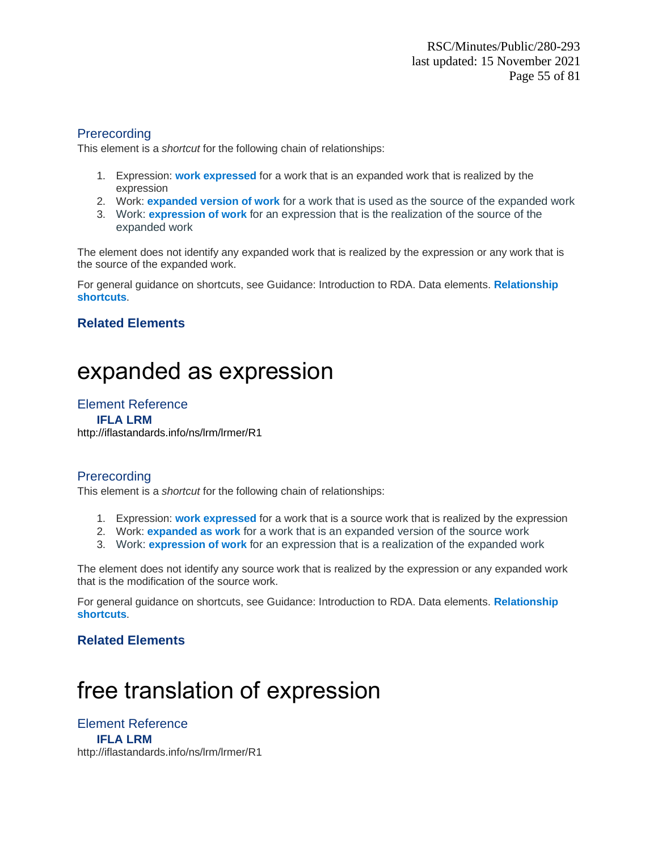This element is a *shortcut* for the following chain of relationships:

- 1. Expression: **work expressed** for a work that is an expanded work that is realized by the expression
- 2. Work: **expanded version of work** for a work that is used as the source of the expanded work
- 3. Work: **expression of work** for an expression that is the realization of the source of the expanded work

The element does not identify any expanded work that is realized by the expression or any work that is the source of the expanded work.

For general guidance on shortcuts, see Guidance: Introduction to RDA. Data elements. **Relationship shortcuts**.

### **Related Elements**

# expanded as expression

#### Element Reference

**IFLA LRM** <http://iflastandards.info/ns/lrm/lrmer/R1>

### **Prerecording**

This element is a *shortcut* for the following chain of relationships:

- 1. Expression: **work expressed** for a work that is a source work that is realized by the expression
- 2. Work: **expanded as work** for a work that is an expanded version of the source work
- 3. Work: **expression of work** for an expression that is a realization of the expanded work

The element does not identify any source work that is realized by the expression or any expanded work that is the modification of the source work.

For general guidance on shortcuts, see Guidance: Introduction to RDA. Data elements. **Relationship shortcuts**.

### **Related Elements**

# free translation of expression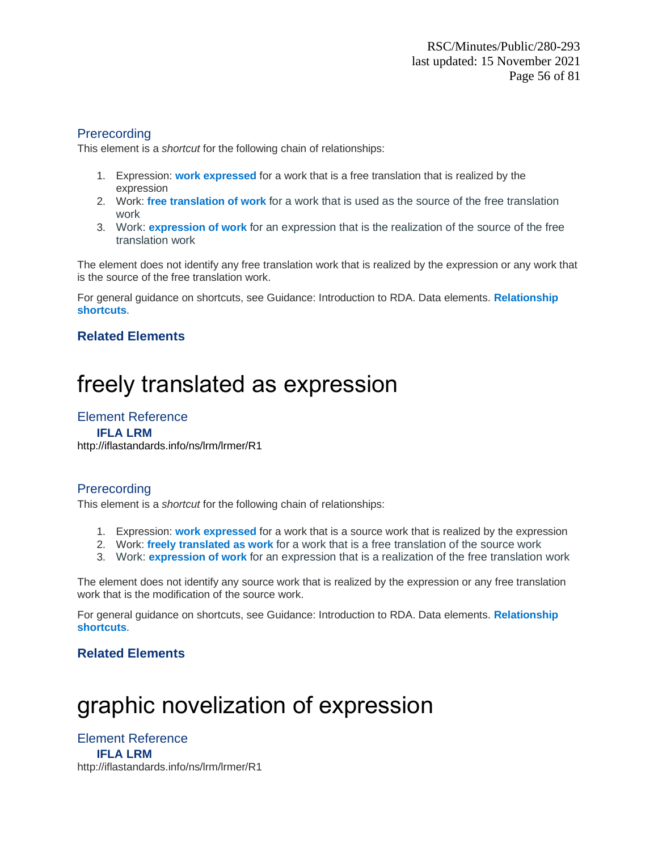This element is a *shortcut* for the following chain of relationships:

- 1. Expression: **work expressed** for a work that is a free translation that is realized by the expression
- 2. Work: **free translation of work** for a work that is used as the source of the free translation work
- 3. Work: **expression of work** for an expression that is the realization of the source of the free translation work

The element does not identify any free translation work that is realized by the expression or any work that is the source of the free translation work.

For general guidance on shortcuts, see Guidance: Introduction to RDA. Data elements. **Relationship shortcuts**.

### **Related Elements**

# freely translated as expression

### Element Reference

#### **IFLA LRM**

<http://iflastandards.info/ns/lrm/lrmer/R1>

#### **Prerecording**

This element is a *shortcut* for the following chain of relationships:

- 1. Expression: **work expressed** for a work that is a source work that is realized by the expression
- 2. Work: **freely translated as work** for a work that is a free translation of the source work
- 3. Work: **expression of work** for an expression that is a realization of the free translation work

The element does not identify any source work that is realized by the expression or any free translation work that is the modification of the source work.

For general guidance on shortcuts, see Guidance: Introduction to RDA. Data elements. **Relationship shortcuts**.

### **Related Elements**

# graphic novelization of expression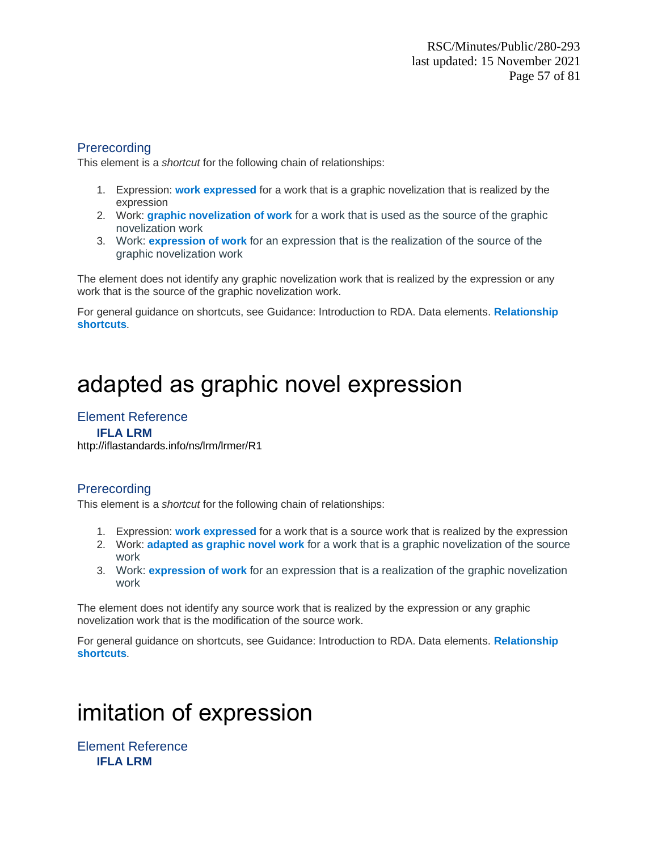This element is a *shortcut* for the following chain of relationships:

- 1. Expression: **work expressed** for a work that is a graphic novelization that is realized by the expression
- 2. Work: **graphic novelization of work** for a work that is used as the source of the graphic novelization work
- 3. Work: **expression of work** for an expression that is the realization of the source of the graphic novelization work

The element does not identify any graphic novelization work that is realized by the expression or any work that is the source of the graphic novelization work.

For general guidance on shortcuts, see Guidance: Introduction to RDA. Data elements. **Relationship shortcuts**.

# adapted as graphic novel expression

## Element Reference

#### **IFLA LRM**

<http://iflastandards.info/ns/lrm/lrmer/R1>

#### **Prerecording**

This element is a *shortcut* for the following chain of relationships:

- 1. Expression: **work expressed** for a work that is a source work that is realized by the expression
- 2. Work: **adapted as graphic novel work** for a work that is a graphic novelization of the source work
- 3. Work: **expression of work** for an expression that is a realization of the graphic novelization work

The element does not identify any source work that is realized by the expression or any graphic novelization work that is the modification of the source work.

For general guidance on shortcuts, see Guidance: Introduction to RDA. Data elements. **Relationship shortcuts**.

# imitation of expression

Element Reference **IFLA LRM**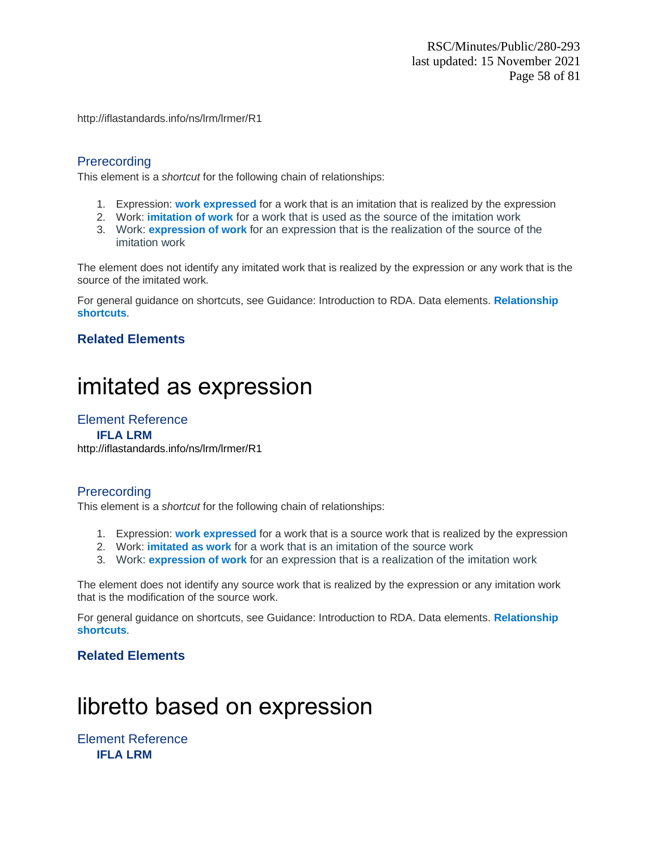http://iflastandards.info/ns/lrm/lrmer/R1

### **Prerecording**

This element is a *shortcut* for the following chain of relationships:

- 1. Expression: **work expressed** for a work that is an imitation that is realized by the expression
- 2. Work: **imitation of work** for a work that is used as the source of the imitation work
- 3. Work: **expression of work** for an expression that is the realization of the source of the imitation work

The element does not identify any imitated work that is realized by the expression or any work that is the source of the imitated work.

For general guidance on shortcuts, see Guidance: Introduction to RDA. Data elements. **Relationship shortcuts**.

### **Related Elements**

# imitated as expression

### Element Reference

**IFLA LRM** <http://iflastandards.info/ns/lrm/lrmer/R1>

#### **Prerecording**

This element is a *shortcut* for the following chain of relationships:

- 1. Expression: **work expressed** for a work that is a source work that is realized by the expression
- 2. Work: **imitated as work** for a work that is an imitation of the source work
- 3. Work: **expression of work** for an expression that is a realization of the imitation work

The element does not identify any source work that is realized by the expression or any imitation work that is the modification of the source work.

For general guidance on shortcuts, see Guidance: Introduction to RDA. Data elements. **Relationship shortcuts**.

### **Related Elements**

# libretto based on expression

Element Reference **IFLA LRM**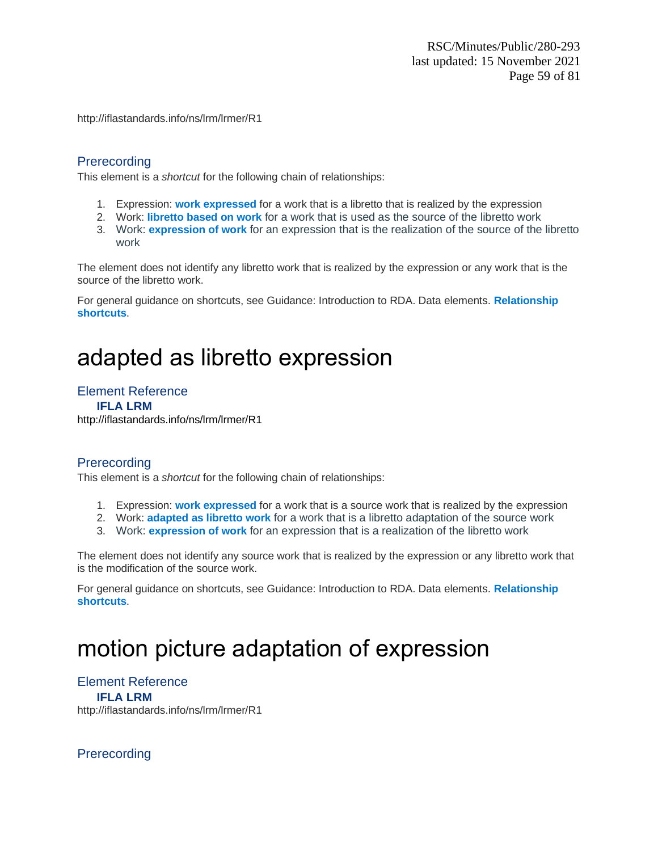http://iflastandards.info/ns/lrm/lrmer/R1

#### **Prerecording**

This element is a *shortcut* for the following chain of relationships:

- 1. Expression: **work expressed** for a work that is a libretto that is realized by the expression
- 2. Work: **libretto based on work** for a work that is used as the source of the libretto work
- 3. Work: **expression of work** for an expression that is the realization of the source of the libretto work

The element does not identify any libretto work that is realized by the expression or any work that is the source of the libretto work.

For general guidance on shortcuts, see Guidance: Introduction to RDA. Data elements. **Relationship shortcuts**.

# adapted as libretto expression

#### Element Reference

**IFLA LRM**

<http://iflastandards.info/ns/lrm/lrmer/R1>

### **Prerecording**

This element is a *shortcut* for the following chain of relationships:

- 1. Expression: **work expressed** for a work that is a source work that is realized by the expression
- 2. Work: **adapted as libretto work** for a work that is a libretto adaptation of the source work
- 3. Work: **expression of work** for an expression that is a realization of the libretto work

The element does not identify any source work that is realized by the expression or any libretto work that is the modification of the source work.

For general guidance on shortcuts, see Guidance: Introduction to RDA. Data elements. **Relationship shortcuts**.

# motion picture adaptation of expression

Element Reference **IFLA LRM** http://iflastandards.info/ns/lrm/lrmer/R1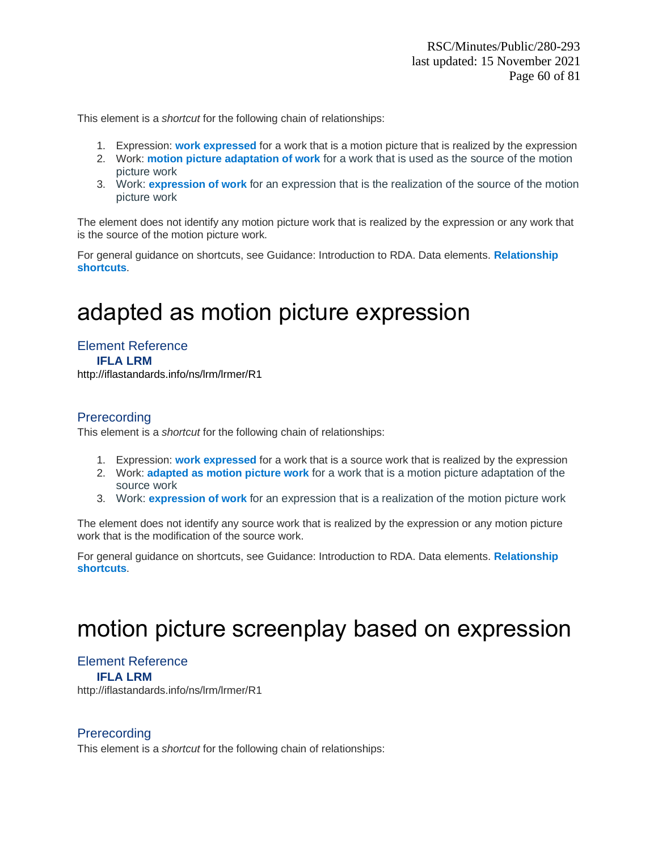- 1. Expression: **work expressed** for a work that is a motion picture that is realized by the expression
- 2. Work: **motion picture adaptation of work** for a work that is used as the source of the motion picture work
- 3. Work: **expression of work** for an expression that is the realization of the source of the motion picture work

The element does not identify any motion picture work that is realized by the expression or any work that is the source of the motion picture work.

For general guidance on shortcuts, see Guidance: Introduction to RDA. Data elements. **Relationship shortcuts**.

# adapted as motion picture expression

Element Reference **IFLA LRM** <http://iflastandards.info/ns/lrm/lrmer/R1>

#### **Prerecording**

This element is a *shortcut* for the following chain of relationships:

- 1. Expression: **work expressed** for a work that is a source work that is realized by the expression
- 2. Work: **adapted as motion picture work** for a work that is a motion picture adaptation of the source work
- 3. Work: **expression of work** for an expression that is a realization of the motion picture work

The element does not identify any source work that is realized by the expression or any motion picture work that is the modification of the source work.

For general guidance on shortcuts, see Guidance: Introduction to RDA. Data elements. **Relationship shortcuts**.

# motion picture screenplay based on expression

## Element Reference

**IFLA LRM**

http://iflastandards.info/ns/lrm/lrmer/R1

#### **Prerecording**

This element is a *shortcut* for the following chain of relationships: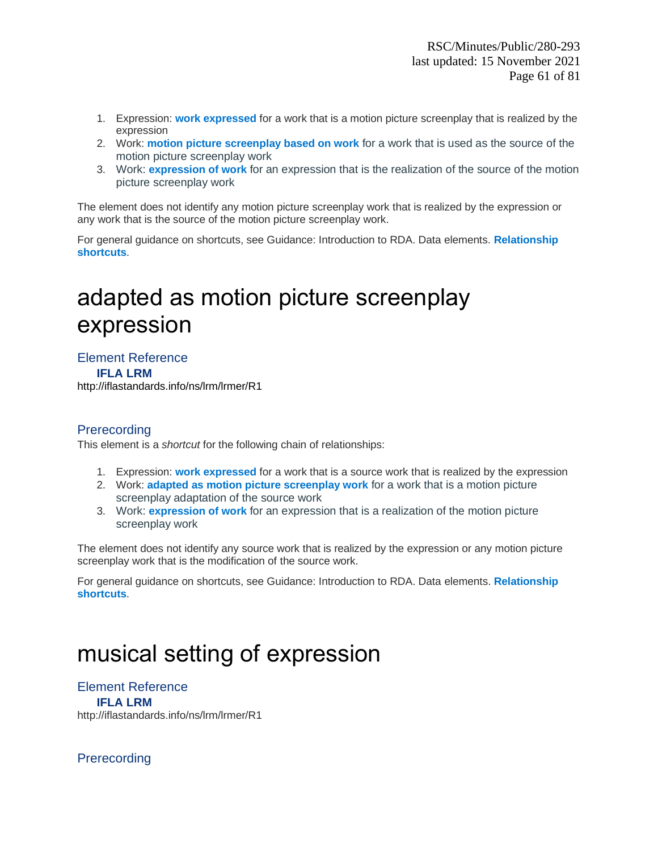- 1. Expression: **work expressed** for a work that is a motion picture screenplay that is realized by the expression
- 2. Work: **motion picture screenplay based on work** for a work that is used as the source of the motion picture screenplay work
- 3. Work: **expression of work** for an expression that is the realization of the source of the motion picture screenplay work

The element does not identify any motion picture screenplay work that is realized by the expression or any work that is the source of the motion picture screenplay work.

For general guidance on shortcuts, see Guidance: Introduction to RDA. Data elements. **Relationship shortcuts**.

# adapted as motion picture screenplay expression

#### Element Reference **IFLA LRM**

<http://iflastandards.info/ns/lrm/lrmer/R1>

### Prerecording

This element is a *shortcut* for the following chain of relationships:

- 1. Expression: **work expressed** for a work that is a source work that is realized by the expression
- 2. Work: **adapted as motion picture screenplay work** for a work that is a motion picture screenplay adaptation of the source work
- 3. Work: **expression of work** for an expression that is a realization of the motion picture screenplay work

The element does not identify any source work that is realized by the expression or any motion picture screenplay work that is the modification of the source work.

For general guidance on shortcuts, see Guidance: Introduction to RDA. Data elements. **Relationship shortcuts**.

# musical setting of expression

#### Element Reference **IFLA LRM** http://iflastandards.info/ns/lrm/lrmer/R1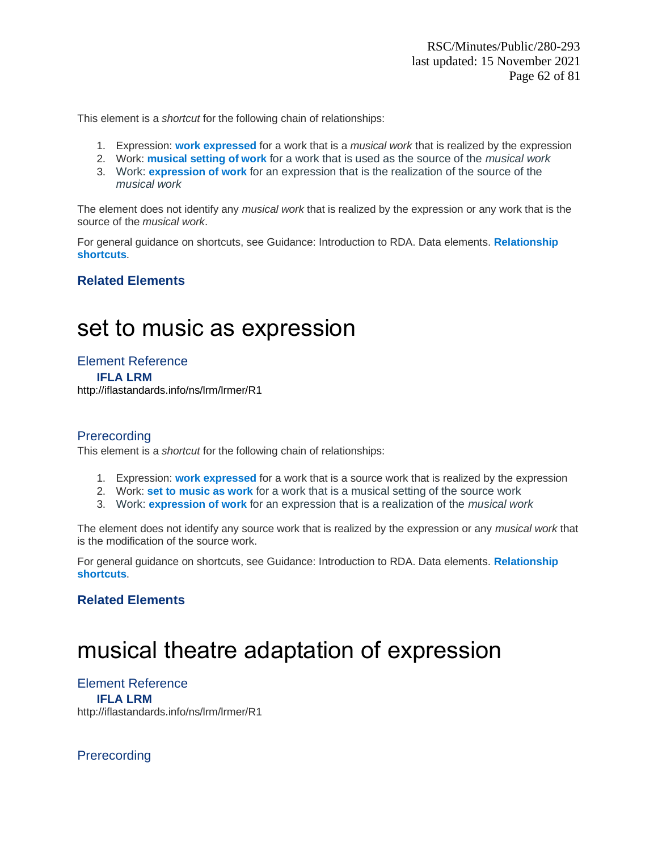- 1. Expression: **work expressed** for a work that is a *musical work* that is realized by the expression
- 2. Work: **musical setting of work** for a work that is used as the source of the *musical work*
- 3. Work: **expression of work** for an expression that is the realization of the source of the *musical work*

The element does not identify any *musical work* that is realized by the expression or any work that is the source of the *musical work*.

For general guidance on shortcuts, see Guidance: Introduction to RDA. Data elements. **Relationship shortcuts**.

### **Related Elements**

## set to music as expression

Element Reference **IFLA LRM** <http://iflastandards.info/ns/lrm/lrmer/R1>

#### **Prerecording**

This element is a *shortcut* for the following chain of relationships:

- 1. Expression: **work expressed** for a work that is a source work that is realized by the expression
- 2. Work: **set to music as work** for a work that is a musical setting of the source work
- 3. Work: **expression of work** for an expression that is a realization of the *musical work*

The element does not identify any source work that is realized by the expression or any *musical work* that is the modification of the source work.

For general guidance on shortcuts, see Guidance: Introduction to RDA. Data elements. **Relationship shortcuts**.

#### **Related Elements**

# musical theatre adaptation of expression

Element Reference **IFLA LRM** http://iflastandards.info/ns/lrm/lrmer/R1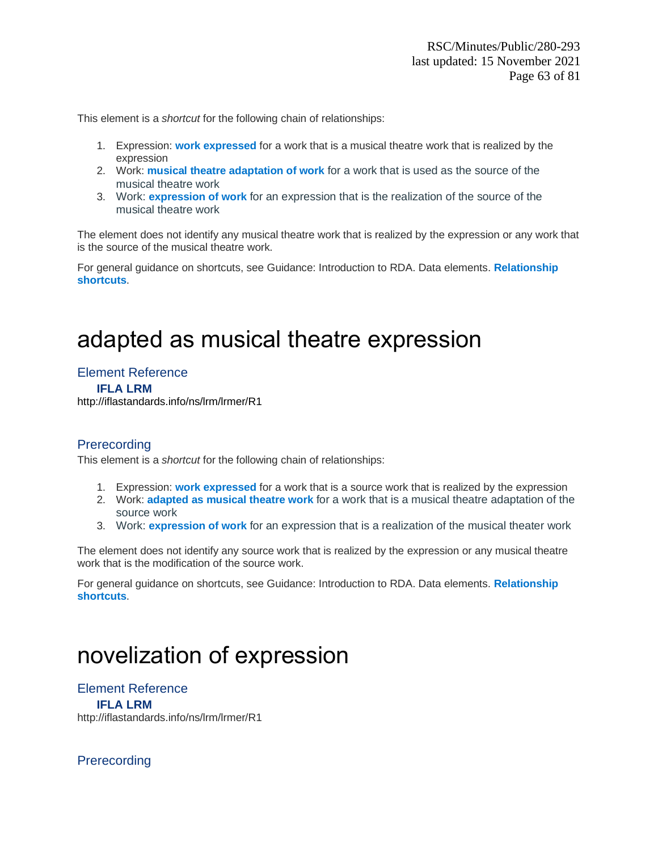- 1. Expression: **work expressed** for a work that is a musical theatre work that is realized by the expression
- 2. Work: **musical theatre adaptation of work** for a work that is used as the source of the musical theatre work
- 3. Work: **expression of work** for an expression that is the realization of the source of the musical theatre work

The element does not identify any musical theatre work that is realized by the expression or any work that is the source of the musical theatre work.

For general guidance on shortcuts, see Guidance: Introduction to RDA. Data elements. **Relationship shortcuts**.

# adapted as musical theatre expression

Element Reference **IFLA LRM** <http://iflastandards.info/ns/lrm/lrmer/R1>

#### **Prerecording**

This element is a *shortcut* for the following chain of relationships:

- 1. Expression: **work expressed** for a work that is a source work that is realized by the expression
- 2. Work: **adapted as musical theatre work** for a work that is a musical theatre adaptation of the source work
- 3. Work: **expression of work** for an expression that is a realization of the musical theater work

The element does not identify any source work that is realized by the expression or any musical theatre work that is the modification of the source work.

For general guidance on shortcuts, see Guidance: Introduction to RDA. Data elements. **Relationship shortcuts**.

# novelization of expression

Element Reference **IFLA LRM** http://iflastandards.info/ns/lrm/lrmer/R1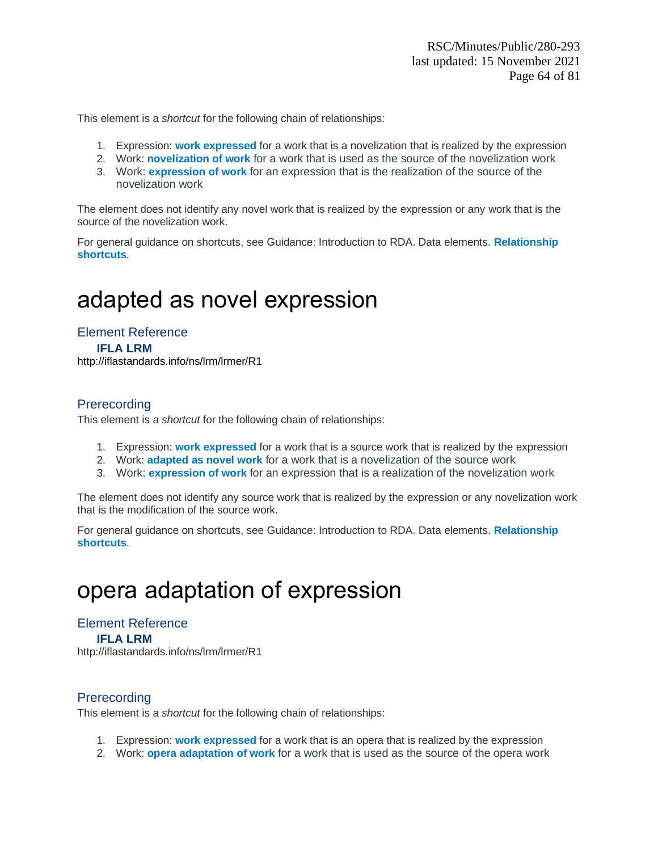- 1. Expression: **work expressed** for a work that is a novelization that is realized by the expression
- 2. Work: **novelization of work** for a work that is used as the source of the novelization work
- 3. Work: **expression of work** for an expression that is the realization of the source of the novelization work

The element does not identify any novel work that is realized by the expression or any work that is the source of the novelization work.

For general guidance on shortcuts, see Guidance: Introduction to RDA. Data elements. **Relationship shortcuts**.

# adapted as novel expression

Element Reference **IFLA LRM** <http://iflastandards.info/ns/lrm/lrmer/R1>

### **Prerecording**

This element is a *shortcut* for the following chain of relationships:

- 1. Expression: **work expressed** for a work that is a source work that is realized by the expression
- 2. Work: **adapted as novel work** for a work that is a novelization of the source work
- 3. Work: **expression of work** for an expression that is a realization of the novelization work

The element does not identify any source work that is realized by the expression or any novelization work that is the modification of the source work.

For general guidance on shortcuts, see Guidance: Introduction to RDA. Data elements. **Relationship shortcuts**.

# opera adaptation of expression

Element Reference **IFLA LRM** http://iflastandards.info/ns/lrm/lrmer/R1

#### **Prerecording**

This element is a *shortcut* for the following chain of relationships:

- 1. Expression: **work expressed** for a work that is an opera that is realized by the expression
- 2. Work: **opera adaptation of work** for a work that is used as the source of the opera work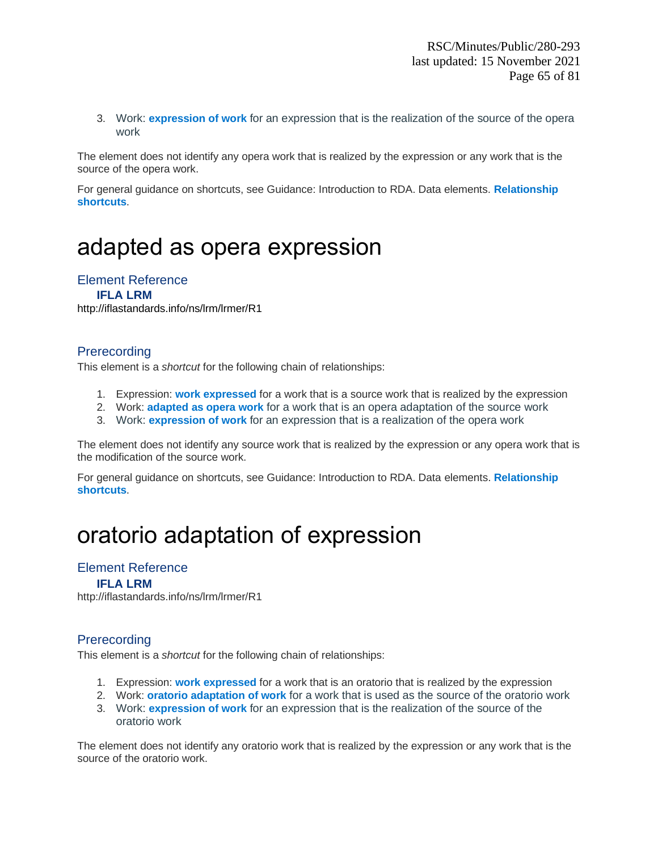3. Work: **expression of work** for an expression that is the realization of the source of the opera work

The element does not identify any opera work that is realized by the expression or any work that is the source of the opera work.

For general guidance on shortcuts, see Guidance: Introduction to RDA. Data elements. **Relationship shortcuts**.

# adapted as opera expression

#### Element Reference

**IFLA LRM** <http://iflastandards.info/ns/lrm/lrmer/R1>

#### **Prerecording**

This element is a *shortcut* for the following chain of relationships:

- 1. Expression: **work expressed** for a work that is a source work that is realized by the expression
- 2. Work: **adapted as opera work** for a work that is an opera adaptation of the source work
- 3. Work: **expression of work** for an expression that is a realization of the opera work

The element does not identify any source work that is realized by the expression or any opera work that is the modification of the source work.

For general guidance on shortcuts, see Guidance: Introduction to RDA. Data elements. **Relationship shortcuts**.

# oratorio adaptation of expression

#### Element Reference

#### **IFLA LRM**

http://iflastandards.info/ns/lrm/lrmer/R1

#### **Prerecording**

This element is a *shortcut* for the following chain of relationships:

- 1. Expression: **work expressed** for a work that is an oratorio that is realized by the expression
- 2. Work: **oratorio adaptation of work** for a work that is used as the source of the oratorio work
- 3. Work: **expression of work** for an expression that is the realization of the source of the oratorio work

The element does not identify any oratorio work that is realized by the expression or any work that is the source of the oratorio work.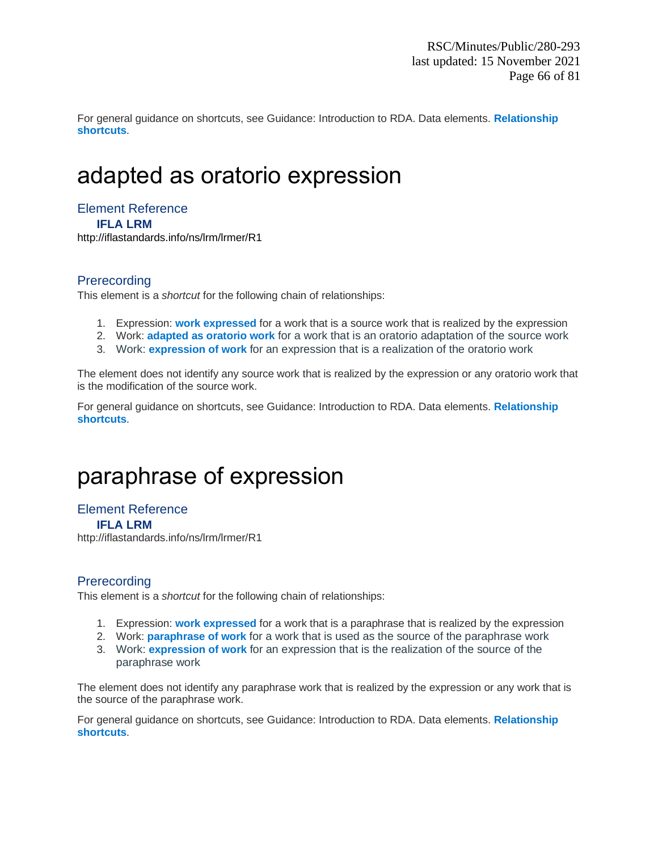For general guidance on shortcuts, see Guidance: Introduction to RDA. Data elements. **Relationship shortcuts**.

# adapted as oratorio expression

Element Reference

**IFLA LRM**

<http://iflastandards.info/ns/lrm/lrmer/R1>

### **Prerecording**

This element is a *shortcut* for the following chain of relationships:

- 1. Expression: **work expressed** for a work that is a source work that is realized by the expression
- 2. Work: **adapted as oratorio work** for a work that is an oratorio adaptation of the source work
- 3. Work: **expression of work** for an expression that is a realization of the oratorio work

The element does not identify any source work that is realized by the expression or any oratorio work that is the modification of the source work.

For general guidance on shortcuts, see Guidance: Introduction to RDA. Data elements. **Relationship shortcuts**.

# paraphrase of expression

Element Reference **IFLA LRM**

http://iflastandards.info/ns/lrm/lrmer/R1

#### **Prerecording**

This element is a *shortcut* for the following chain of relationships:

- 1. Expression: **work expressed** for a work that is a paraphrase that is realized by the expression
- 2. Work: **paraphrase of work** for a work that is used as the source of the paraphrase work
- 3. Work: **expression of work** for an expression that is the realization of the source of the paraphrase work

The element does not identify any paraphrase work that is realized by the expression or any work that is the source of the paraphrase work.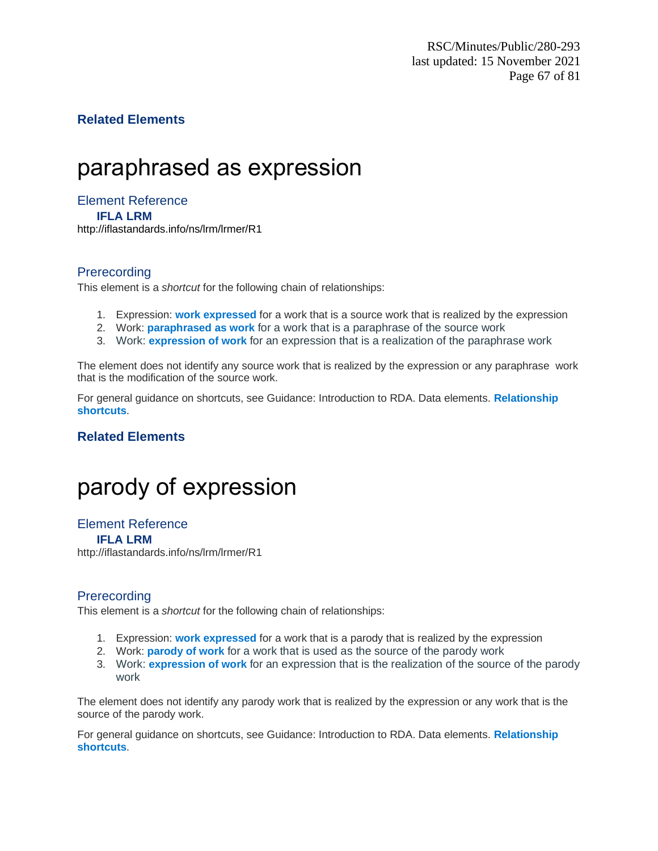### **Related Elements**

# paraphrased as expression

#### Element Reference **IFLA LRM** <http://iflastandards.info/ns/lrm/lrmer/R1>

### **Prerecording**

This element is a *shortcut* for the following chain of relationships:

- 1. Expression: **work expressed** for a work that is a source work that is realized by the expression
- 2. Work: **paraphrased as work** for a work that is a paraphrase of the source work
- 3. Work: **expression of work** for an expression that is a realization of the paraphrase work

The element does not identify any source work that is realized by the expression or any paraphrase work that is the modification of the source work.

For general guidance on shortcuts, see Guidance: Introduction to RDA. Data elements. **Relationship shortcuts**.

### **Related Elements**

# parody of expression

### Element Reference

**IFLA LRM**

http://iflastandards.info/ns/lrm/lrmer/R1

### **Prerecording**

This element is a *shortcut* for the following chain of relationships:

- 1. Expression: **work expressed** for a work that is a parody that is realized by the expression
- 2. Work: **parody of work** for a work that is used as the source of the parody work
- 3. Work: **expression of work** for an expression that is the realization of the source of the parody work

The element does not identify any parody work that is realized by the expression or any work that is the source of the parody work.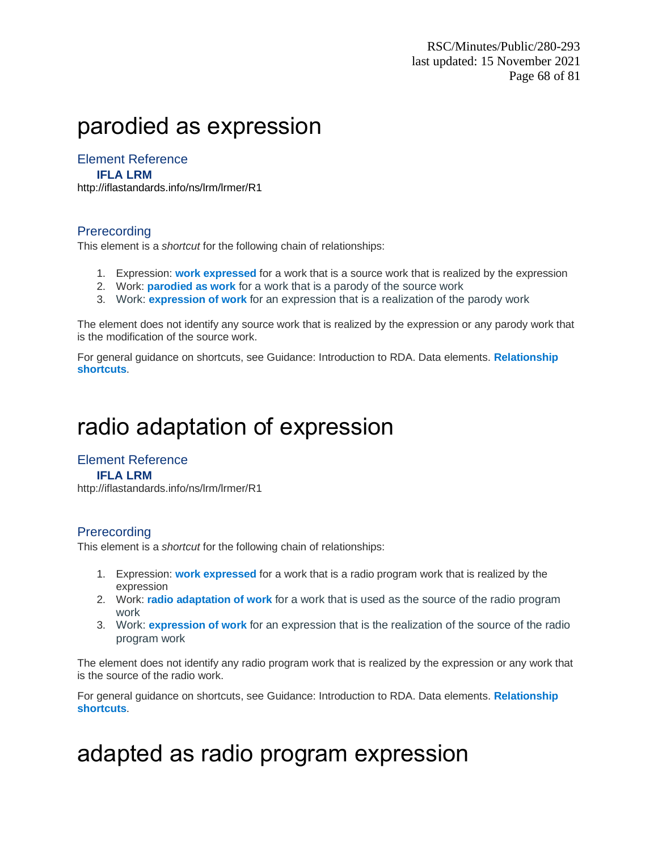# parodied as expression

### Element Reference

#### **IFLA LRM**

<http://iflastandards.info/ns/lrm/lrmer/R1>

#### Prerecording

This element is a *shortcut* for the following chain of relationships:

- 1. Expression: **work expressed** for a work that is a source work that is realized by the expression
- 2. Work: **parodied as work** for a work that is a parody of the source work
- 3. Work: **expression of work** for an expression that is a realization of the parody work

The element does not identify any source work that is realized by the expression or any parody work that is the modification of the source work.

For general guidance on shortcuts, see Guidance: Introduction to RDA. Data elements. **Relationship shortcuts**.

# radio adaptation of expression

### Element Reference

#### **IFLA LRM**

http://iflastandards.info/ns/lrm/lrmer/R1

#### **Prerecording**

This element is a *shortcut* for the following chain of relationships:

- 1. Expression: **work expressed** for a work that is a radio program work that is realized by the expression
- 2. Work: **radio adaptation of work** for a work that is used as the source of the radio program work
- 3. Work: **expression of work** for an expression that is the realization of the source of the radio program work

The element does not identify any radio program work that is realized by the expression or any work that is the source of the radio work.

For general guidance on shortcuts, see Guidance: Introduction to RDA. Data elements. **Relationship shortcuts**.

# adapted as radio program expression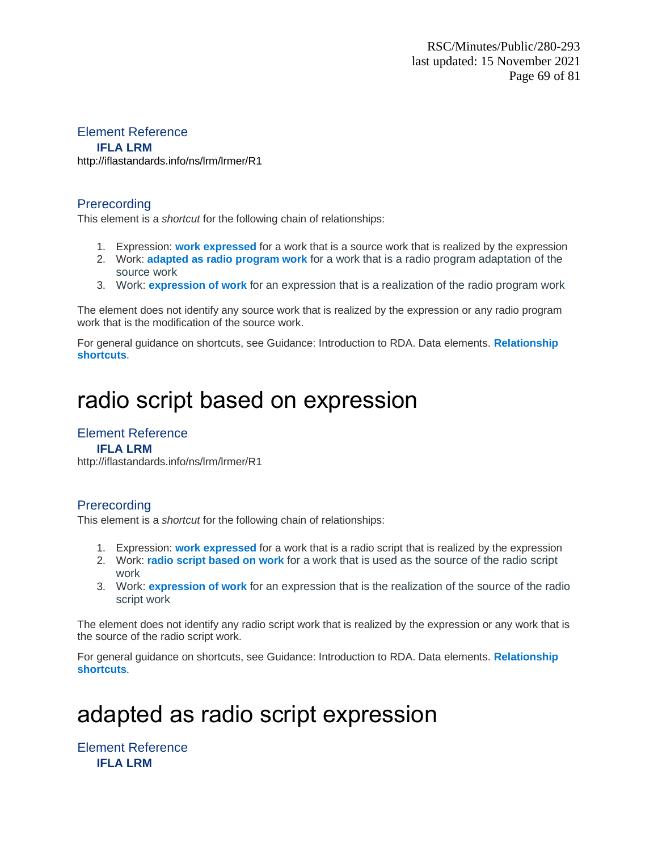#### Element Reference

#### **IFLA LRM**

<http://iflastandards.info/ns/lrm/lrmer/R1>

#### Prerecording

This element is a *shortcut* for the following chain of relationships:

- 1. Expression: **work expressed** for a work that is a source work that is realized by the expression
- 2. Work: **adapted as radio program work** for a work that is a radio program adaptation of the source work
- 3. Work: **expression of work** for an expression that is a realization of the radio program work

The element does not identify any source work that is realized by the expression or any radio program work that is the modification of the source work.

For general guidance on shortcuts, see Guidance: Introduction to RDA. Data elements. **Relationship shortcuts**.

# radio script based on expression

### Element Reference

#### **IFLA LRM**

http://iflastandards.info/ns/lrm/lrmer/R1

### Prerecording

This element is a *shortcut* for the following chain of relationships:

- 1. Expression: **work expressed** for a work that is a radio script that is realized by the expression
- 2. Work: **radio script based on work** for a work that is used as the source of the radio script work
- 3. Work: **expression of work** for an expression that is the realization of the source of the radio script work

The element does not identify any radio script work that is realized by the expression or any work that is the source of the radio script work.

For general guidance on shortcuts, see Guidance: Introduction to RDA. Data elements. **Relationship shortcuts**.

# adapted as radio script expression

Element Reference **IFLA LRM**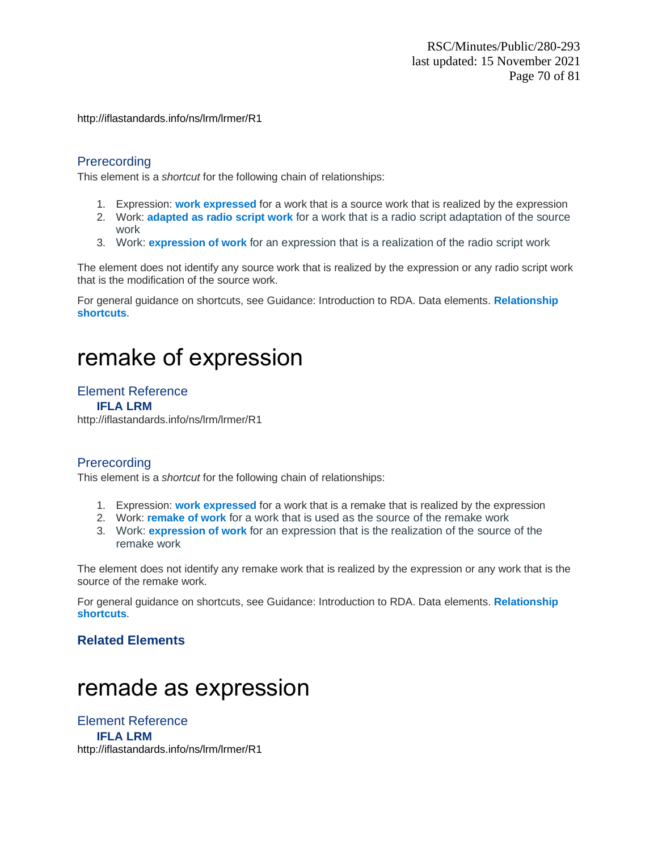<http://iflastandards.info/ns/lrm/lrmer/R1>

### **Prerecording**

This element is a *shortcut* for the following chain of relationships:

- 1. Expression: **work expressed** for a work that is a source work that is realized by the expression
- 2. Work: **adapted as radio script work** for a work that is a radio script adaptation of the source work
- 3. Work: **expression of work** for an expression that is a realization of the radio script work

The element does not identify any source work that is realized by the expression or any radio script work that is the modification of the source work.

For general guidance on shortcuts, see Guidance: Introduction to RDA. Data elements. **Relationship shortcuts**.

# remake of expression

#### Element Reference

#### **IFLA LRM**

http://iflastandards.info/ns/lrm/lrmer/R1

#### **Prerecording**

This element is a *shortcut* for the following chain of relationships:

- 1. Expression: **work expressed** for a work that is a remake that is realized by the expression
- 2. Work: **remake of work** for a work that is used as the source of the remake work
- 3. Work: **expression of work** for an expression that is the realization of the source of the remake work

The element does not identify any remake work that is realized by the expression or any work that is the source of the remake work.

For general guidance on shortcuts, see Guidance: Introduction to RDA. Data elements. **Relationship shortcuts**.

#### **Related Elements**

# remade as expression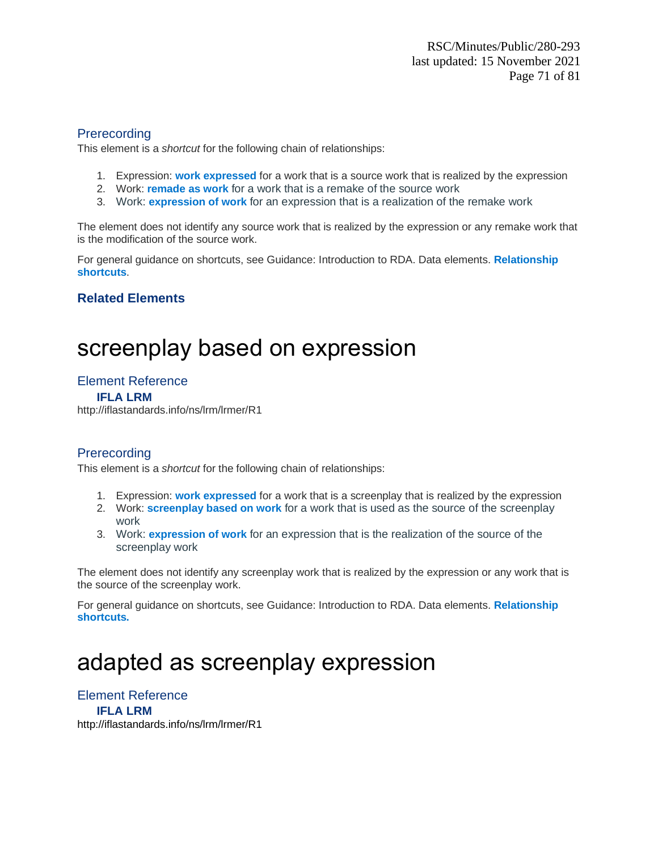This element is a *shortcut* for the following chain of relationships:

- 1. Expression: **work expressed** for a work that is a source work that is realized by the expression
- 2. Work: **remade as work** for a work that is a remake of the source work
- 3. Work: **expression of work** for an expression that is a realization of the remake work

The element does not identify any source work that is realized by the expression or any remake work that is the modification of the source work.

For general guidance on shortcuts, see Guidance: Introduction to RDA. Data elements. **Relationship shortcuts**.

### **Related Elements**

# screenplay based on expression

### Element Reference

**IFLA LRM**

http://iflastandards.info/ns/lrm/lrmer/R1

### **Prerecording**

This element is a *shortcut* for the following chain of relationships:

- 1. Expression: **work expressed** for a work that is a screenplay that is realized by the expression
- 2. Work: **screenplay based on work** for a work that is used as the source of the screenplay work
- 3. Work: **expression of work** for an expression that is the realization of the source of the screenplay work

The element does not identify any screenplay work that is realized by the expression or any work that is the source of the screenplay work.

For general guidance on shortcuts, see Guidance: Introduction to RDA. Data elements. **Relationship shortcuts.**

# adapted as screenplay expression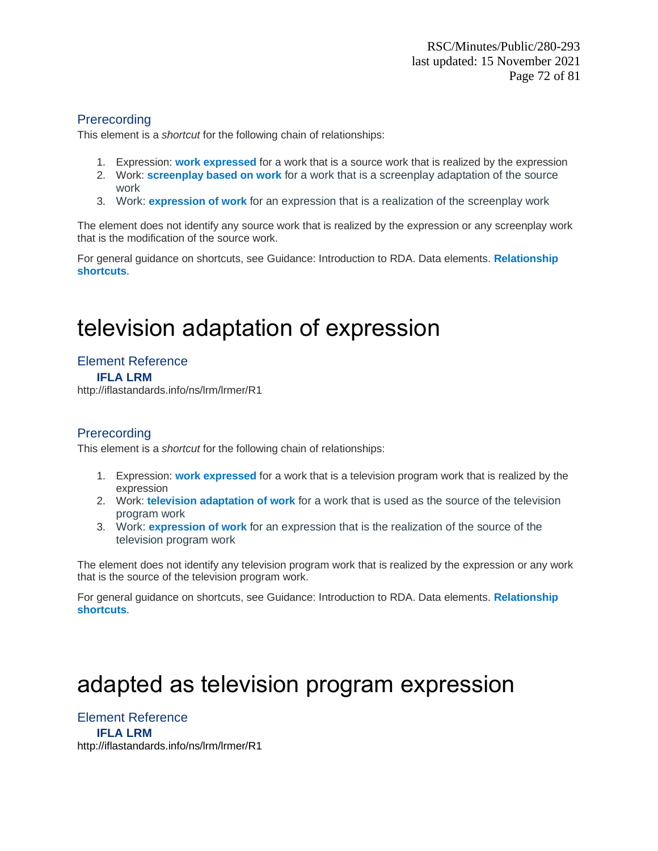This element is a *shortcut* for the following chain of relationships:

- 1. Expression: **work expressed** for a work that is a source work that is realized by the expression
- 2. Work: **screenplay based on work** for a work that is a screenplay adaptation of the source work
- 3. Work: **expression of work** for an expression that is a realization of the screenplay work

The element does not identify any source work that is realized by the expression or any screenplay work that is the modification of the source work.

For general guidance on shortcuts, see Guidance: Introduction to RDA. Data elements. **Relationship shortcuts**.

# television adaptation of expression

## Element Reference

**IFLA LRM**

http://iflastandards.info/ns/lrm/lrmer/R1

### **Prerecording**

This element is a *shortcut* for the following chain of relationships:

- 1. Expression: **work expressed** for a work that is a television program work that is realized by the expression
- 2. Work: **television adaptation of work** for a work that is used as the source of the television program work
- 3. Work: **expression of work** for an expression that is the realization of the source of the television program work

The element does not identify any television program work that is realized by the expression or any work that is the source of the television program work.

For general guidance on shortcuts, see Guidance: Introduction to RDA. Data elements. **Relationship shortcuts**.

# adapted as television program expression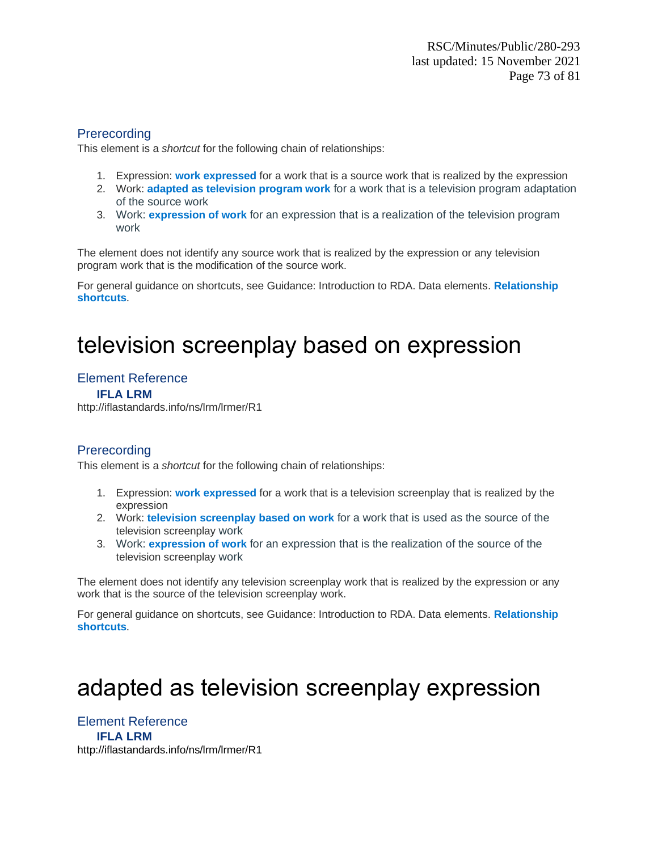This element is a *shortcut* for the following chain of relationships:

- 1. Expression: **work expressed** for a work that is a source work that is realized by the expression
- 2. Work: **adapted as television program work** for a work that is a television program adaptation of the source work
- 3. Work: **expression of work** for an expression that is a realization of the television program work

The element does not identify any source work that is realized by the expression or any television program work that is the modification of the source work.

For general guidance on shortcuts, see Guidance: Introduction to RDA. Data elements. **Relationship shortcuts**.

# television screenplay based on expression

## Element Reference

**IFLA LRM**

http://iflastandards.info/ns/lrm/lrmer/R1

## Prerecording

This element is a *shortcut* for the following chain of relationships:

- 1. Expression: **work expressed** for a work that is a television screenplay that is realized by the expression
- 2. Work: **television screenplay based on work** for a work that is used as the source of the television screenplay work
- 3. Work: **expression of work** for an expression that is the realization of the source of the television screenplay work

The element does not identify any television screenplay work that is realized by the expression or any work that is the source of the television screenplay work.

For general guidance on shortcuts, see Guidance: Introduction to RDA. Data elements. **Relationship shortcuts**.

# adapted as television screenplay expression

Element Reference **IFLA LRM** <http://iflastandards.info/ns/lrm/lrmer/R1>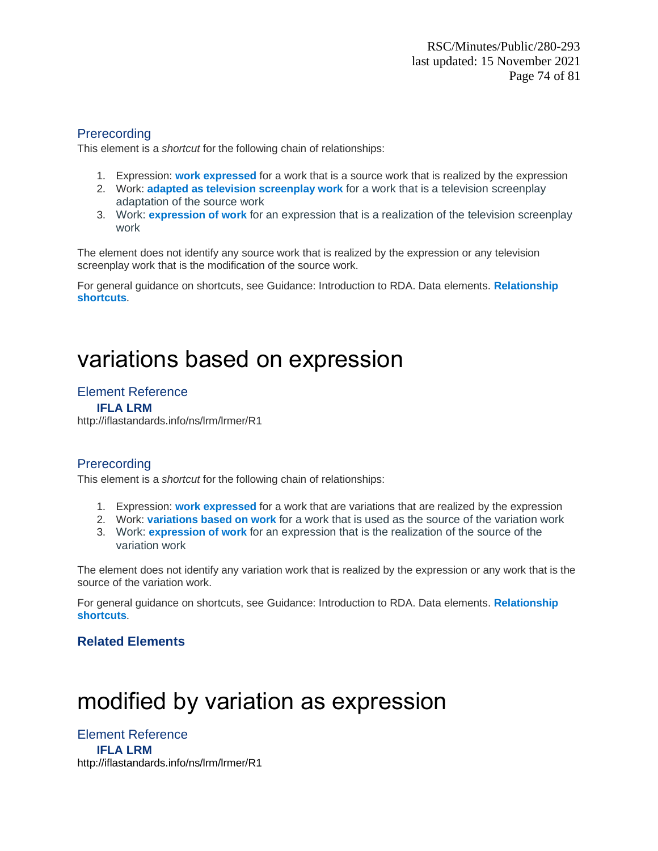This element is a *shortcut* for the following chain of relationships:

- 1. Expression: **work expressed** for a work that is a source work that is realized by the expression
- 2. Work: **adapted as television screenplay work** for a work that is a television screenplay adaptation of the source work
- 3. Work: **expression of work** for an expression that is a realization of the television screenplay work

The element does not identify any source work that is realized by the expression or any television screenplay work that is the modification of the source work.

For general guidance on shortcuts, see Guidance: Introduction to RDA. Data elements. **Relationship shortcuts**.

# variations based on expression

## Element Reference

#### **IFLA LRM**

http://iflastandards.info/ns/lrm/lrmer/R1

## **Prerecording**

This element is a *shortcut* for the following chain of relationships:

- 1. Expression: **work expressed** for a work that are variations that are realized by the expression
- 2. Work: **variations based on work** for a work that is used as the source of the variation work
- 3. Work: **expression of work** for an expression that is the realization of the source of the variation work

The element does not identify any variation work that is realized by the expression or any work that is the source of the variation work.

For general guidance on shortcuts, see Guidance: Introduction to RDA. Data elements. **Relationship shortcuts**.

## **Related Elements**

# modified by variation as expression

Element Reference **IFLA LRM** <http://iflastandards.info/ns/lrm/lrmer/R1>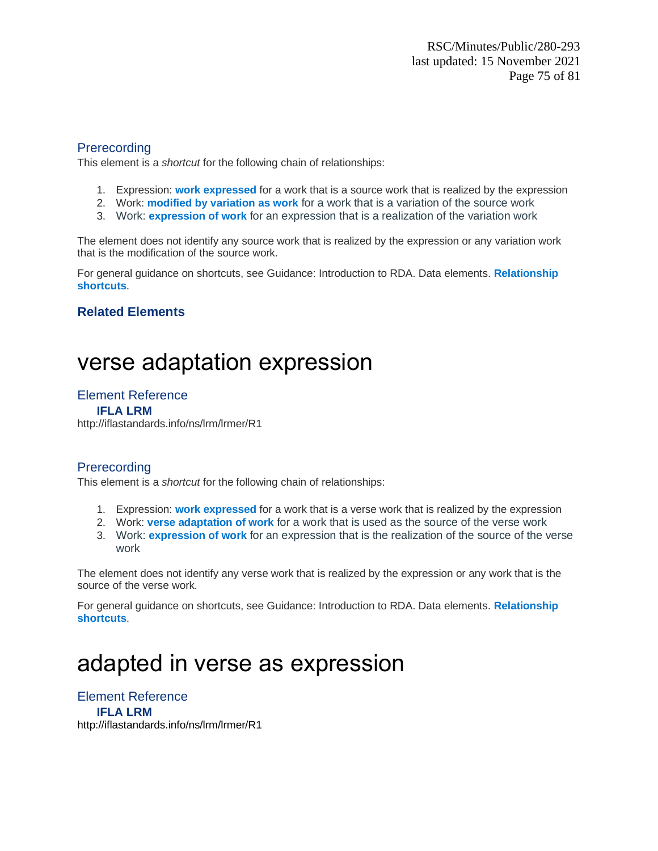This element is a *shortcut* for the following chain of relationships:

- 1. Expression: **work expressed** for a work that is a source work that is realized by the expression
- 2. Work: **modified by variation as work** for a work that is a variation of the source work
- 3. Work: **expression of work** for an expression that is a realization of the variation work

The element does not identify any source work that is realized by the expression or any variation work that is the modification of the source work.

For general guidance on shortcuts, see Guidance: Introduction to RDA. Data elements. **Relationship shortcuts**.

## **Related Elements**

## verse adaptation expression

### Element Reference

#### **IFLA LRM**

http://iflastandards.info/ns/lrm/lrmer/R1

### **Prerecording**

This element is a *shortcut* for the following chain of relationships:

- 1. Expression: **work expressed** for a work that is a verse work that is realized by the expression
- 2. Work: **verse adaptation of work** for a work that is used as the source of the verse work
- 3. Work: **expression of work** for an expression that is the realization of the source of the verse work

The element does not identify any verse work that is realized by the expression or any work that is the source of the verse work.

For general guidance on shortcuts, see Guidance: Introduction to RDA. Data elements. **Relationship shortcuts**.

## adapted in verse as expression

Element Reference **IFLA LRM** <http://iflastandards.info/ns/lrm/lrmer/R1>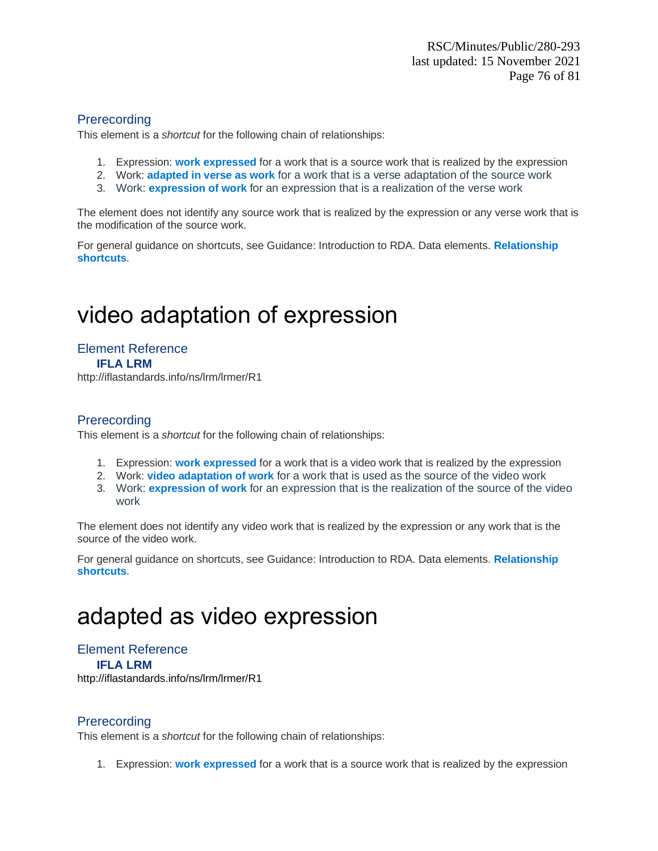This element is a *shortcut* for the following chain of relationships:

- 1. Expression: **work expressed** for a work that is a source work that is realized by the expression
- 2. Work: **adapted in verse as work** for a work that is a verse adaptation of the source work
- 3. Work: **expression of work** for an expression that is a realization of the verse work

The element does not identify any source work that is realized by the expression or any verse work that is the modification of the source work.

For general guidance on shortcuts, see Guidance: Introduction to RDA. Data elements. **Relationship shortcuts**.

# video adaptation of expression

Element Reference **IFLA LRM** http://iflastandards.info/ns/lrm/lrmer/R1

## **Prerecording**

This element is a *shortcut* for the following chain of relationships:

- 1. Expression: **work expressed** for a work that is a video work that is realized by the expression
- 2. Work: **video adaptation of work** for a work that is used as the source of the video work
- 3. Work: **expression of work** for an expression that is the realization of the source of the video work

The element does not identify any video work that is realized by the expression or any work that is the source of the video work.

For general guidance on shortcuts, see Guidance: Introduction to RDA. Data elements. **Relationship shortcuts**.

# adapted as video expression

## Element Reference

**IFLA LRM**

<http://iflastandards.info/ns/lrm/lrmer/R1>

### **Prerecording**

This element is a *shortcut* for the following chain of relationships:

1. Expression: **work expressed** for a work that is a source work that is realized by the expression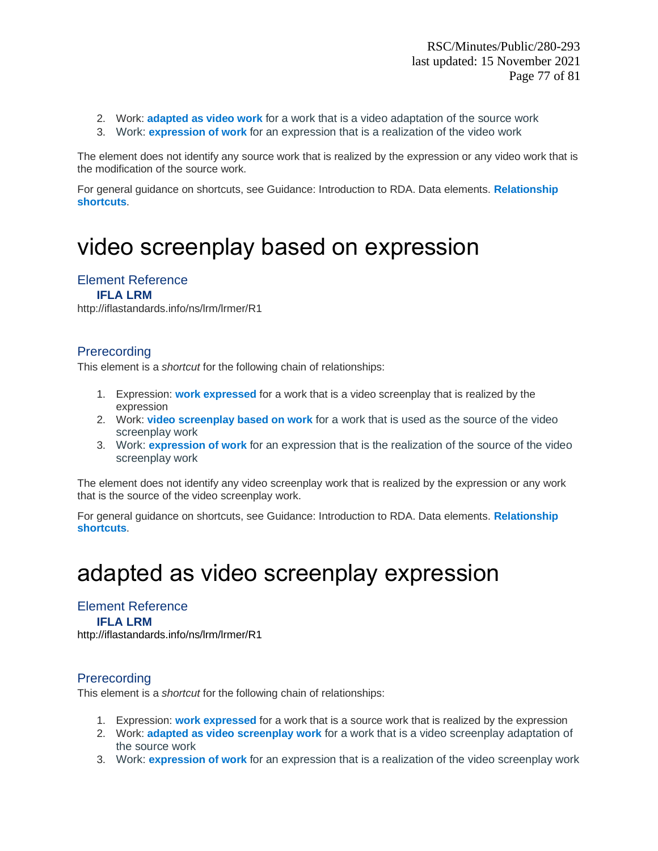- 2. Work: **adapted as video work** for a work that is a video adaptation of the source work
- 3. Work: **expression of work** for an expression that is a realization of the video work

The element does not identify any source work that is realized by the expression or any video work that is the modification of the source work.

For general guidance on shortcuts, see Guidance: Introduction to RDA. Data elements. **Relationship shortcuts**.

# video screenplay based on expression

### Element Reference

#### **IFLA LRM**

http://iflastandards.info/ns/lrm/lrmer/R1

### **Prerecording**

This element is a *shortcut* for the following chain of relationships:

- 1. Expression: **work expressed** for a work that is a video screenplay that is realized by the expression
- 2. Work: **video screenplay based on work** for a work that is used as the source of the video screenplay work
- 3. Work: **expression of work** for an expression that is the realization of the source of the video screenplay work

The element does not identify any video screenplay work that is realized by the expression or any work that is the source of the video screenplay work.

For general guidance on shortcuts, see Guidance: Introduction to RDA. Data elements. **Relationship shortcuts**.

## adapted as video screenplay expression

## Element Reference

### **IFLA LRM**

<http://iflastandards.info/ns/lrm/lrmer/R1>

### **Prerecording**

This element is a *shortcut* for the following chain of relationships:

- 1. Expression: **work expressed** for a work that is a source work that is realized by the expression
- 2. Work: **adapted as video screenplay work** for a work that is a video screenplay adaptation of the source work
- 3. Work: **expression of work** for an expression that is a realization of the video screenplay work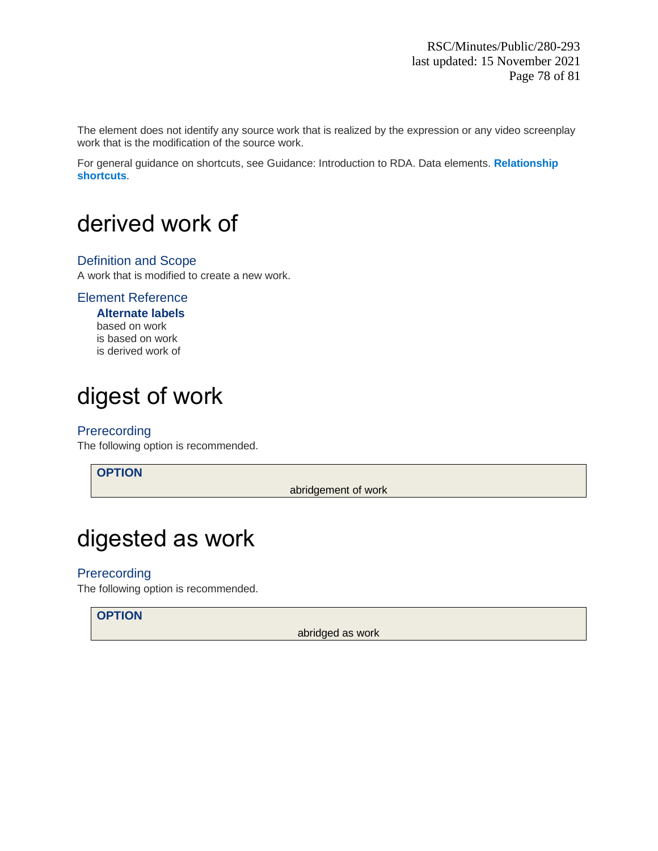The element does not identify any source work that is realized by the expression or any video screenplay work that is the modification of the source work.

For general guidance on shortcuts, see Guidance: Introduction to RDA. Data elements. **Relationship shortcuts**.

# derived work of

### Definition and Scope

A work that is modified to create a new work.

### Element Reference

**Alternate labels** based on work is based on work is derived work of

# digest of work

**Prerecording** 

The following option is recommended.

**OPTION**

abridgement of work

# digested as work

## **Prerecording**

The following option is recommended.

## **OPTION**

abridged as work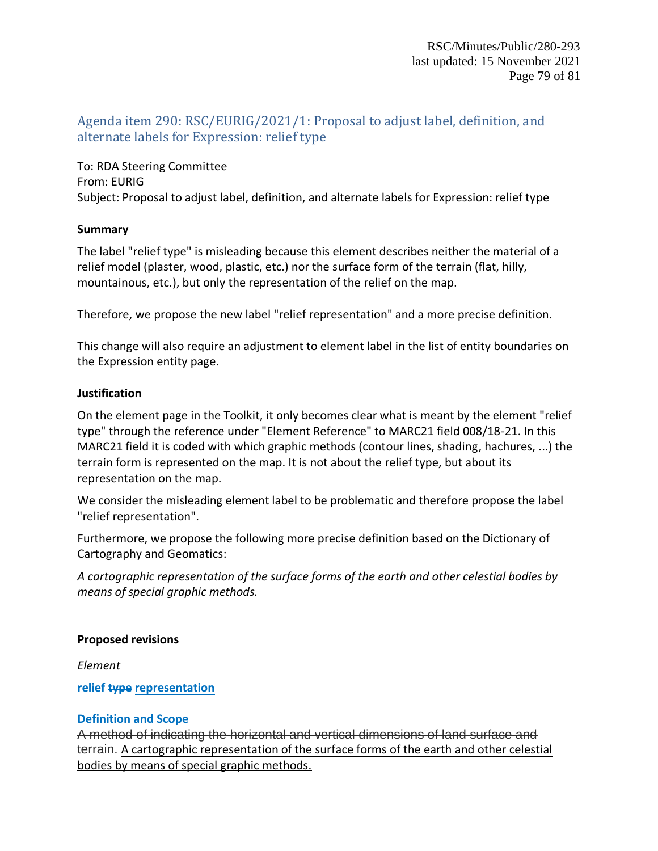## Agenda item 290: RSC/EURIG/2021/1: Proposal to adjust label, definition, and alternate labels for Expression: relief type

To: RDA Steering Committee From: EURIG Subject: Proposal to adjust label, definition, and alternate labels for Expression: relief type

### **Summary**

The label "relief type" is misleading because this element describes neither the material of a relief model (plaster, wood, plastic, etc.) nor the surface form of the terrain (flat, hilly, mountainous, etc.), but only the representation of the relief on the map.

Therefore, we propose the new label "relief representation" and a more precise definition.

This change will also require an adjustment to element label in the list of entity boundaries on the Expression entity page.

## **Justification**

On the element page in the Toolkit, it only becomes clear what is meant by the element "relief type" through the reference under "Element Reference" to MARC21 field 008/18-21. In this MARC21 field it is coded with which graphic methods (contour lines, shading, hachures, ...) the terrain form is represented on the map. It is not about the relief type, but about its representation on the map.

We consider the misleading element label to be problematic and therefore propose the label "relief representation".

Furthermore, we propose the following more precise definition based on the Dictionary of Cartography and Geomatics:

*A cartographic representation of the surface forms of the earth and other celestial bodies by means of special graphic methods.*

## **Proposed revisions**

*Element*

**relief type representation**

## **Definition and Scope**

A method of indicating the horizontal and vertical dimensions of land surface and terrain. A cartographic representation of the surface forms of the earth and other celestial bodies by means of special graphic methods.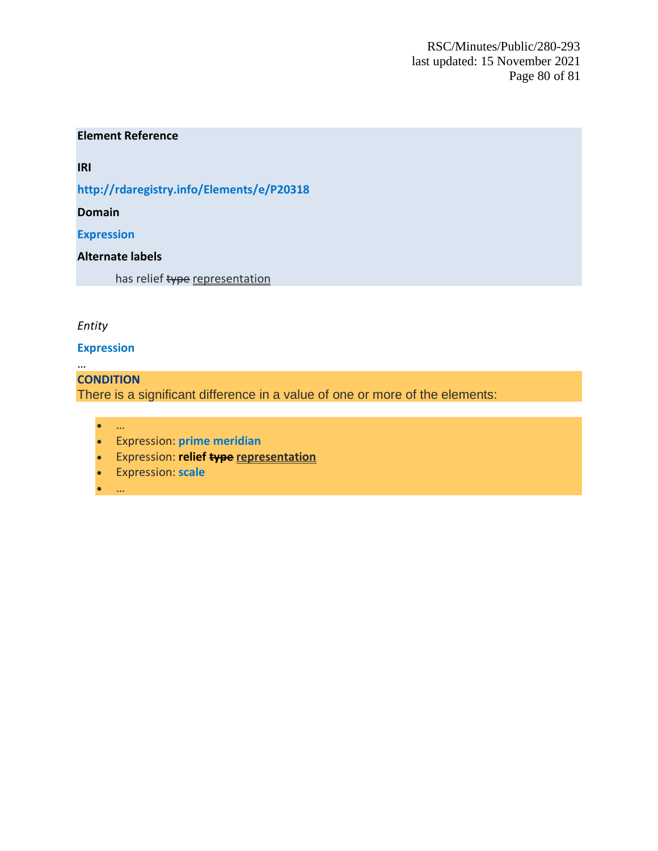RSC/Minutes/Public/280-293 last updated: 15 November 2021 Page 80 of 81

### **Element Reference**

**IRI**

**<http://rdaregistry.info/Elements/e/P20318>**

**Domain**

**[Expression](https://access.rdatoolkit.org/Content/Index?externalId=en-US_ala-09a3282e-2746-3454-88ed-71935da637f9)**

### **Alternate labels**

has relief type representation

### *Entity*

### **Expression**

… **CONDITION** There is a significant difference in a value of one or more of the elements:

- …
- Expression: **[prime meridian](https://access.rdatoolkit.org/Content/Index?externalId=en-US_ala-2efcc13b-5b9c-3a6c-80b1-c6d13de8ff54)**
- Expression: **[relief type](https://access.rdatoolkit.org/Content/Index?externalId=en-US_ala-69bbe979-d473-355c-958f-1aa10fd13ed1) representation**
- Expression: **[scale](https://access.rdatoolkit.org/Content/Index?externalId=en-US_ala-872a7f9b-18be-3eca-9aa1-d2abd3f4e4e8)**
- …